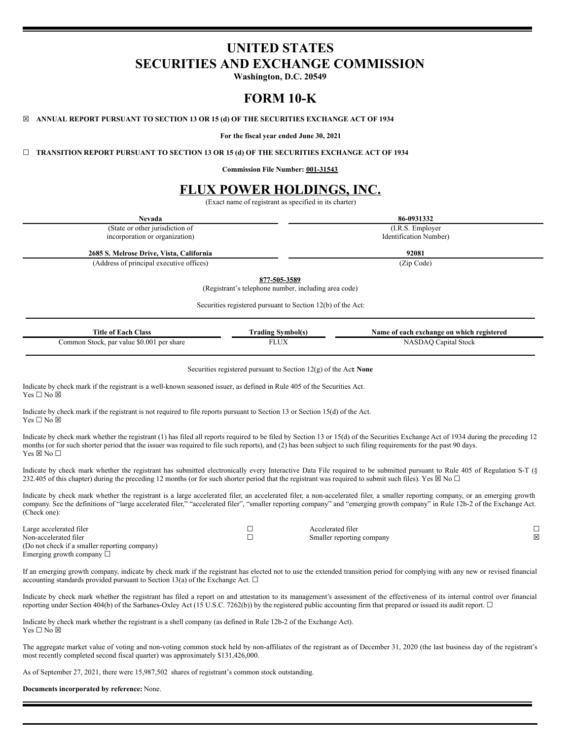# **UNITED STATES SECURITIES AND EXCHANGE COMMISSION**

**Washington, D.C. 20549**

# **FORM 10-K**

☒ **ANNUAL REPORT PURSUANT TO SECTION 13 OR 15 (d) OF THE SECURITIES EXCHANGE ACT OF 1934**

**For the fiscal year ended June 30, 2021**

☐ **TRANSITION REPORT PURSUANT TO SECTION 13 OR 15 (d) OF THE SECURITIES EXCHANGE ACT OF 1934**

**Commission File Number: 001-31543**

# **FLUX POWER HOLDINGS, INC.**

(Exact name of registrant as specified in its charter)

| <b>Nevada</b>                             |                                                                                                                                     | 86-0931332                                |
|-------------------------------------------|-------------------------------------------------------------------------------------------------------------------------------------|-------------------------------------------|
| (State or other jurisdiction of           |                                                                                                                                     | (I.R.S. Employer)                         |
| incorporation or organization)            |                                                                                                                                     | Identification Number)                    |
| 2685 S. Melrose Drive, Vista, California  |                                                                                                                                     | 92081                                     |
| (Address of principal executive offices)  |                                                                                                                                     | (Zip Code)                                |
|                                           | 877-505-3589<br>(Registrant's telephone number, including area code)<br>Securities registered pursuant to Section 12(b) of the Act: |                                           |
| <b>Title of Each Class</b>                | <b>Trading Symbol(s)</b>                                                                                                            | Name of each exchange on which registered |
| Common Stock, par value \$0.001 per share | <b>FLUX</b>                                                                                                                         | <b>NASDAO</b> Capital Stock               |

Securities registered pursuant to Section 12(g) of the Act**: None**

Indicate by check mark if the registrant is a well-known seasoned issuer, as defined in Rule 405 of the Securities Act.  $Yes \Box No \boxtimes$ 

Indicate by check mark if the registrant is not required to file reports pursuant to Section 13 or Section 15(d) of the Act.  $Yes \Box No \boxtimes$ 

Indicate by check mark whether the registrant (1) has filed all reports required to be filed by Section 13 or 15(d) of the Securities Exchange Act of 1934 during the preceding 12 months (or for such shorter period that the issuer was required to file such reports), and (2) has been subject to such filing requirements for the past 90 days. Yes  $\boxtimes$  No  $\square$ 

Indicate by check mark whether the registrant has submitted electronically every Interactive Data File required to be submitted pursuant to Rule 405 of Regulation S-T (§ 232.405 of this chapter) during the preceding 12 months (or for such shorter period that the registrant was required to submit such files). Yes  $\boxtimes$  No  $\Box$ 

Indicate by check mark whether the registrant is a large accelerated filer, an accelerated filer, a non-accelerated filer, a smaller reporting company, or an emerging growth company. See the definitions of "large accelerated filer," "accelerated filer", "smaller reporting company" and "emerging growth company" in Rule 12b-2 of the Exchange Act. (Check one):

| Large accelerated filer                       | Accelerated filer         |  |
|-----------------------------------------------|---------------------------|--|
| Non-accelerated filer                         | Smaller reporting company |  |
| (Do not check if a smaller reporting company) |                           |  |
| Emerging growth company $\Box$                |                           |  |

If an emerging growth company, indicate by check mark if the registrant has elected not to use the extended transition period for complying with any new or revised financial accounting standards provided pursuant to Section 13(a) of the Exchange Act.  $\square$ 

Indicate by check mark whether the registrant has filed a report on and attestation to its management's assessment of the effectiveness of its internal control over financial reporting under Section 404(b) of the Sarbanes-Oxley Act (15 U.S.C. 7262(b)) by the registered public accounting firm that prepared or issued its audit report. □

Indicate by check mark whether the registrant is a shell company (as defined in Rule 12b-2 of the Exchange Act).  $Yes \Box No \boxtimes$ 

The aggregate market value of voting and non-voting common stock held by non-affiliates of the registrant as of December 31, 2020 (the last business day of the registrant's most recently completed second fiscal quarter) was approximately \$131,426,000.

As of September 27, 2021, there were 15,987,502 shares of registrant's common stock outstanding.

**Documents incorporated by reference:** None.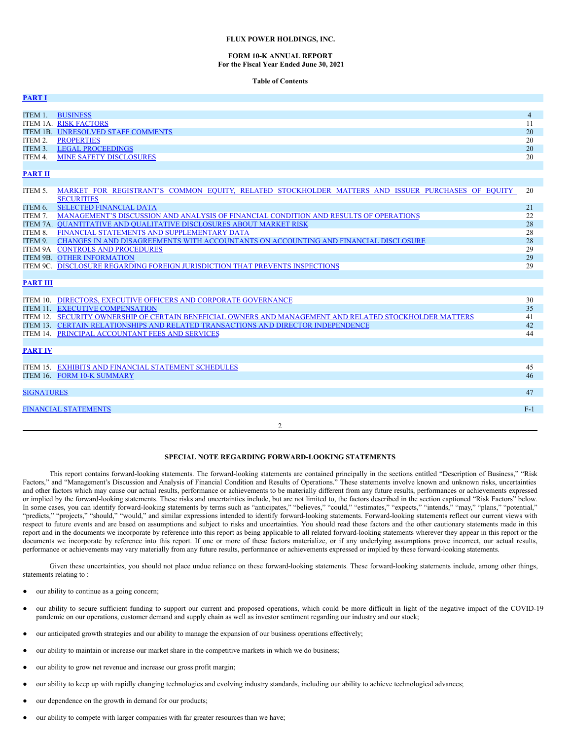### **FLUX POWER HOLDINGS, INC.**

### **FORM 10-K ANNUAL REPORT For the Fiscal Year Ended June 30, 2021**

#### **Table of Contents**

| <b>PART I</b>   |                                                                                                         |                |
|-----------------|---------------------------------------------------------------------------------------------------------|----------------|
|                 |                                                                                                         |                |
| ITEM 1.         | <b>BUSINESS</b>                                                                                         | $\overline{4}$ |
|                 | <b>ITEM 1A. RISK FACTORS</b>                                                                            | 11             |
|                 | ITEM 1B. UNRESOLVED STAFF COMMENTS                                                                      | 20             |
| ITEM 2.         | <b>PROPERTIES</b>                                                                                       | 20             |
| ITEM 3.         | <b>LEGAL PROCEEDINGS</b>                                                                                | 20             |
|                 | ITEM 4. MINE SAFETY DISCLOSURES                                                                         | 20             |
|                 |                                                                                                         |                |
| <b>PART II</b>  |                                                                                                         |                |
|                 |                                                                                                         |                |
| ITEM 5.         | MARKET FOR REGISTRANT'S COMMON EOUITY, RELATED STOCKHOLDER MATTERS AND ISSUER PURCHASES OF EOUITY       | 20             |
|                 | <b>SECURITIES</b>                                                                                       |                |
| ITEM 6.         | <b>SELECTED FINANCIAL DATA</b>                                                                          | 21             |
| ITEM 7.         | MANAGEMENT'S DISCUSSION AND ANALYSIS OF FINANCIAL CONDITION AND RESULTS OF OPERATIONS                   | 22             |
|                 | ITEM 7A. OUANTITATIVE AND OUALITATIVE DISCLOSURES ABOUT MARKET RISK                                     | 28             |
| ITEM 8.         | FINANCIAL STATEMENTS AND SUPPLEMENTARY DATA                                                             | 28             |
| ITEM 9.         | CHANGES IN AND DISAGREEMENTS WITH ACCOUNTANTS ON ACCOUNTING AND FINANCIAL DISCLOSURE                    | 28             |
|                 | ITEM 9A CONTROLS AND PROCEDURES                                                                         | 29             |
|                 | <b>ITEM 9B. OTHER INFORMATION</b>                                                                       | 29             |
|                 | ITEM 9C. DISCLOSURE REGARDING FOREIGN JURISDICTION THAT PREVENTS INSPECTIONS                            | 29             |
|                 |                                                                                                         |                |
| <b>PART III</b> |                                                                                                         |                |
|                 |                                                                                                         |                |
| ITEM 10.        | DIRECTORS, EXECUTIVE OFFICERS AND CORPORATE GOVERNANCE                                                  | 30             |
|                 | ITEM 11. EXECUTIVE COMPENSATION                                                                         | 35             |
|                 | ITEM 12. SECURITY OWNERSHIP OF CERTAIN BENEFICIAL OWNERS AND MANAGEMENT AND RELATED STOCKHOLDER MATTERS | 41             |
|                 | ITEM 13. CERTAIN RELATIONSHIPS AND RELATED TRANSACTIONS AND DIRECTOR INDEPENDENCE                       | 42             |
|                 | ITEM 14. PRINCIPAL ACCOUNTANT FEES AND SERVICES                                                         | 44             |
|                 |                                                                                                         |                |
| <b>PART IV</b>  |                                                                                                         |                |
|                 |                                                                                                         |                |

| 4:                                                                                                                                    |
|---------------------------------------------------------------------------------------------------------------------------------------|
| 46                                                                                                                                    |
|                                                                                                                                       |
|                                                                                                                                       |
|                                                                                                                                       |
| $F-1$                                                                                                                                 |
|                                                                                                                                       |
| ITEM 15. EXHIBITS AND FINANCIAL STATEMENT SCHEDULES<br>ITEM 16. FORM 10-K SUMMARY<br><b>SIGNATURES</b><br><b>FINANCIAL STATEMENTS</b> |

### **SPECIAL NOTE REGARDING FORWARD-LOOKING STATEMENTS**

2

This report contains forward-looking statements. The forward-looking statements are contained principally in the sections entitled "Description of Business," "Risk Factors," and "Management's Discussion and Analysis of Financial Condition and Results of Operations." These statements involve known and unknown risks, uncertainties and other factors which may cause our actual results, performance or achievements to be materially different from any future results, performances or achievements expressed or implied by the forward-looking statements. These risks and uncertainties include, but are not limited to, the factors described in the section captioned "Risk Factors" below. In some cases, you can identify forward-looking statements by terms such as "anticipates," "believes," "could," "estimates," "expects," "intends," "may," "plans," "potential," "predicts," "projects," "should," "would," and similar expressions intended to identify forward-looking statements. Forward-looking statements reflect our current views with respect to future events and are based on assumptions and subject to risks and uncertainties. You should read these factors and the other cautionary statements made in this report and in the documents we incorporate by reference into this report as being applicable to all related forward-looking statements wherever they appear in this report or the documents we incorporate by reference into this report. If one or more of these factors materialize, or if any underlying assumptions prove incorrect, our actual results, performance or achievements may vary materially from any future results, performance or achievements expressed or implied by these forward-looking statements.

Given these uncertainties, you should not place undue reliance on these forward-looking statements. These forward-looking statements include, among other things, statements relating to :

- our ability to continue as a going concern;
- our ability to secure sufficient funding to support our current and proposed operations, which could be more difficult in light of the negative impact of the COVID-19 pandemic on our operations, customer demand and supply chain as well as investor sentiment regarding our industry and our stock;
- our anticipated growth strategies and our ability to manage the expansion of our business operations effectively;
- our ability to maintain or increase our market share in the competitive markets in which we do business;
- our ability to grow net revenue and increase our gross profit margin;
- our ability to keep up with rapidly changing technologies and evolving industry standards, including our ability to achieve technological advances;
- our dependence on the growth in demand for our products;
- our ability to compete with larger companies with far greater resources than we have;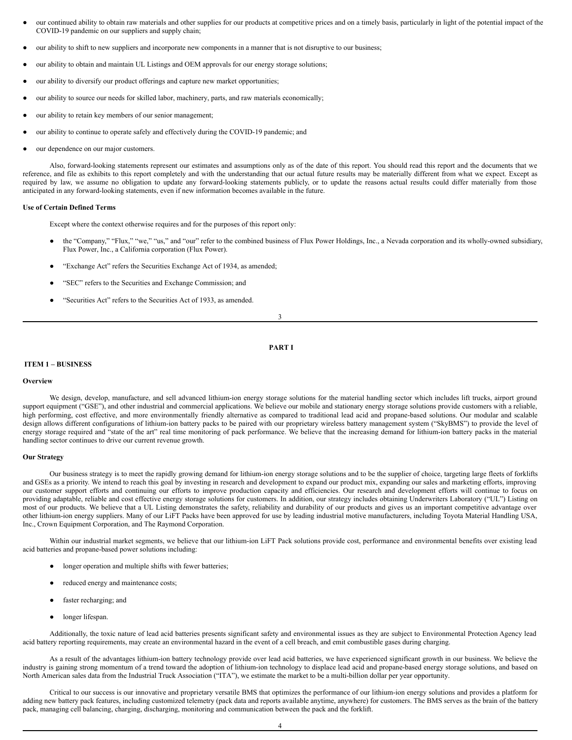- our continued ability to obtain raw materials and other supplies for our products at competitive prices and on a timely basis, particularly in light of the potential impact of the COVID-19 pandemic on our suppliers and supply chain;
- our ability to shift to new suppliers and incorporate new components in a manner that is not disruptive to our business;
- our ability to obtain and maintain UL Listings and OEM approvals for our energy storage solutions;
- our ability to diversify our product offerings and capture new market opportunities;
- our ability to source our needs for skilled labor, machinery, parts, and raw materials economically;
- our ability to retain key members of our senior management;
- our ability to continue to operate safely and effectively during the COVID-19 pandemic; and
- our dependence on our major customers.

Also, forward-looking statements represent our estimates and assumptions only as of the date of this report. You should read this report and the documents that we reference, and file as exhibits to this report completely and with the understanding that our actual future results may be materially different from what we expect. Except as required by law, we assume no obligation to update any forward-looking statements publicly, or to update the reasons actual results could differ materially from those anticipated in any forward-looking statements, even if new information becomes available in the future.

### **Use of Certain Defined Terms**

Except where the context otherwise requires and for the purposes of this report only:

- the "Company," "Flux," "we," "us," and "our" refer to the combined business of Flux Power Holdings, Inc., a Nevada corporation and its wholly-owned subsidiary, Flux Power, Inc., a California corporation (Flux Power).
- "Exchange Act" refers the Securities Exchange Act of 1934, as amended;
- "SEC" refers to the Securities and Exchange Commission; and
- "Securities Act" refers to the Securities Act of 1933, as amended.

3

### <span id="page-2-0"></span>**PART I**

### <span id="page-2-1"></span>**ITEM 1 – BUSINESS**

#### **Overview**

We design, develop, manufacture, and sell advanced lithium-ion energy storage solutions for the material handling sector which includes lift trucks, airport ground support equipment ("GSE"), and other industrial and commercial applications. We believe our mobile and stationary energy storage solutions provide customers with a reliable, high performing, cost effective, and more environmentally friendly alternative as compared to traditional lead acid and propane-based solutions. Our modular and scalable design allows different configurations of lithium-ion battery packs to be paired with our proprietary wireless battery management system ("SkyBMS") to provide the level of energy storage required and "state of the art" real time monitoring of pack performance. We believe that the increasing demand for lithium-ion battery packs in the material handling sector continues to drive our current revenue growth.

#### **Our Strategy**

Our business strategy is to meet the rapidly growing demand for lithium-ion energy storage solutions and to be the supplier of choice, targeting large fleets of forklifts and GSEs as a priority. We intend to reach this goal by investing in research and development to expand our product mix, expanding our sales and marketing efforts, improving our customer support efforts and continuing our efforts to improve production capacity and efficiencies. Our research and development efforts will continue to focus on providing adaptable, reliable and cost effective energy storage solutions for customers. In addition, our strategy includes obtaining Underwriters Laboratory ("UL") Listing on most of our products. We believe that a UL Listing demonstrates the safety, reliability and durability of our products and gives us an important competitive advantage over other lithium-ion energy suppliers. Many of our LiFT Packs have been approved for use by leading industrial motive manufacturers, including Toyota Material Handling USA, Inc., Crown Equipment Corporation, and The Raymond Corporation.

Within our industrial market segments, we believe that our lithium-ion LiFT Pack solutions provide cost, performance and environmental benefits over existing lead acid batteries and propane-based power solutions including:

- longer operation and multiple shifts with fewer batteries;
- reduced energy and maintenance costs;
- faster recharging; and
- longer lifespan.

Additionally, the toxic nature of lead acid batteries presents significant safety and environmental issues as they are subject to Environmental Protection Agency lead acid battery reporting requirements, may create an environmental hazard in the event of a cell breach, and emit combustible gases during charging.

As a result of the advantages lithium-ion battery technology provide over lead acid batteries, we have experienced significant growth in our business. We believe the industry is gaining strong momentum of a trend toward the adoption of lithium-ion technology to displace lead acid and propane-based energy storage solutions, and based on North American sales data from the Industrial Truck Association ("ITA"), we estimate the market to be a multi-billion dollar per year opportunity.

Critical to our success is our innovative and proprietary versatile BMS that optimizes the performance of our lithium-ion energy solutions and provides a platform for adding new battery pack features, including customized telemetry (pack data and reports available anytime, anywhere) for customers. The BMS serves as the brain of the battery pack, managing cell balancing, charging, discharging, monitoring and communication between the pack and the forklift.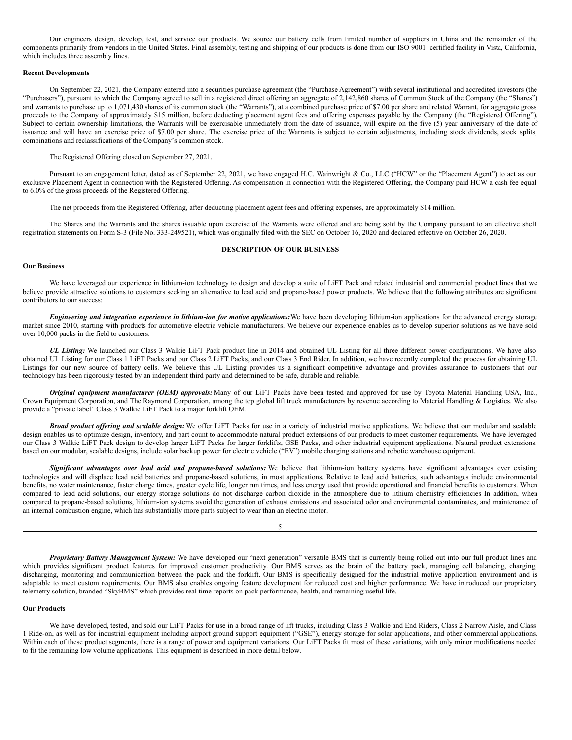Our engineers design, develop, test, and service our products. We source our battery cells from limited number of suppliers in China and the remainder of the components primarily from vendors in the United States. Final assembly, testing and shipping of our products is done from our ISO 9001 certified facility in Vista, California, which includes three assembly lines.

#### **Recent Developments**

On September 22, 2021, the Company entered into a securities purchase agreement (the "Purchase Agreement") with several institutional and accredited investors (the "Purchasers"), pursuant to which the Company agreed to sell in a registered direct offering an aggregate of 2,142,860 shares of Common Stock of the Company (the "Shares") and warrants to purchase up to 1,071,430 shares of its common stock (the "Warrants"), at a combined purchase price of \$7.00 per share and related Warrant, for aggregate gross proceeds to the Company of approximately \$15 million, before deducting placement agent fees and offering expenses payable by the Company (the "Registered Offering"). Subject to certain ownership limitations, the Warrants will be exercisable immediately from the date of issuance, will expire on the five (5) year anniversary of the date of issuance and will have an exercise price of \$7.00 per share. The exercise price of the Warrants is subject to certain adjustments, including stock dividends, stock splits, combinations and reclassifications of the Company's common stock.

The Registered Offering closed on September 27, 2021.

Pursuant to an engagement letter, dated as of September 22, 2021, we have engaged H.C. Wainwright & Co., LLC ("HCW" or the "Placement Agent") to act as our exclusive Placement Agent in connection with the Registered Offering. As compensation in connection with the Registered Offering, the Company paid HCW a cash fee equal to 6.0% of the gross proceeds of the Registered Offering.

The net proceeds from the Registered Offering, after deducting placement agent fees and offering expenses, are approximately \$14 million.

The Shares and the Warrants and the shares issuable upon exercise of the Warrants were offered and are being sold by the Company pursuant to an effective shelf registration statements on Form S-3 (File No. 333-249521), which was originally filed with the SEC on October 16, 2020 and declared effective on October 26, 2020.

### **DESCRIPTION OF OUR BUSINESS**

### **Our Business**

We have leveraged our experience in lithium-ion technology to design and develop a suite of LiFT Pack and related industrial and commercial product lines that we believe provide attractive solutions to customers seeking an alternative to lead acid and propane-based power products. We believe that the following attributes are significant contributors to our success:

*Engineering and integration experience in lithium-ion for motive applications:*We have been developing lithium-ion applications for the advanced energy storage market since 2010, starting with products for automotive electric vehicle manufacturers. We believe our experience enables us to develop superior solutions as we have sold over 10,000 packs in the field to customers.

*UL Listing:* We launched our Class 3 Walkie LiFT Pack product line in 2014 and obtained UL Listing for all three different power configurations. We have also obtained UL Listing for our Class 1 LiFT Packs and our Class 2 LiFT Packs, and our Class 3 End Rider. In addition, we have recently completed the process for obtaining UL Listings for our new source of battery cells. We believe this UL Listing provides us a significant competitive advantage and provides assurance to customers that our technology has been rigorously tested by an independent third party and determined to be safe, durable and reliable.

*Original equipment manufacturer (OEM) approvals:* Many of our LiFT Packs have been tested and approved for use by Toyota Material Handling USA, Inc., Crown Equipment Corporation, and The Raymond Corporation, among the top global lift truck manufacturers by revenue according to Material Handling & Logistics. We also provide a "private label" Class 3 Walkie LiFT Pack to a major forklift OEM.

*Broad product of ering and scalable design:* We offer LiFT Packs for use in a variety of industrial motive applications. We believe that our modular and scalable design enables us to optimize design, inventory, and part count to accommodate natural product extensions of our products to meet customer requirements. We have leveraged our Class 3 Walkie LiFT Pack design to develop larger LiFT Packs for larger forklifts, GSE Packs, and other industrial equipment applications. Natural product extensions, based on our modular, scalable designs, include solar backup power for electric vehicle ("EV") mobile charging stations and robotic warehouse equipment.

*Significant advantages over lead acid and propane-based solutions:* We believe that lithium-ion battery systems have significant advantages over existing technologies and will displace lead acid batteries and propane-based solutions, in most applications. Relative to lead acid batteries, such advantages include environmental benefits, no water maintenance, faster charge times, greater cycle life, longer run times, and less energy used that provide operational and financial benefits to customers. When compared to lead acid solutions, our energy storage solutions do not discharge carbon dioxide in the atmosphere due to lithium chemistry efficiencies In addition, when compared to propane-based solutions, lithium-ion systems avoid the generation of exhaust emissions and associated odor and environmental contaminates, and maintenance of an internal combustion engine, which has substantially more parts subject to wear than an electric motor.

| I<br>I<br>$\sim$ |  |
|------------------|--|

*Proprietary Battery Management System:* We have developed our "next generation" versatile BMS that is currently being rolled out into our full product lines and which provides significant product features for improved customer productivity. Our BMS serves as the brain of the battery pack, managing cell balancing, charging, discharging, monitoring and communication between the pack and the forklift. Our BMS is specifically designed for the industrial motive application environment and is adaptable to meet custom requirements. Our BMS also enables ongoing feature development for reduced cost and higher performance. We have introduced our proprietary telemetry solution, branded "SkyBMS" which provides real time reports on pack performance, health, and remaining useful life.

#### **Our Products**

We have developed, tested, and sold our LiFT Packs for use in a broad range of lift trucks, including Class 3 Walkie and End Riders, Class 2 Narrow Aisle, and Class 1 Ride-on, as well as for industrial equipment including airport ground support equipment ("GSE"), energy storage for solar applications, and other commercial applications. Within each of these product segments, there is a range of power and equipment variations. Our LiFT Packs fit most of these variations, with only minor modifications needed to fit the remaining low volume applications. This equipment is described in more detail below.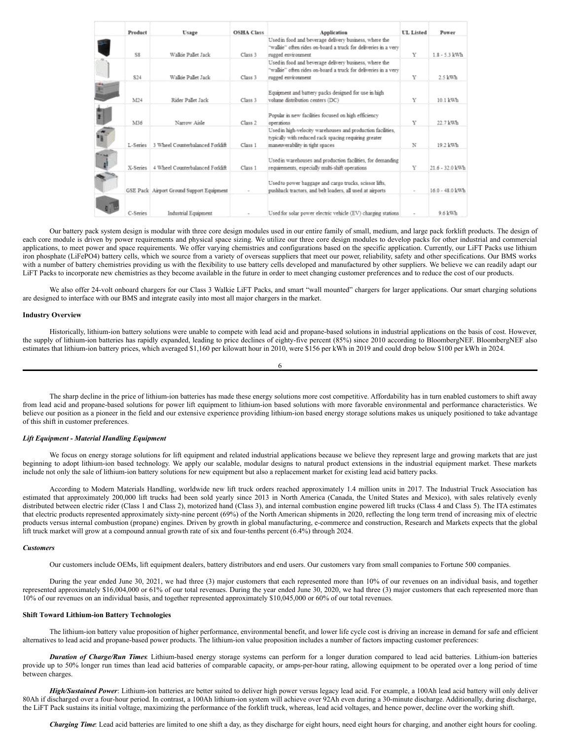|   | Product  | Usage                                     | <b>OSHA</b> Class | Application                                                                                                                                             | <b>UL Listed</b> | Power             |
|---|----------|-------------------------------------------|-------------------|---------------------------------------------------------------------------------------------------------------------------------------------------------|------------------|-------------------|
|   | S\$      | Walkie Pallet Jack                        | Class 3           | Used in food and beverage delivery business, where the<br>"walkie" often rides on-board a truck for deliveries in a very<br>rugged environment          | Y                | $1.8 - 5.3$ kWh   |
|   | S24      | Walkie Pallet Jack                        | Class 3           | Used in food and beverage delivery business, where the<br>"wallae" often rides on-board a truck for deliveries in a very<br>rugged environment          | Y                | $2.5$ kWh         |
| ë | M24      | Rider Pallet Jack                         | Class 3           | Equipment and battery packs designed for use in high<br>volume distribution centers (DC)                                                                | Y                | 10.1 kWh          |
|   | M36      | Narrow Aisle                              | Class 2           | Popular in new facilities focused on high efficiency<br>operations                                                                                      | Y                | 22.7 kWh          |
|   | L-Series | 3 Wheel Counterbalanced Fork58            | Class 1           | Used in high-velocity warehouses and production facilities,<br>typically with reduced rack spacing requiring greater<br>maneuverability in tight spaces | $\mathbf N$      | 19.2 kWh          |
|   | X-Series | 4 Wheel Counterbalanced Forklift          | Class 1           | Used in warehouses and production facilities, for demanding<br>requirements, especially multi-shift operations                                          | Y                | 21.6 - 32.0 kW    |
|   |          | GSE Pack Airport Ground Support Equipment |                   | Used to power baggage and cargo trucks, scissor lifts,<br>pushback tractors, and belt loaders, all used at airports                                     |                  | $16.0 - 48.0$ kW1 |
|   | C-Series | Industrial Equipment                      |                   | Used for solar power electric vehicle (EV) charging stations                                                                                            |                  | 9.6 kWh           |

Our battery pack system design is modular with three core design modules used in our entire family of small, medium, and large pack forklift products. The design of each core module is driven by power requirements and physical space sizing. We utilize our three core design modules to develop packs for other industrial and commercial applications, to meet power and space requirements. We offer varying chemistries and configurations based on the specific application. Currently, our LiFT Packs use lithium iron phosphate (LiFePO4) battery cells, which we source from a variety of overseas suppliers that meet our power, reliability, safety and other specifications. Our BMS works with a number of battery chemistries providing us with the flexibility to use battery cells developed and manufactured by other suppliers. We believe we can readily adapt our LiFT Packs to incorporate new chemistries as they become available in the future in order to meet changing customer preferences and to reduce the cost of our products.

We also offer 24-volt onboard chargers for our Class 3 Walkie LiFT Packs, and smart "wall mounted" chargers for larger applications. Our smart charging solutions are designed to interface with our BMS and integrate easily into most all major chargers in the market.

#### **Industry Overview**

Historically, lithium-ion battery solutions were unable to compete with lead acid and propane-based solutions in industrial applications on the basis of cost. However, the supply of lithium-ion batteries has rapidly expanded, leading to price declines of eighty-five percent (85%) since 2010 according to BloombergNEF. BloombergNEF also estimates that lithium-ion battery prices, which averaged \$1,160 per kilowatt hour in 2010, were \$156 per kWh in 2019 and could drop below \$100 per kWh in 2024.

6

The sharp decline in the price of lithium-ion batteries has made these energy solutions more cost competitive. Affordability has in turn enabled customers to shift away from lead acid and propane-based solutions for power lift equipment to lithium-ion based solutions with more favorable environmental and performance characteristics. We believe our position as a pioneer in the field and our extensive experience providing lithium-ion based energy storage solutions makes us uniquely positioned to take advantage of this shift in customer preferences.

#### *Lift Equipment - Material Handling Equipment*

We focus on energy storage solutions for lift equipment and related industrial applications because we believe they represent large and growing markets that are just beginning to adopt lithium-ion based technology. We apply our scalable, modular designs to natural product extensions in the industrial equipment market. These markets include not only the sale of lithium-ion battery solutions for new equipment but also a replacement market for existing lead acid battery packs.

According to Modern Materials Handling, worldwide new lift truck orders reached approximately 1.4 million units in 2017. The Industrial Truck Association has estimated that approximately 200,000 lift trucks had been sold yearly since 2013 in North America (Canada, the United States and Mexico), with sales relatively evenly distributed between electric rider (Class 1 and Class 2), motorized hand (Class 3), and internal combustion engine powered lift trucks (Class 4 and Class 5). The ITA estimates that electric products represented approximately sixty-nine percent (69%) of the North American shipments in 2020, reflecting the long term trend of increasing mix of electric products versus internal combustion (propane) engines. Driven by growth in global manufacturing, e-commerce and construction, Research and Markets expects that the global lift truck market will grow at a compound annual growth rate of six and four-tenths percent (6.4%) through 2024.

#### *Customers*

Our customers include OEMs, lift equipment dealers, battery distributors and end users. Our customers vary from small companies to Fortune 500 companies.

During the year ended June 30, 2021, we had three (3) major customers that each represented more than 10% of our revenues on an individual basis, and together represented approximately \$16,004,000 or 61% of our total revenues. During the year ended June 30, 2020, we had three (3) major customers that each represented more than 10% of our revenues on an individual basis, and together represented approximately \$10,045,000 or 60% of our total revenues.

#### **Shift Toward Lithium-ion Battery Technologies**

The lithium-ion battery value proposition of higher performance, environmental benefit, and lower life cycle cost is driving an increase in demand for safe and efficient alternatives to lead acid and propane-based power products. The lithium-ion value proposition includes a number of factors impacting customer preferences:

*Duration of Charge/Run Times*: Lithium-based energy storage systems can perform for a longer duration compared to lead acid batteries. Lithium-ion batteries provide up to 50% longer run times than lead acid batteries of comparable capacity, or amps-per-hour rating, allowing equipment to be operated over a long period of time between charges.

*High/Sustained Power*: Lithium-ion batteries are better suited to deliver high power versus legacy lead acid. For example, a 100Ah lead acid battery will only deliver 80Ah if discharged over a four-hour period. In contrast, a 100Ah lithium-ion system will achieve over 92Ah even during a 30-minute discharge. Additionally, during discharge, the LiFT Pack sustains its initial voltage, maximizing the performance of the forklift truck, whereas, lead acid voltages, and hence power, decline over the working shift.

*Charging Time*: Lead acid batteries are limited to one shift a day, as they discharge for eight hours, need eight hours for charging, and another eight hours for cooling.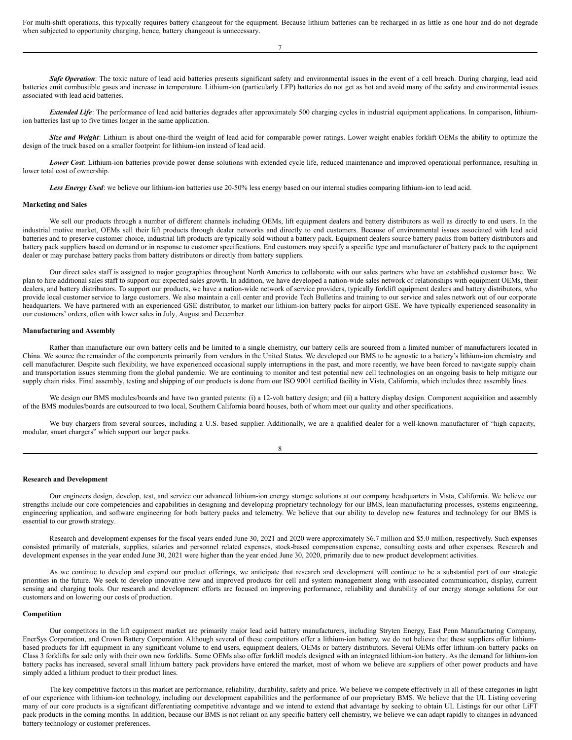For multi-shift operations, this typically requires battery changeout for the equipment. Because lithium batteries can be recharged in as little as one hour and do not degrade when subjected to opportunity charging, hence, battery changeout is unnecessary.

7

**Safe Operation**: The toxic nature of lead acid batteries presents significant safety and environmental issues in the event of a cell breach. During charging, lead acid batteries emit combustible gases and increase in temperature. Lithium-ion (particularly LFP) batteries do not get as hot and avoid many of the safety and environmental issues associated with lead acid batteries.

*Extended Life*: The performance of lead acid batteries degrades after approximately 500 charging cycles in industrial equipment applications. In comparison, lithiumion batteries last up to five times longer in the same application.

Size and Weight: Lithium is about one-third the weight of lead acid for comparable power ratings. Lower weight enables forklift OEMs the ability to optimize the design of the truck based on a smaller footprint for lithium-ion instead of lead acid.

*Lower Cost*: Lithium-ion batteries provide power dense solutions with extended cycle life, reduced maintenance and improved operational performance, resulting in lower total cost of ownership.

*Less Energy Used*: we believe our lithium-ion batteries use 20-50% less energy based on our internal studies comparing lithium-ion to lead acid.

### **Marketing and Sales**

We sell our products through a number of different channels including OEMs, lift equipment dealers and battery distributors as well as directly to end users. In the industrial motive market, OEMs sell their lift products through dealer networks and directly to end customers. Because of environmental issues associated with lead acid batteries and to preserve customer choice, industrial lift products are typically sold without a battery pack. Equipment dealers source battery packs from battery distributors and battery pack suppliers based on demand or in response to customer specifications. End customers may specify a specific type and manufacturer of battery pack to the equipment dealer or may purchase battery packs from battery distributors or directly from battery suppliers.

Our direct sales staff is assigned to major geographies throughout North America to collaborate with our sales partners who have an established customer base. We plan to hire additional sales staff to support our expected sales growth. In addition, we have developed a nation-wide sales network of relationships with equipment OEMs, their dealers, and battery distributors. To support our products, we have a nation-wide network of service providers, typically forklift equipment dealers and battery distributors, who provide local customer service to large customers. We also maintain a call center and provide Tech Bulletins and training to our service and sales network out of our corporate headquarters. We have partnered with an experienced GSE distributor, to market our lithium-ion battery packs for airport GSE. We have typically experienced seasonality in our customers' orders, often with lower sales in July, August and December.

### **Manufacturing and Assembly**

Rather than manufacture our own battery cells and be limited to a single chemistry, our battery cells are sourced from a limited number of manufacturers located in China. We source the remainder of the components primarily from vendors in the United States. We developed our BMS to be agnostic to a battery's lithium-ion chemistry and cell manufacturer. Despite such flexibility, we have experienced occasional supply interruptions in the past, and more recently, we have been forced to navigate supply chain and transportation issues stemming from the global pandemic. We are continuing to monitor and test potential new cell technologies on an ongoing basis to help mitigate our supply chain risks. Final assembly, testing and shipping of our products is done from our ISO 9001 certified facility in Vista, California, which includes three assembly lines.

We design our BMS modules/boards and have two granted patents: (i) a 12-volt battery design; and (ii) a battery display design. Component acquisition and assembly of the BMS modules/boards are outsourced to two local, Southern California board houses, both of whom meet our quality and other specifications.

We buy chargers from several sources, including a U.S. based supplier. Additionally, we are a qualified dealer for a well-known manufacturer of "high capacity, modular, smart chargers" which support our larger packs.

#### **Research and Development**

Our engineers design, develop, test, and service our advanced lithium-ion energy storage solutions at our company headquarters in Vista, California. We believe our strengths include our core competencies and capabilities in designing and developing proprietary technology for our BMS, lean manufacturing processes, systems engineering, engineering application, and software engineering for both battery packs and telemetry. We believe that our ability to develop new features and technology for our BMS is essential to our growth strategy.

Research and development expenses for the fiscal years ended June 30, 2021 and 2020 were approximately \$6.7 million and \$5.0 million, respectively. Such expenses consisted primarily of materials, supplies, salaries and personnel related expenses, stock-based compensation expense, consulting costs and other expenses. Research and development expenses in the year ended June 30, 2021 were higher than the year ended June 30, 2020, primarily due to new product development activities.

As we continue to develop and expand our product offerings, we anticipate that research and development will continue to be a substantial part of our strategic priorities in the future. We seek to develop innovative new and improved products for cell and system management along with associated communication, display, current sensing and charging tools. Our research and development efforts are focused on improving performance, reliability and durability of our energy storage solutions for our customers and on lowering our costs of production.

#### **Competition**

Our competitors in the lift equipment market are primarily major lead acid battery manufacturers, including Stryten Energy, East Penn Manufacturing Company, EnerSys Corporation, and Crown Battery Corporation. Although several of these competitors offer a lithium-ion battery, we do not believe that these suppliers offer lithiumbased products for lift equipment in any significant volume to end users, equipment dealers, OEMs or battery distributors. Several OEMs offer lithium-ion battery packs on Class 3 forklifts for sale only with their own new forklifts. Some OEMs also offer forklift models designed with an integrated lithium-ion battery. As the demand for lithium-ion battery packs has increased, several small lithium battery pack providers have entered the market, most of whom we believe are suppliers of other power products and have simply added a lithium product to their product lines.

The key competitive factors in this market are performance, reliability, durability, safety and price. We believe we compete effectively in all of these categories in light of our experience with lithium-ion technology, including our development capabilities and the performance of our proprietary BMS. We believe that the UL Listing covering many of our core products is a significant differentiating competitive advantage and we intend to extend that advantage by seeking to obtain UL Listings for our other LiFT pack products in the coming months. In addition, because our BMS is not reliant on any specific battery cell chemistry, we believe we can adapt rapidly to changes in advanced battery technology or customer preferences.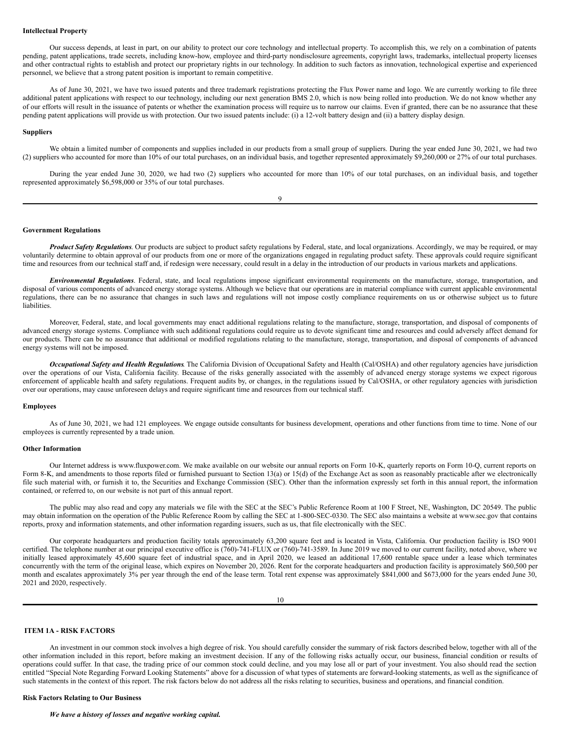#### **Intellectual Property**

Our success depends, at least in part, on our ability to protect our core technology and intellectual property. To accomplish this, we rely on a combination of patents pending, patent applications, trade secrets, including know-how, employee and third-party nondisclosure agreements, copyright laws, trademarks, intellectual property licenses and other contractual rights to establish and protect our proprietary rights in our technology. In addition to such factors as innovation, technological expertise and experienced personnel, we believe that a strong patent position is important to remain competitive.

As of June 30, 2021, we have two issued patents and three trademark registrations protecting the Flux Power name and logo. We are currently working to file three additional patent applications with respect to our technology, including our next generation BMS 2.0, which is now being rolled into production. We do not know whether any of our efforts will result in the issuance of patents or whether the examination process will require us to narrow our claims. Even if granted, there can be no assurance that these pending patent applications will provide us with protection. Our two issued patents include: (i) a 12-volt battery design and (ii) a battery display design.

#### **Suppliers**

We obtain a limited number of components and supplies included in our products from a small group of suppliers. During the year ended June 30, 2021, we had two (2) suppliers who accounted for more than 10% of our total purchases, on an individual basis, and together represented approximately \$9,260,000 or 27% of our total purchases.

During the year ended June 30, 2020, we had two (2) suppliers who accounted for more than 10% of our total purchases, on an individual basis, and together represented approximately \$6,598,000 or 35% of our total purchases.

#### 9

### **Government Regulations**

*Product Safety Regulations*. Our products are subject to product safety regulations by Federal, state, and local organizations. Accordingly, we may be required, or may voluntarily determine to obtain approval of our products from one or more of the organizations engaged in regulating product safety. These approvals could require significant time and resources from our technical staff and, if redesign were necessary, could result in a delay in the introduction of our products in various markets and applications.

*Environmental Regulations*. Federal, state, and local regulations impose significant environmental requirements on the manufacture, storage, transportation, and disposal of various components of advanced energy storage systems. Although we believe that our operations are in material compliance with current applicable environmental regulations, there can be no assurance that changes in such laws and regulations will not impose costly compliance requirements on us or otherwise subject us to future liabilities.

Moreover, Federal, state, and local governments may enact additional regulations relating to the manufacture, storage, transportation, and disposal of components of advanced energy storage systems. Compliance with such additional regulations could require us to devote significant time and resources and could adversely affect demand for our products. There can be no assurance that additional or modified regulations relating to the manufacture, storage, transportation, and disposal of components of advanced energy systems will not be imposed.

*Occupational Safety and Health Regulations*. The California Division of Occupational Safety and Health (Cal/OSHA) and other regulatory agencies have jurisdiction over the operations of our Vista, California facility. Because of the risks generally associated with the assembly of advanced energy storage systems we expect rigorous enforcement of applicable health and safety regulations. Frequent audits by, or changes, in the regulations issued by Cal/OSHA, or other regulatory agencies with jurisdiction over our operations, may cause unforeseen delays and require significant time and resources from our technical staff.

#### **Employees**

As of June 30, 2021, we had 121 employees. We engage outside consultants for business development, operations and other functions from time to time. None of our employees is currently represented by a trade union.

#### **Other Information**

Our Internet address is www.fluxpower.com. We make available on our website our annual reports on Form 10-K, quarterly reports on Form 10-Q, current reports on Form 8-K, and amendments to those reports filed or furnished pursuant to Section 13(a) or 15(d) of the Exchange Act as soon as reasonably practicable after we electronically file such material with, or furnish it to, the Securities and Exchange Commission (SEC). Other than the information expressly set forth in this annual report, the information contained, or referred to, on our website is not part of this annual report.

The public may also read and copy any materials we file with the SEC at the SEC's Public Reference Room at 100 F Street, NE, Washington, DC 20549. The public may obtain information on the operation of the Public Reference Room by calling the SEC at 1-800-SEC-0330. The SEC also maintains a website at www.sec.gov that contains reports, proxy and information statements, and other information regarding issuers, such as us, that file electronically with the SEC.

Our corporate headquarters and production facility totals approximately 63,200 square feet and is located in Vista, California. Our production facility is ISO 9001 certified. The telephone number at our principal executive office is (760)-741-FLUX or (760)-741-3589. In June 2019 we moved to our current facility, noted above, where we initially leased approximately 45,600 square feet of industrial space, and in April 2020, we leased an additional 17,600 rentable space under a lease which terminates concurrently with the term of the original lease, which expires on November 20, 2026. Rent for the corporate headquarters and production facility is approximately \$60,500 per month and escalates approximately 3% per year through the end of the lease term. Total rent expense was approximately \$841,000 and \$673,000 for the years ended June 30, 2021 and 2020, respectively.

#### <span id="page-6-0"></span>**ITEM 1A - RISK FACTORS**

An investment in our common stock involves a high degree of risk. You should carefully consider the summary of risk factors described below, together with all of the other information included in this report, before making an investment decision. If any of the following risks actually occur, our business, financial condition or results of operations could suffer. In that case, the trading price of our common stock could decline, and you may lose all or part of your investment. You also should read the section entitled "Special Note Regarding Forward Looking Statements" above for a discussion of what types of statements are forward-looking statements, as well as the significance of such statements in the context of this report. The risk factors below do not address all the risks relating to securities, business and operations, and financial condition.

### **Risk Factors Relating to Our Business**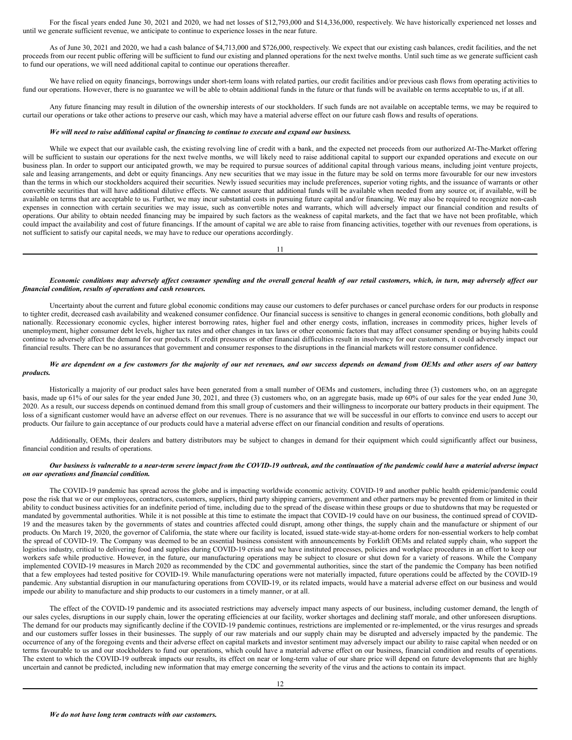For the fiscal years ended June 30, 2021 and 2020, we had net losses of \$12,793,000 and \$14,336,000, respectively. We have historically experienced net losses and until we generate sufficient revenue, we anticipate to continue to experience losses in the near future.

As of June 30, 2021 and 2020, we had a cash balance of \$4,713,000 and \$726,000, respectively. We expect that our existing cash balances, credit facilities, and the net proceeds from our recent public offering will be sufficient to fund our existing and planned operations for the next twelve months. Until such time as we generate sufficient cash to fund our operations, we will need additional capital to continue our operations thereafter.

We have relied on equity financings, borrowings under short-term loans with related parties, our credit facilities and/or previous cash flows from operating activities to fund our operations. However, there is no guarantee we will be able to obtain additional funds in the future or that funds will be available on terms acceptable to us, if at all.

Any future financing may result in dilution of the ownership interests of our stockholders. If such funds are not available on acceptable terms, we may be required to curtail our operations or take other actions to preserve our cash, which may have a material adverse effect on our future cash flows and results of operations.

#### *We will need to raise additional capital or financing to continue to execute and expand our business.*

While we expect that our available cash, the existing revolving line of credit with a bank, and the expected net proceeds from our authorized At-The-Market offering will be sufficient to sustain our operations for the next twelve months, we will likely need to raise additional capital to support our expanded operations and execute on our business plan. In order to support our anticipated growth, we may be required to pursue sources of additional capital through various means, including joint venture projects, sale and leasing arrangements, and debt or equity financings. Any new securities that we may issue in the future may be sold on terms more favourable for our new investors than the terms in which our stockholders acquired their securities. Newly issued securities may include preferences, superior voting rights, and the issuance of warrants or other convertible securities that will have additional dilutive effects. We cannot assure that additional funds will be available when needed from any source or, if available, will be available on terms that are acceptable to us. Further, we may incur substantial costs in pursuing future capital and/or financing. We may also be required to recognize non-cash expenses in connection with certain securities we may issue, such as convertible notes and warrants, which will adversely impact our financial condition and results of operations. Our ability to obtain needed financing may be impaired by such factors as the weakness of capital markets, and the fact that we have not been profitable, which could impact the availability and cost of future financings. If the amount of capital we are able to raise from financing activities, together with our revenues from operations, is not sufficient to satisfy our capital needs, we may have to reduce our operations accordingly.

11

### Economic conditions may adversely affect consumer spending and the overall general health of our retail customers, which, in turn, may adversely affect our *financial condition, results of operations and cash resources.*

Uncertainty about the current and future global economic conditions may cause our customers to defer purchases or cancel purchase orders for our products in response to tighter credit, decreased cash availability and weakened consumer confidence. Our financial success is sensitive to changes in general economic conditions, both globally and nationally. Recessionary economic cycles, higher interest borrowing rates, higher fuel and other energy costs, inflation, increases in commodity prices, higher levels of unemployment, higher consumer debt levels, higher tax rates and other changes in tax laws or other economic factors that may affect consumer spending or buying habits could continue to adversely affect the demand for our products. If credit pressures or other financial difficulties result in insolvency for our customers, it could adversely impact our financial results. There can be no assurances that government and consumer responses to the disruptions in the financial markets will restore consumer confidence.

### We are dependent on a few customers for the majority of our net revenues, and our success depends on demand from OEMs and other users of our battery *products.*

Historically a majority of our product sales have been generated from a small number of OEMs and customers, including three (3) customers who, on an aggregate basis, made up 61% of our sales for the year ended June 30, 2021, and three (3) customers who, on an aggregate basis, made up 60% of our sales for the year ended June 30, 2020. As a result, our success depends on continued demand from this small group of customers and their willingness to incorporate our battery products in their equipment. The loss of a significant customer would have an adverse effect on our revenues. There is no assurance that we will be successful in our efforts to convince end users to accept our products. Our failure to gain acceptance of our products could have a material adverse effect on our financial condition and results of operations.

Additionally, OEMs, their dealers and battery distributors may be subject to changes in demand for their equipment which could significantly affect our business, financial condition and results of operations.

### Our business is vulnerable to a near-term severe impact from the COVID-19 outbreak, and the continuation of the pandemic could have a material adverse impact *on our operations and financial condition.*

The COVID-19 pandemic has spread across the globe and is impacting worldwide economic activity. COVID-19 and another public health epidemic/pandemic could pose the risk that we or our employees, contractors, customers, suppliers, third party shipping carriers, government and other partners may be prevented from or limited in their ability to conduct business activities for an indefinite period of time, including due to the spread of the disease within these groups or due to shutdowns that may be requested or mandated by governmental authorities. While it is not possible at this time to estimate the impact that COVID-19 could have on our business, the continued spread of COVID-19 and the measures taken by the governments of states and countries affected could disrupt, among other things, the supply chain and the manufacture or shipment of our products. On March 19, 2020, the governor of California, the state where our facility is located, issued state-wide stay-at-home orders for non-essential workers to help combat the spread of COVID-19. The Company was deemed to be an essential business consistent with announcements by Forklift OEMs and related supply chain, who support the logistics industry, critical to delivering food and supplies during COVID-19 crisis and we have instituted processes, policies and workplace procedures in an effort to keep our workers safe while productive. However, in the future, our manufacturing operations may be subject to closure or shut down for a variety of reasons. While the Company implemented COVID-19 measures in March 2020 as recommended by the CDC and governmental authorities, since the start of the pandemic the Company has been notified that a few employees had tested positive for COVID-19. While manufacturing operations were not materially impacted, future operations could be affected by the COVID-19 pandemic. Any substantial disruption in our manufacturing operations from COVID-19, or its related impacts, would have a material adverse effect on our business and would impede our ability to manufacture and ship products to our customers in a timely manner, or at all.

The effect of the COVID-19 pandemic and its associated restrictions may adversely impact many aspects of our business, including customer demand, the length of our sales cycles, disruptions in our supply chain, lower the operating efficiencies at our facility, worker shortages and declining staff morale, and other unforeseen disruptions. The demand for our products may significantly decline if the COVID-19 pandemic continues, restrictions are implemented or re-implemented, or the virus resurges and spreads and our customers suffer losses in their businesses. The supply of our raw materials and our supply chain may be disrupted and adversely impacted by the pandemic. The occurrence of any of the foregoing events and their adverse effect on capital markets and investor sentiment may adversely impact our ability to raise capital when needed or on terms favourable to us and our stockholders to fund our operations, which could have a material adverse effect on our business, financial condition and results of operations. The extent to which the COVID-19 outbreak impacts our results, its effect on near or long-term value of our share price will depend on future developments that are highly uncertain and cannot be predicted, including new information that may emerge concerning the severity of the virus and the actions to contain its impact.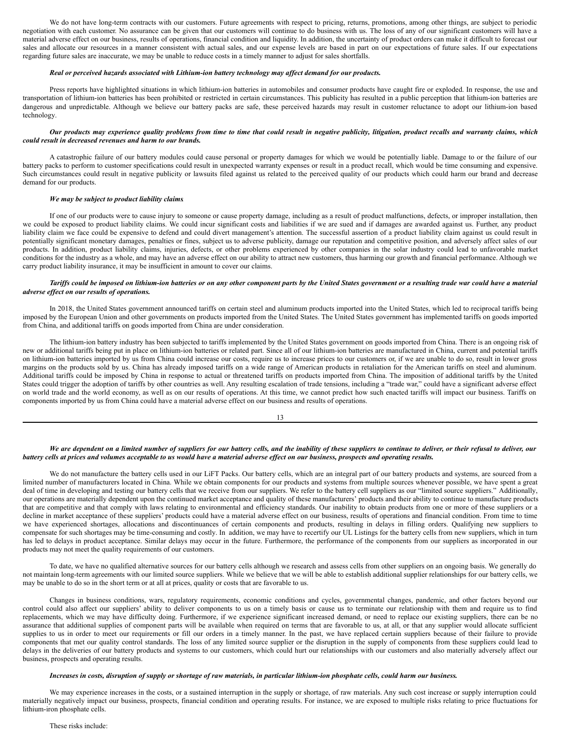We do not have long-term contracts with our customers. Future agreements with respect to pricing, returns, promotions, among other things, are subject to periodic negotiation with each customer. No assurance can be given that our customers will continue to do business with us. The loss of any of our significant customers will have a material adverse effect on our business, results of operations, financial condition and liquidity. In addition, the uncertainty of product orders can make it difficult to forecast our sales and allocate our resources in a manner consistent with actual sales, and our expense levels are based in part on our expectations of future sales. If our expectations regarding future sales are inaccurate, we may be unable to reduce costs in a timely manner to adjust for sales shortfalls.

#### *Real or perceived hazards associated with Lithium-ion battery technology may af ect demand for our products.*

Press reports have highlighted situations in which lithium-ion batteries in automobiles and consumer products have caught fire or exploded. In response, the use and transportation of lithium-ion batteries has been prohibited or restricted in certain circumstances. This publicity has resulted in a public perception that lithium-ion batteries are dangerous and unpredictable. Although we believe our battery packs are safe, these perceived hazards may result in customer reluctance to adopt our lithium-ion based technology.

### Our products may experience quality problems from time to time that could result in negative publicity, litigation, product recalls and warranty claims, which *could result in decreased revenues and harm to our brands.*

A catastrophic failure of our battery modules could cause personal or property damages for which we would be potentially liable. Damage to or the failure of our battery packs to perform to customer specifications could result in unexpected warranty expenses or result in a product recall, which would be time consuming and expensive. Such circumstances could result in negative publicity or lawsuits filed against us related to the perceived quality of our products which could harm our brand and decrease demand for our products.

### *We may be subject to product liability claims*.

If one of our products were to cause injury to someone or cause property damage, including as a result of product malfunctions, defects, or improper installation, then we could be exposed to product liability claims. We could incur significant costs and liabilities if we are sued and if damages are awarded against us. Further, any product liability claim we face could be expensive to defend and could divert management's attention. The successful assertion of a product liability claim against us could result in potentially significant monetary damages, penalties or fines, subject us to adverse publicity, damage our reputation and competitive position, and adversely affect sales of our products. In addition, product liability claims, injuries, defects, or other problems experienced by other companies in the solar industry could lead to unfavorable market conditions for the industry as a whole, and may have an adverse effect on our ability to attract new customers, thus harming our growth and financial performance. Although we carry product liability insurance, it may be insufficient in amount to cover our claims.

### Tariffs could be imposed on lithium-ion batteries or on any other component parts by the United States government or a resulting trade war could have a material *adverse ef ect on our results of operations.*

In 2018, the United States government announced tariffs on certain steel and aluminum products imported into the United States, which led to reciprocal tariffs being imposed by the European Union and other governments on products imported from the United States. The United States government has implemented tariffs on goods imported from China, and additional tariffs on goods imported from China are under consideration.

The lithium-ion battery industry has been subjected to tariffs implemented by the United States government on goods imported from China. There is an ongoing risk of new or additional tariffs being put in place on lithium-ion batteries or related part. Since all of our lithium-ion batteries are manufactured in China, current and potential tariffs on lithium-ion batteries imported by us from China could increase our costs, require us to increase prices to our customers or, if we are unable to do so, result in lower gross margins on the products sold by us. China has already imposed tariffs on a wide range of American products in retaliation for the American tariffs on steel and aluminum. Additional tariffs could be imposed by China in response to actual or threatened tariffs on products imported from China. The imposition of additional tariffs by the United States could trigger the adoption of tariffs by other countries as well. Any resulting escalation of trade tensions, including a "trade war," could have a significant adverse effect on world trade and the world economy, as well as on our results of operations. At this time, we cannot predict how such enacted tariffs will impact our business. Tariffs on components imported by us from China could have a material adverse effect on our business and results of operations.

13

### We are dependent on a limited number of suppliers for our battery cells, and the inability of these suppliers to continue to deliver, or their refusal to deliver, our battery cells at prices and volumes acceptable to us would have a material adverse effect on our business, prospects and operating results.

We do not manufacture the battery cells used in our LiFT Packs. Our battery cells, which are an integral part of our battery products and systems, are sourced from a limited number of manufacturers located in China. While we obtain components for our products and systems from multiple sources whenever possible, we have spent a great deal of time in developing and testing our battery cells that we receive from our suppliers. We refer to the battery cell suppliers as our "limited source suppliers." Additionally, our operations are materially dependent upon the continued market acceptance and quality of these manufacturers' products and their ability to continue to manufacture products that are competitive and that comply with laws relating to environmental and efficiency standards. Our inability to obtain products from one or more of these suppliers or a decline in market acceptance of these suppliers' products could have a material adverse effect on our business, results of operations and financial condition. From time to time we have experienced shortages, allocations and discontinuances of certain components and products, resulting in delays in filling orders. Qualifying new suppliers to compensate for such shortages may be time-consuming and costly. In addition, we may have to recertify our UL Listings for the battery cells from new suppliers, which in turn has led to delays in product acceptance. Similar delays may occur in the future. Furthermore, the performance of the components from our suppliers as incorporated in our products may not meet the quality requirements of our customers.

To date, we have no qualified alternative sources for our battery cells although we research and assess cells from other suppliers on an ongoing basis. We generally do not maintain long-term agreements with our limited source suppliers. While we believe that we will be able to establish additional supplier relationships for our battery cells, we may be unable to do so in the short term or at all at prices, quality or costs that are favorable to us.

Changes in business conditions, wars, regulatory requirements, economic conditions and cycles, governmental changes, pandemic, and other factors beyond our control could also affect our suppliers' ability to deliver components to us on a timely basis or cause us to terminate our relationship with them and require us to find replacements, which we may have difficulty doing. Furthermore, if we experience significant increased demand, or need to replace our existing suppliers, there can be no assurance that additional supplies of component parts will be available when required on terms that are favorable to us, at all, or that any supplier would allocate sufficient supplies to us in order to meet our requirements or fill our orders in a timely manner. In the past, we have replaced certain suppliers because of their failure to provide components that met our quality control standards. The loss of any limited source supplier or the disruption in the supply of components from these suppliers could lead to delays in the deliveries of our battery products and systems to our customers, which could hurt our relationships with our customers and also materially adversely affect our business, prospects and operating results.

#### Increases in costs, disruption of supply or shortage of raw materials, in particular lithium-ion phosphate cells, could harm our business.

We may experience increases in the costs, or a sustained interruption in the supply or shortage, of raw materials. Any such cost increase or supply interruption could materially negatively impact our business, prospects, financial condition and operating results. For instance, we are exposed to multiple risks relating to price fluctuations for lithium-iron phosphate cells.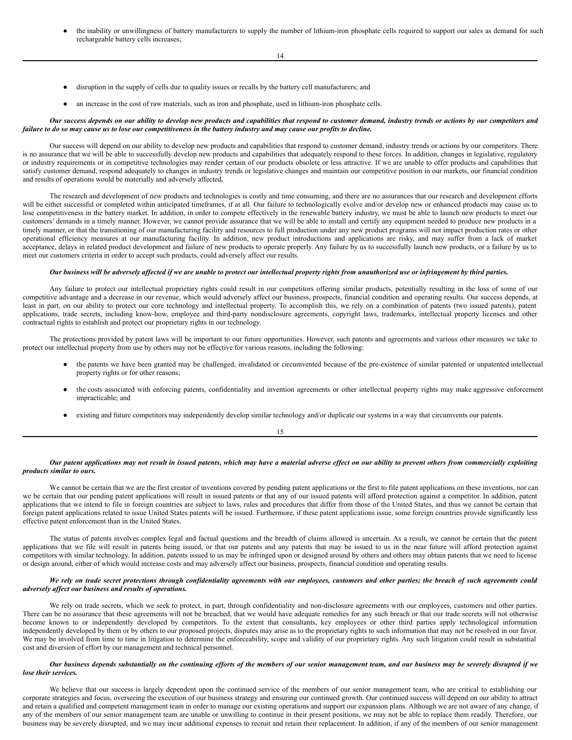the inability or unwillingness of battery manufacturers to supply the number of lithium-iron phosphate cells required to support our sales as demand for such rechargeable battery cells increases;

- disruption in the supply of cells due to quality issues or recalls by the battery cell manufacturers; and
- an increase in the cost of raw materials, such as iron and phosphate, used in lithium-iron phosphate cells.

### Our success depends on our ability to develop new products and capabilities that respond to customer demand, industry trends or actions by our competitors and failure to do so may cause us to lose our competitiveness in the battery industry and may cause our profits to decline.

Our success will depend on our ability to develop new products and capabilities that respond to customer demand, industry trends or actions by our competitors. There is no assurance that we will be able to successfully develop new products and capabilities that adequately respond to these forces. In addition, changes in legislative, regulatory or industry requirements or in competitive technologies may render certain of our products obsolete or less attractive. If we are unable to offer products and capabilities that satisfy customer demand, respond adequately to changes in industry trends or legislative changes and maintain our competitive position in our markets, our financial condition and results of operations would be materially and adversely affected*.*

The research and development of new products and technologies is costly and time consuming, and there are no assurances that our research and development efforts will be either successful or completed within anticipated timeframes, if at all. Our failure to technologically evolve and/or develop new or enhanced products may cause us to lose competitiveness in the battery market. In addition, in order to compete effectively in the renewable battery industry, we must be able to launch new products to meet our customers' demands in a timely manner. However, we cannot provide assurance that we will be able to install and certify any equipment needed to produce new products in a timely manner, or that the transitioning of our manufacturing facility and resources to full production under any new product programs will not impact production rates or other operational efficiency measures at our manufacturing facility. In addition, new product introductions and applications are risky, and may suffer from a lack of market acceptance, delays in related product development and failure of new products to operate properly. Any failure by us to successfully launch new products, or a failure by us to meet our customers criteria in order to accept such products, could adversely affect our results.

### Our business will be adversely affected if we are unable to protect our intellectual property rights from unauthorized use or infringement by third parties.

Any failure to protect our intellectual proprietary rights could result in our competitors offering similar products, potentially resulting in the loss of some of our competitive advantage and a decrease in our revenue, which would adversely affect our business, prospects, financial condition and operating results. Our success depends, at least in part, on our ability to protect our core technology and intellectual property. To accomplish this, we rely on a combination of patents (two issued patents), patent applications, trade secrets, including know-how, employee and third-party nondisclosure agreements, copyright laws, trademarks, intellectual property licenses and other contractual rights to establish and protect our proprietary rights in our technology.

The protections provided by patent laws will be important to our future opportunities. However, such patents and agreements and various other measures we take to protect our intellectual property from use by others may not be effective for various reasons, including the following:

- the patents we have been granted may be challenged, invalidated or circumvented because of the pre-existence of similar patented or unpatented intellectual property rights or for other reasons;
- the costs associated with enforcing patents, confidentiality and invention agreements or other intellectual property rights may make aggressive enforcement impracticable; and
- existing and future competitors may independently develop similar technology and/or duplicate our systems in a way that circumvents our patents.

15

### Our patent applications may not result in issued patents, which may have a material adverse effect on our ability to prevent others from commercially exploiting *products similar to ours.*

We cannot be certain that we are the first creator of inventions covered by pending patent applications or the first to file patent applications on these inventions, nor can we be certain that our pending patent applications will result in issued patents or that any of our issued patents will afford protection against a competitor. In addition, patent applications that we intend to file in foreign countries are subject to laws, rules and procedures that differ from those of the United States, and thus we cannot be certain that foreign patent applications related to issue United States patents will be issued. Furthermore, if these patent applications issue, some foreign countries provide significantly less effective patent enforcement than in the United States.

The status of patents involves complex legal and factual questions and the breadth of claims allowed is uncertain. As a result, we cannot be certain that the patent applications that we file will result in patents being issued, or that our patents and any patents that may be issued to us in the near future will afford protection against competitors with similar technology. In addition, patents issued to us may be infringed upon or designed around by others and others may obtain patents that we need to license or design around, either of which would increase costs and may adversely affect our business, prospects, financial condition and operating results.

### We rely on trade secret protections through confidentiality agreements with our employees, customers and other parties; the breach of such agreements could *adversely af ect our business and results of operations.*

We rely on trade secrets, which we seek to protect, in part, through confidentiality and non-disclosure agreements with our employees, customers and other parties. There can be no assurance that these agreements will not be breached, that we would have adequate remedies for any such breach or that our trade secrets will not otherwise become known to or independently developed by competitors. To the extent that consultants, key employees or other third parties apply technological information independently developed by them or by others to our proposed projects, disputes may arise as to the proprietary rights to such information that may not be resolved in our favor. We may be involved from time to time in litigation to determine the enforceability, scope and validity of our proprietary rights. Any such litigation could result in substantial cost and diversion of effort by our management and technical personnel.

### Our business depends substantially on the continuing efforts of the members of our senior management team, and our business may be severely disrupted if we *lose their services.*

We believe that our success is largely dependent upon the continued service of the members of our senior management team, who are critical to establishing our corporate strategies and focus, overseeing the execution of our business strategy and ensuring our continued growth. Our continued success will depend on our ability to attract and retain a qualified and competent management team in order to manage our existing operations and support our expansion plans. Although we are not aware of any change, if any of the members of our senior management team are unable or unwilling to continue in their present positions, we may not be able to replace them readily. Therefore, our business may be severely disrupted, and we may incur additional expenses to recruit and retain their replacement. In addition, if any of the members of our senior management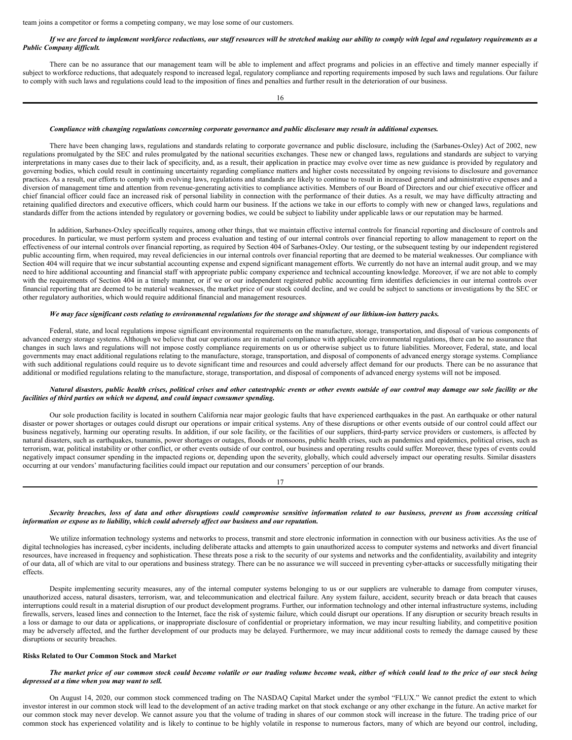team joins a competitor or forms a competing company, we may lose some of our customers.

### If we are forced to implement workforce reductions, our staff resources will be stretched making our ability to comply with legal and regulatory requirements as a *Public Company dif icult.*

There can be no assurance that our management team will be able to implement and affect programs and policies in an effective and timely manner especially if subject to workforce reductions, that adequately respond to increased legal, regulatory compliance and reporting requirements imposed by such laws and regulations. Our failure to comply with such laws and regulations could lead to the imposition of fines and penalties and further result in the deterioration of our business.

#### Compliance with changing regulations concerning corporate governance and public disclosure may result in additional expenses.

There have been changing laws, regulations and standards relating to corporate governance and public disclosure, including the (Sarbanes-Oxley) Act of 2002, new regulations promulgated by the SEC and rules promulgated by the national securities exchanges. These new or changed laws, regulations and standards are subject to varying interpretations in many cases due to their lack of specificity, and, as a result, their application in practice may evolve over time as new guidance is provided by regulatory and governing bodies, which could result in continuing uncertainty regarding compliance matters and higher costs necessitated by ongoing revisions to disclosure and governance practices. As a result, our efforts to comply with evolving laws, regulations and standards are likely to continue to result in increased general and administrative expenses and a diversion of management time and attention from revenue-generating activities to compliance activities. Members of our Board of Directors and our chief executive officer and chief financial officer could face an increased risk of personal liability in connection with the performance of their duties. As a result, we may have difficulty attracting and retaining qualified directors and executive officers, which could harm our business. If the actions we take in our efforts to comply with new or changed laws, regulations and standards differ from the actions intended by regulatory or governing bodies, we could be subject to liability under applicable laws or our reputation may be harmed.

In addition, Sarbanes-Oxley specifically requires, among other things, that we maintain effective internal controls for financial reporting and disclosure of controls and procedures. In particular, we must perform system and process evaluation and testing of our internal controls over financial reporting to allow management to report on the effectiveness of our internal controls over financial reporting, as required by Section 404 of Sarbanes-Oxley. Our testing, or the subsequent testing by our independent registered public accounting firm, when required, may reveal deficiencies in our internal controls over financial reporting that are deemed to be material weaknesses. Our compliance with Section 404 will require that we incur substantial accounting expense and expend significant management efforts. We currently do not have an internal audit group, and we may need to hire additional accounting and financial staff with appropriate public company experience and technical accounting knowledge. Moreover, if we are not able to comply with the requirements of Section 404 in a timely manner, or if we or our independent registered public accounting firm identifies deficiencies in our internal controls over financial reporting that are deemed to be material weaknesses, the market price of our stock could decline, and we could be subject to sanctions or investigations by the SEC or other regulatory authorities, which would require additional financial and management resources.

#### We may face significant costs relating to environmental regulations for the storage and shipment of our lithium-ion battery packs.

Federal, state, and local regulations impose significant environmental requirements on the manufacture, storage, transportation, and disposal of various components of advanced energy storage systems. Although we believe that our operations are in material compliance with applicable environmental regulations, there can be no assurance that changes in such laws and regulations will not impose costly compliance requirements on us or otherwise subject us to future liabilities. Moreover, Federal, state, and local governments may enact additional regulations relating to the manufacture, storage, transportation, and disposal of components of advanced energy storage systems. Compliance with such additional regulations could require us to devote significant time and resources and could adversely affect demand for our products. There can be no assurance that additional or modified regulations relating to the manufacture, storage, transportation, and disposal of components of advanced energy systems will not be imposed.

### Natural disasters, public health crises, political crises and other catastrophic events or other events outside of our control may damage our sole facility or the *facilities of third parties on which we depend, and could impact consumer spending.*

Our sole production facility is located in southern California near major geologic faults that have experienced earthquakes in the past. An earthquake or other natural disaster or power shortages or outages could disrupt our operations or impair critical systems. Any of these disruptions or other events outside of our control could affect our business negatively, harming our operating results. In addition, if our sole facility, or the facilities of our suppliers, third-party service providers or customers, is affected by natural disasters, such as earthquakes, tsunamis, power shortages or outages, floods or monsoons, public health crises, such as pandemics and epidemics, political crises, such as terrorism, war, political instability or other conflict, or other events outside of our control, our business and operating results could suffer. Moreover, these types of events could negatively impact consumer spending in the impacted regions or, depending upon the severity, globally, which could adversely impact our operating results. Similar disasters occurring at our vendors' manufacturing facilities could impact our reputation and our consumers' perception of our brands.

17

### Security breaches, loss of data and other disruptions could compromise sensitive information related to our business, prevent us from accessing critical *information or expose us to liability, which could adversely af ect our business and our reputation.*

We utilize information technology systems and networks to process, transmit and store electronic information in connection with our business activities. As the use of digital technologies has increased, cyber incidents, including deliberate attacks and attempts to gain unauthorized access to computer systems and networks and divert financial resources, have increased in frequency and sophistication. These threats pose a risk to the security of our systems and networks and the confidentiality, availability and integrity of our data, all of which are vital to our operations and business strategy. There can be no assurance we will succeed in preventing cyber-attacks or successfully mitigating their effects.

Despite implementing security measures, any of the internal computer systems belonging to us or our suppliers are vulnerable to damage from computer viruses, unauthorized access, natural disasters, terrorism, war, and telecommunication and electrical failure. Any system failure, accident, security breach or data breach that causes interruptions could result in a material disruption of our product development programs. Further, our information technology and other internal infrastructure systems, including firewalls, servers, leased lines and connection to the Internet, face the risk of systemic failure, which could disrupt our operations. If any disruption or security breach results in a loss or damage to our data or applications, or inappropriate disclosure of confidential or proprietary information, we may incur resulting liability, and competitive position may be adversely affected, and the further development of our products may be delayed. Furthermore, we may incur additional costs to remedy the damage caused by these disruptions or security breaches.

### **Risks Related to Our Common Stock and Market**

### The market price of our common stock could become volatile or our trading volume become weak, either of which could lead to the price of our stock being *depressed at a time when you may want to sell.*

On August 14, 2020, our common stock commenced trading on The NASDAQ Capital Market under the symbol "FLUX." We cannot predict the extent to which investor interest in our common stock will lead to the development of an active trading market on that stock exchange or any other exchange in the future. An active market for our common stock may never develop. We cannot assure you that the volume of trading in shares of our common stock will increase in the future. The trading price of our common stock has experienced volatility and is likely to continue to be highly volatile in response to numerous factors, many of which are beyond our control, including,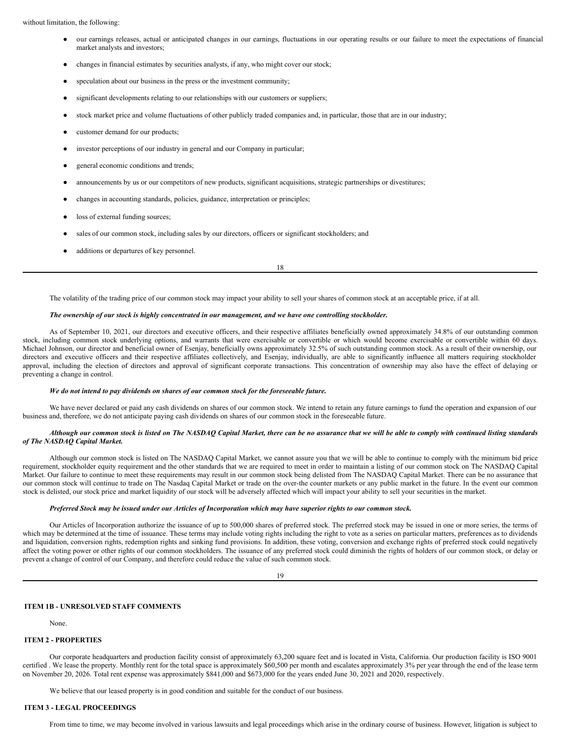- our earnings releases, actual or anticipated changes in our earnings, fluctuations in our operating results or our failure to meet the expectations of financial market analysts and investors;
- changes in financial estimates by securities analysts, if any, who might cover our stock;
- speculation about our business in the press or the investment community;
- significant developments relating to our relationships with our customers or suppliers;
- stock market price and volume fluctuations of other publicly traded companies and, in particular, those that are in our industry;
- customer demand for our products;
- investor perceptions of our industry in general and our Company in particular;
- general economic conditions and trends;
- announcements by us or our competitors of new products, significant acquisitions, strategic partnerships or divestitures;
- changes in accounting standards, policies, guidance, interpretation or principles;
- loss of external funding sources;
- sales of our common stock, including sales by our directors, officers or significant stockholders; and
- additions or departures of key personnel.

18

The volatility of the trading price of our common stock may impact your ability to sell your shares of common stock at an acceptable price, if at all.

### The ownership of our stock is highly concentrated in our management, and we have one controlling stockholder.

As of September 10, 2021, our directors and executive officers, and their respective affiliates beneficially owned approximately 34.8% of our outstanding common stock, including common stock underlying options, and warrants that were exercisable or convertible or which would become exercisable or convertible within 60 days. Michael Johnson, our director and beneficial owner of Esenjay, beneficially owns approximately 32.5% of such outstanding common stock. As a result of their ownership, our directors and executive officers and their respective affiliates collectively, and Esenjay, individually, are able to significantly influence all matters requiring stockholder approval, including the election of directors and approval of significant corporate transactions. This concentration of ownership may also have the effect of delaying or preventing a change in control.

#### *We do not intend to pay dividends on shares of our common stock for the foreseeable future.*

We have never declared or paid any cash dividends on shares of our common stock. We intend to retain any future earnings to fund the operation and expansion of our business and, therefore, we do not anticipate paying cash dividends on shares of our common stock in the foreseeable future.

### Although our common stock is listed on The NASDAQ Capital Market, there can be no assurance that we will be able to comply with continued listing standards *of The NASDAQ Capital Market.*

Although our common stock is listed on The NASDAQ Capital Market, we cannot assure you that we will be able to continue to comply with the minimum bid price requirement, stockholder equity requirement and the other standards that we are required to meet in order to maintain a listing of our common stock on The NASDAQ Capital Market. Our failure to continue to meet these requirements may result in our common stock being delisted from The NASDAQ Capital Market. There can be no assurance that our common stock will continue to trade on The Nasdaq Capital Market or trade on the over-the counter markets or any public market in the future. In the event our common stock is delisted, our stock price and market liquidity of our stock will be adversely affected which will impact your ability to sell your securities in the market.

### Preferred Stock may be issued under our Articles of Incorporation which may have superior rights to our common stock.

Our Articles of Incorporation authorize the issuance of up to 500,000 shares of preferred stock. The preferred stock may be issued in one or more series, the terms of which may be determined at the time of issuance. These terms may include voting rights including the right to vote as a series on particular matters, preferences as to dividends and liquidation, conversion rights, redemption rights and sinking fund provisions. In addition, these voting, conversion and exchange rights of preferred stock could negatively affect the voting power or other rights of our common stockholders. The issuance of any preferred stock could diminish the rights of holders of our common stock, or delay or prevent a change of control of our Company, and therefore could reduce the value of such common stock.

19

### <span id="page-11-0"></span>**ITEM 1B - UNRESOLVED STAFF COMMENTS**

None.

#### <span id="page-11-1"></span>**ITEM 2 - PROPERTIES**

Our corporate headquarters and production facility consist of approximately 63,200 square feet and is located in Vista, California. Our production facility is ISO 9001 certified . We lease the property. Monthly rent for the total space is approximately \$60,500 per month and escalates approximately 3% per year through the end of the lease term on November 20, 2026. Total rent expense was approximately \$841,000 and \$673,000 for the years ended June 30, 2021 and 2020, respectively.

We believe that our leased property is in good condition and suitable for the conduct of our business.

### <span id="page-11-2"></span>**ITEM 3 - LEGAL PROCEEDINGS**

From time to time, we may become involved in various lawsuits and legal proceedings which arise in the ordinary course of business. However, litigation is subject to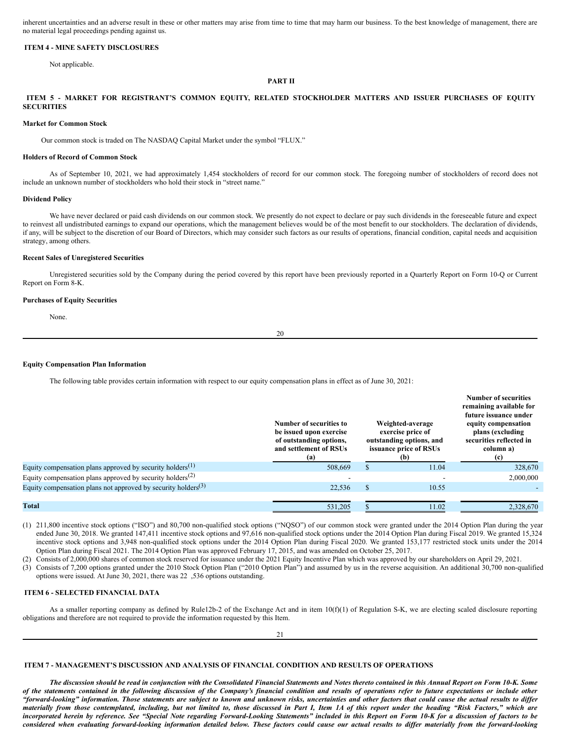inherent uncertainties and an adverse result in these or other matters may arise from time to time that may harm our business. To the best knowledge of management, there are no material legal proceedings pending against us.

### <span id="page-12-0"></span>**ITEM 4 - MINE SAFETY DISCLOSURES**

Not applicable.

### <span id="page-12-1"></span>**PART II**

### <span id="page-12-2"></span>**ITEM 5 - MARKET FOR REGISTRANT'S COMMON EQUITY, RELATED STOCKHOLDER MATTERS AND ISSUER PURCHASES OF EQUITY SECURITIES**

### **Market for Common Stock**

Our common stock is traded on The NASDAQ Capital Market under the symbol "FLUX."

#### **Holders of Record of Common Stock**

As of September 10, 2021, we had approximately 1,454 stockholders of record for our common stock. The foregoing number of stockholders of record does not include an unknown number of stockholders who hold their stock in "street name."

### **Dividend Policy**

We have never declared or paid cash dividends on our common stock. We presently do not expect to declare or pay such dividends in the foreseeable future and expect to reinvest all undistributed earnings to expand our operations, which the management believes would be of the most benefit to our stockholders. The declaration of dividends, if any, will be subject to the discretion of our Board of Directors, which may consider such factors as our results of operations, financial condition, capital needs and acquisition strategy, among others.

#### **Recent Sales of Unregistered Securities**

Unregistered securities sold by the Company during the period covered by this report have been previously reported in a Quarterly Report on Form 10-Q or Current Report on Form 8-K.

#### **Purchases of Equity Securities**

None.

20

### **Equity Compensation Plan Information**

The following table provides certain information with respect to our equity compensation plans in effect as of June 30, 2021:

|                                                                           | Number of securities to<br>be issued upon exercise<br>of outstanding options,<br>and settlement of RSUs<br>(a) |               | Weighted-average<br>exercise price of<br>outstanding options, and<br>issuance price of RSUs<br>(b) | <b>Number of securities</b><br>remaining available for<br>future issuance under<br>equity compensation<br>plans (excluding<br>securities reflected in<br>column a)<br>(c) |
|---------------------------------------------------------------------------|----------------------------------------------------------------------------------------------------------------|---------------|----------------------------------------------------------------------------------------------------|---------------------------------------------------------------------------------------------------------------------------------------------------------------------------|
| Equity compensation plans approved by security holders $(1)$              | 508,669                                                                                                        |               | 11.04                                                                                              | 328,670                                                                                                                                                                   |
| Equity compensation plans approved by security holders <sup>(2)</sup>     |                                                                                                                |               |                                                                                                    | 2,000,000                                                                                                                                                                 |
| Equity compensation plans not approved by security holders <sup>(3)</sup> | 22,536                                                                                                         | $\mathcal{S}$ | 10.55                                                                                              |                                                                                                                                                                           |
|                                                                           |                                                                                                                |               |                                                                                                    |                                                                                                                                                                           |
| <b>Total</b>                                                              | 531,205                                                                                                        |               | 11.02                                                                                              | 2,328,670                                                                                                                                                                 |

(1) 211,800 incentive stock options ("ISO") and 80,700 non-qualified stock options ("NQSO") of our common stock were granted under the 2014 Option Plan during the year ended June 30, 2018. We granted 147,411 incentive stock options and 97,616 non-qualified stock options under the 2014 Option Plan during Fiscal 2019. We granted 15,324 incentive stock options and 3,948 non-qualified stock options under the 2014 Option Plan during Fiscal 2020. We granted 153,177 restricted stock units under the 2014 Option Plan during Fiscal 2021. The 2014 Option Plan was approved February 17, 2015, and was amended on October 25, 2017.

(2) Consists of 2,000,000 shares of common stock reserved for issuance under the 2021 Equity Incentive Plan which was approved by our shareholders on April 29, 2021.

(3) Consists of 7,200 options granted under the 2010 Stock Option Plan ("2010 Option Plan") and assumed by us in the reverse acquisition. An additional 30,700 non-qualified options were issued. At June 30, 2021, there was 22 ,536 options outstanding.

### <span id="page-12-3"></span>**ITEM 6 - SELECTED FINANCIAL DATA**

As a smaller reporting company as defined by Rule12b-2 of the Exchange Act and in item  $10(f)(1)$  of Regulation S-K, we are electing scaled disclosure reporting obligations and therefore are not required to provide the information requested by this Item.

|--|

#### <span id="page-12-4"></span>**ITEM 7 - MANAGEMENT'S DISCUSSION AND ANALYSIS OF FINANCIAL CONDITION AND RESULTS OF OPERATIONS**

The discussion should be read in conjunction with the Consolidated Financial Statements and Notes thereto contained in this Annual Report on Form 10-K. Some of the statements contained in the following discussion of the Company's financial condition and results of operations refer to future expectations or include other "forward-looking" information. Those statements are subject to known and unknown risks, uncertainties and other factors that could cause the actual results to differ materially from those contemplated, including, but not limited to, those discussed in Part I, Item 1A of this report under the heading "Risk Factors," which are incorporated herein by reference. See "Special Note regarding Forward-Looking Statements" included in this Report on Form 10-K for a discussion of factors to be considered when evaluating forward-looking information detailed below. These factors could cause our actual results to differ materially from the forward-looking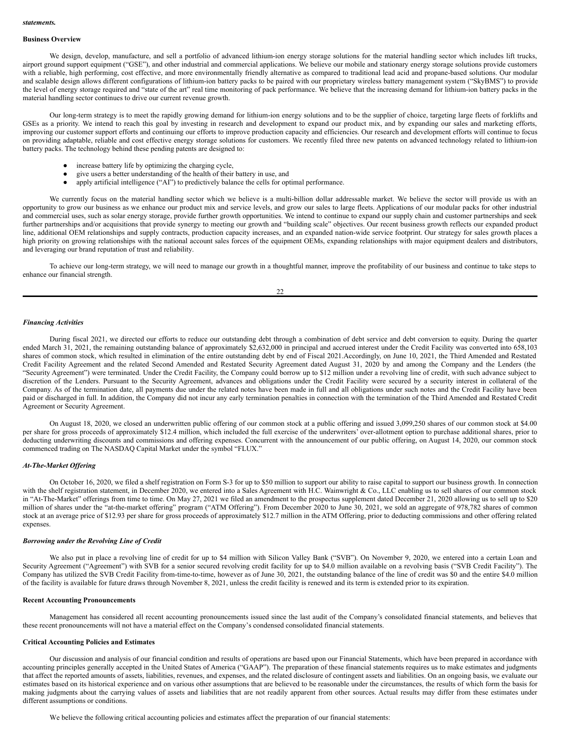### **Business Overview**

We design, develop, manufacture, and sell a portfolio of advanced lithium-ion energy storage solutions for the material handling sector which includes lift trucks, airport ground support equipment ("GSE"), and other industrial and commercial applications. We believe our mobile and stationary energy storage solutions provide customers with a reliable, high performing, cost effective, and more environmentally friendly alternative as compared to traditional lead acid and propane-based solutions. Our modular and scalable design allows different configurations of lithium-ion battery packs to be paired with our proprietary wireless battery management system ("SkyBMS") to provide the level of energy storage required and "state of the art" real time monitoring of pack performance. We believe that the increasing demand for lithium-ion battery packs in the material handling sector continues to drive our current revenue growth.

Our long-term strategy is to meet the rapidly growing demand for lithium-ion energy solutions and to be the supplier of choice, targeting large fleets of forklifts and GSEs as a priority. We intend to reach this goal by investing in research and development to expand our product mix, and by expanding our sales and marketing efforts, improving our customer support efforts and continuing our efforts to improve production capacity and efficiencies. Our research and development efforts will continue to focus on providing adaptable, reliable and cost effective energy storage solutions for customers. We recently filed three new patents on advanced technology related to lithium-ion battery packs. The technology behind these pending patents are designed to:

- increase battery life by optimizing the charging cycle,
- give users a better understanding of the health of their battery in use, and
- apply artificial intelligence ("AI") to predictively balance the cells for optimal performance.

We currently focus on the material handling sector which we believe is a multi-billion dollar addressable market. We believe the sector will provide us with an opportunity to grow our business as we enhance our product mix and service levels, and grow our sales to large fleets. Applications of our modular packs for other industrial and commercial uses, such as solar energy storage, provide further growth opportunities. We intend to continue to expand our supply chain and customer partnerships and seek further partnerships and/or acquisitions that provide synergy to meeting our growth and "building scale" objectives. Our recent business growth reflects our expanded product line, additional OEM relationships and supply contracts, production capacity increases, and an expanded nation-wide service footprint. Our strategy for sales growth places a high priority on growing relationships with the national account sales forces of the equipment OEMs, expanding relationships with major equipment dealers and distributors, and leveraging our brand reputation of trust and reliability.

To achieve our long-term strategy, we will need to manage our growth in a thoughtful manner, improve the profitability of our business and continue to take steps to enhance our financial strength.

 $22$ 

### *Financing Activities*

During fiscal 2021, we directed our efforts to reduce our outstanding debt through a combination of debt service and debt conversion to equity. During the quarter ended March 31, 2021, the remaining outstanding balance of approximately \$2,632,000 in principal and accrued interest under the Credit Facility was converted into 658,103 shares of common stock, which resulted in elimination of the entire outstanding debt by end of Fiscal 2021.Accordingly, on June 10, 2021, the Third Amended and Restated Credit Facility Agreement and the related Second Amended and Restated Security Agreement dated August 31, 2020 by and among the Company and the Lenders (the "Security Agreement") were terminated. Under the Credit Facility, the Company could borrow up to \$12 million under a revolving line of credit, with such advance subject to discretion of the Lenders. Pursuant to the Security Agreement, advances and obligations under the Credit Facility were secured by a security interest in collateral of the Company. As of the termination date, all payments due under the related notes have been made in full and all obligations under such notes and the Credit Facility have been paid or discharged in full. In addition, the Company did not incur any early termination penalties in connection with the termination of the Third Amended and Restated Credit Agreement or Security Agreement.

On August 18, 2020, we closed an underwritten public offering of our common stock at a public offering and issued 3,099,250 shares of our common stock at \$4.00 per share for gross proceeds of approximately \$12.4 million, which included the full exercise of the underwriters' over-allotment option to purchase additional shares, prior to deducting underwriting discounts and commissions and offering expenses. Concurrent with the announcement of our public offering, on August 14, 2020, our common stock commenced trading on The NASDAQ Capital Market under the symbol "FLUX."

### *At-The-Market Of ering*

On October 16, 2020, we filed a shelf registration on Form S-3 for up to \$50 million to support our ability to raise capital to support our business growth. In connection with the shelf registration statement, in December 2020, we entered into a Sales Agreement with H.C. Wainwright & Co., LLC enabling us to sell shares of our common stock in "At-The-Market" offerings from time to time. On May 27, 2021 we filed an amendment to the prospectus supplement dated December 21, 2020 allowing us to sell up to \$20 million of shares under the "at-the-market offering" program ("ATM Offering"). From December 2020 to June 30, 2021, we sold an aggregate of 978,782 shares of common stock at an average price of \$12.93 per share for gross proceeds of approximately \$12.7 million in the ATM Offering, prior to deducting commissions and other offering related expenses.

#### *Borrowing under the Revolving Line of Credit*

We also put in place a revolving line of credit for up to \$4 million with Silicon Valley Bank ("SVB"). On November 9, 2020, we entered into a certain Loan and Security Agreement ("Agreement") with SVB for a senior secured revolving credit facility for up to \$4.0 million available on a revolving basis ("SVB Credit Facility"). The Company has utilized the SVB Credit Facility from-time-to-time, however as of June 30, 2021, the outstanding balance of the line of credit was \$0 and the entire \$4.0 million of the facility is available for future draws through November 8, 2021, unless the credit facility is renewed and its term is extended prior to its expiration.

#### **Recent Accounting Pronouncements**

Management has considered all recent accounting pronouncements issued since the last audit of the Company's consolidated financial statements, and believes that these recent pronouncements will not have a material effect on the Company's condensed consolidated financial statements.

#### **Critical Accounting Policies and Estimates**

Our discussion and analysis of our financial condition and results of operations are based upon our Financial Statements, which have been prepared in accordance with accounting principles generally accepted in the United States of America ("GAAP"). The preparation of these financial statements requires us to make estimates and judgments that affect the reported amounts of assets, liabilities, revenues, and expenses, and the related disclosure of contingent assets and liabilities. On an ongoing basis, we evaluate our estimates based on its historical experience and on various other assumptions that are believed to be reasonable under the circumstances, the results of which form the basis for making judgments about the carrying values of assets and liabilities that are not readily apparent from other sources. Actual results may differ from these estimates under different assumptions or conditions.

We believe the following critical accounting policies and estimates affect the preparation of our financial statements: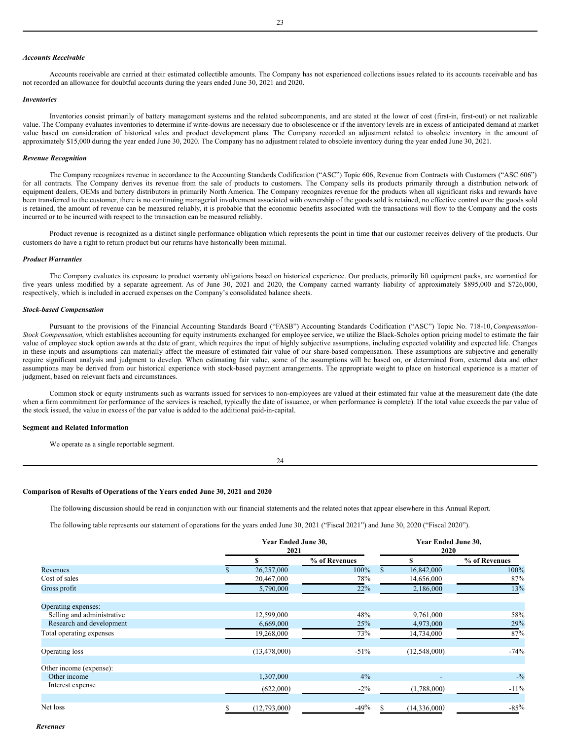### *Accounts Receivable*

Accounts receivable are carried at their estimated collectible amounts. The Company has not experienced collections issues related to its accounts receivable and has not recorded an allowance for doubtful accounts during the years ended June 30, 2021 and 2020.

#### *Inventories*

Inventories consist primarily of battery management systems and the related subcomponents, and are stated at the lower of cost (first-in, first-out) or net realizable value. The Company evaluates inventories to determine if write-downs are necessary due to obsolescence or if the inventory levels are in excess of anticipated demand at market value based on consideration of historical sales and product development plans. The Company recorded an adjustment related to obsolete inventory in the amount of approximately \$15,000 during the year ended June 30, 2020. The Company has no adjustment related to obsolete inventory during the year ended June 30, 2021.

### *Revenue Recognition*

The Company recognizes revenue in accordance to the Accounting Standards Codification ("ASC") Topic 606, Revenue from Contracts with Customers ("ASC 606") for all contracts. The Company derives its revenue from the sale of products to customers. The Company sells its products primarily through a distribution network of equipment dealers, OEMs and battery distributors in primarily North America. The Company recognizes revenue for the products when all significant risks and rewards have been transferred to the customer, there is no continuing managerial involvement associated with ownership of the goods sold is retained, no effective control over the goods sold is retained, the amount of revenue can be measured reliably, it is probable that the economic benefits associated with the transactions will flow to the Company and the costs incurred or to be incurred with respect to the transaction can be measured reliably.

Product revenue is recognized as a distinct single performance obligation which represents the point in time that our customer receives delivery of the products. Our customers do have a right to return product but our returns have historically been minimal.

#### *Product Warranties*

The Company evaluates its exposure to product warranty obligations based on historical experience. Our products, primarily lift equipment packs, are warrantied for five years unless modified by a separate agreement. As of June 30, 2021 and 2020, the Company carried warranty liability of approximately \$895,000 and \$726,000, respectively, which is included in accrued expenses on the Company's consolidated balance sheets.

#### *Stock-based Compensation*

Pursuant to the provisions of the Financial Accounting Standards Board ("FASB") Accounting Standards Codification ("ASC") Topic No. 718-10,*Compensation-Stock Compensation*, which establishes accounting for equity instruments exchanged for employee service, we utilize the Black-Scholes option pricing model to estimate the fair value of employee stock option awards at the date of grant, which requires the input of highly subjective assumptions, including expected volatility and expected life. Changes in these inputs and assumptions can materially affect the measure of estimated fair value of our share-based compensation. These assumptions are subjective and generally require significant analysis and judgment to develop. When estimating fair value, some of the assumptions will be based on, or determined from, external data and other assumptions may be derived from our historical experience with stock-based payment arrangements. The appropriate weight to place on historical experience is a matter of judgment, based on relevant facts and circumstances.

Common stock or equity instruments such as warrants issued for services to non-employees are valued at their estimated fair value at the measurement date (the date when a firm commitment for performance of the services is reached, typically the date of issuance, or when performance is complete). If the total value exceeds the par value of the stock issued, the value in excess of the par value is added to the additional paid-in-capital.

### **Segment and Related Information**

We operate as a single reportable segment.

24

### **Comparison of Results of Operations of the Years ended June 30, 2021 and 2020**

The following discussion should be read in conjunction with our financial statements and the related notes that appear elsewhere in this Annual Report.

The following table represents our statement of operations for the years ended June 30, 2021 ("Fiscal 2021") and June 30, 2020 ("Fiscal 2020").

|                            | Year Ended June 30,<br>2021 |               | Year Ended June 30,<br>2020 |               |  |
|----------------------------|-----------------------------|---------------|-----------------------------|---------------|--|
|                            |                             | % of Revenues |                             | % of Revenues |  |
| Revenues                   | 26,257,000                  | $100\%$       | 16,842,000                  | 100%          |  |
| Cost of sales              | 20,467,000                  | 78%           | 14,656,000                  | 87%           |  |
| Gross profit               | 5,790,000                   | 22%           | 2,186,000                   | 13%           |  |
| Operating expenses:        |                             |               |                             |               |  |
| Selling and administrative | 12,599,000                  | 48%           | 9,761,000                   | 58%           |  |
| Research and development   | 6,669,000                   | 25%           | 4,973,000                   | 29%           |  |
| Total operating expenses   | 19,268,000                  | 73%           | 14,734,000                  | 87%           |  |
| Operating loss             | (13, 478, 000)              | $-51\%$       | (12,548,000)                | $-74%$        |  |
| Other income (expense):    |                             |               |                             |               |  |
| Other income               | 1,307,000                   | 4%            |                             | $-1/2$        |  |
| Interest expense           | (622,000)                   | $-2\%$        | (1,788,000)                 | $-11\%$       |  |
| Net loss                   | (12,793,000)                | $-49%$        | (14,336,000)                | $-85%$        |  |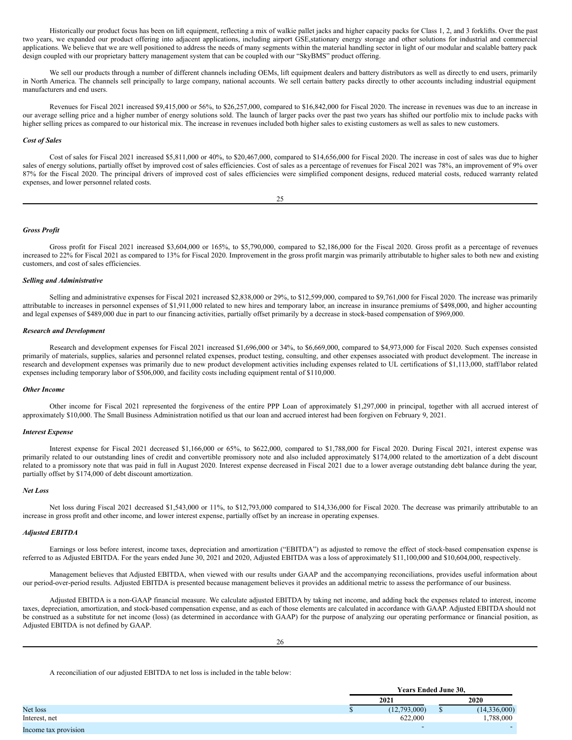Historically our product focus has been on lift equipment, reflecting a mix of walkie pallet jacks and higher capacity packs for Class 1, 2, and 3 forklifts. Over the past two years, we expanded our product offering into adjacent applications, including airport GSE,stationary energy storage and other solutions for industrial and commercial applications. We believe that we are well positioned to address the needs of many segments within the material handling sector in light of our modular and scalable battery pack design coupled with our proprietary battery management system that can be coupled with our "SkyBMS" product offering.

We sell our products through a number of different channels including OEMs, lift equipment dealers and battery distributors as well as directly to end users, primarily in North America. The channels sell principally to large company, national accounts. We sell certain battery packs directly to other accounts including industrial equipment manufacturers and end users.

Revenues for Fiscal 2021 increased \$9,415,000 or 56%, to \$26,257,000, compared to \$16,842,000 for Fiscal 2020. The increase in revenues was due to an increase in our average selling price and a higher number of energy solutions sold. The launch of larger packs over the past two years has shifted our portfolio mix to include packs with higher selling prices as compared to our historical mix. The increase in revenues included both higher sales to existing customers as well as sales to new customers.

#### *Cost of Sales*

Cost of sales for Fiscal 2021 increased \$5,811,000 or 40%, to \$20,467,000, compared to \$14,656,000 for Fiscal 2020. The increase in cost of sales was due to higher sales of energy solutions, partially offset by improved cost of sales efficiencies. Cost of sales as a percentage of revenues for Fiscal 2021 was 78%, an improvement of 9% over 87% for the Fiscal 2020. The principal drivers of improved cost of sales efficiencies were simplified component designs, reduced material costs, reduced warranty related expenses, and lower personnel related costs.

### *Gross Profit*

Gross profit for Fiscal 2021 increased \$3,604,000 or 165%, to \$5,790,000, compared to \$2,186,000 for the Fiscal 2020. Gross profit as a percentage of revenues increased to 22% for Fiscal 2021 as compared to 13% for Fiscal 2020. Improvement in the gross profit margin was primarily attributable to higher sales to both new and existing customers, and cost of sales efficiencies.

#### *Selling and Administrative*

Selling and administrative expenses for Fiscal 2021 increased \$2,838,000 or 29%, to \$12,599,000, compared to \$9,761,000 for Fiscal 2020. The increase was primarily attributable to increases in personnel expenses of \$1,911,000 related to new hires and temporary labor, an increase in insurance premiums of \$498,000, and higher accounting and legal expenses of \$489,000 due in part to our financing activities, partially offset primarily by a decrease in stock-based compensation of \$969,000.

#### *Research and Development*

Research and development expenses for Fiscal 2021 increased \$1,696,000 or 34%, to \$6,669,000, compared to \$4,973,000 for Fiscal 2020. Such expenses consisted primarily of materials, supplies, salaries and personnel related expenses, product testing, consulting, and other expenses associated with product development. The increase in research and development expenses was primarily due to new product development activities including expenses related to UL certifications of \$1,113,000, staff/labor related expenses including temporary labor of \$506,000, and facility costs including equipment rental of \$110,000.

### *Other Income*

Other income for Fiscal 2021 represented the forgiveness of the entire PPP Loan of approximately \$1,297,000 in principal, together with all accrued interest of approximately \$10,000. The Small Business Administration notified us that our loan and accrued interest had been forgiven on February 9, 2021.

#### *Interest Expense*

Interest expense for Fiscal 2021 decreased \$1,166,000 or 65%, to \$622,000, compared to \$1,788,000 for Fiscal 2020. During Fiscal 2021, interest expense was primarily related to our outstanding lines of credit and convertible promissory note and also included approximately \$174,000 related to the amortization of a debt discount related to a promissory note that was paid in full in August 2020. Interest expense decreased in Fiscal 2021 due to a lower average outstanding debt balance during the year, partially offset by \$174,000 of debt discount amortization.

#### *Net Loss*

Net loss during Fiscal 2021 decreased \$1,543,000 or 11%, to \$12,793,000 compared to \$14,336,000 for Fiscal 2020. The decrease was primarily attributable to an increase in gross profit and other income, and lower interest expense, partially offset by an increase in operating expenses.

#### *Adjusted EBITDA*

Earnings or loss before interest, income taxes, depreciation and amortization ("EBITDA") as adjusted to remove the effect of stock-based compensation expense is referred to as Adjusted EBITDA. For the years ended June 30, 2021 and 2020, Adjusted EBITDA was a loss of approximately \$11,100,000 and \$10,604,000, respectively.

Management believes that Adjusted EBITDA, when viewed with our results under GAAP and the accompanying reconciliations, provides useful information about our period-over-period results. Adjusted EBITDA is presented because management believes it provides an additional metric to assess the performance of our business.

Adjusted EBITDA is a non-GAAP financial measure. We calculate adjusted EBITDA by taking net income, and adding back the expenses related to interest, income taxes, depreciation, amortization, and stock-based compensation expense, and as each of those elements are calculated in accordance with GAAP. Adjusted EBITDA should not be construed as a substitute for net income (loss) (as determined in accordance with GAAP) for the purpose of analyzing our operating performance or financial position, as Adjusted EBITDA is not defined by GAAP.

26

A reconciliation of our adjusted EBITDA to net loss is included in the table below:

|                      | <b>Years Ended June 30,</b> |                |
|----------------------|-----------------------------|----------------|
|                      | 2021                        | 2020           |
| Net loss             | (12,793,000)                | (14, 336, 000) |
| Interest, net        | 622,000                     | 1,788,000      |
| Income tax provision | -                           |                |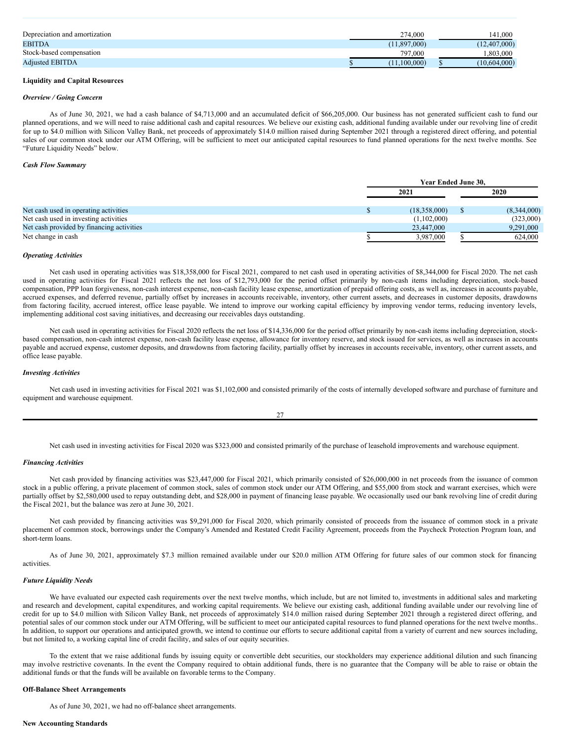| Depreciation and amortization | 274,000      | 141.000        |
|-------------------------------|--------------|----------------|
| <b>EBITDA</b>                 | (11.897.000) | (12, 407, 000) |
| Stock-based compensation      | 797,000      | .803.000       |
| <b>Adjusted EBITDA</b>        | 11.100.000   | (10.604, 000)  |

### **Liquidity and Capital Resources**

### *Overview / Going Concern*

As of June 30, 2021, we had a cash balance of \$4,713,000 and an accumulated deficit of \$66,205,000. Our business has not generated sufficient cash to fund our planned operations, and we will need to raise additional cash and capital resources. We believe our existing cash, additional funding available under our revolving line of credit for up to \$4.0 million with Silicon Valley Bank, net proceeds of approximately \$14.0 million raised during September 2021 through a registered direct offering, and potential sales of our common stock under our ATM Offering, will be sufficient to meet our anticipated capital resources to fund planned operations for the next twelve months. See "Future Liquidity Needs" below.

### *Cash Flow Summary*

|                                           |              | Year Ended June 30, |             |  |  |
|-------------------------------------------|--------------|---------------------|-------------|--|--|
|                                           | 2021         |                     | 2020        |  |  |
| Net cash used in operating activities     | (18,358,000) |                     | (8,344,000) |  |  |
| Net cash used in investing activities     | (1,102,000)  |                     | (323,000)   |  |  |
| Net cash provided by financing activities | 23,447,000   |                     | 9,291,000   |  |  |
| Net change in cash                        | 3,987,000    |                     | 624,000     |  |  |

#### *Operating Activities*

Net cash used in operating activities was \$18,358,000 for Fiscal 2021, compared to net cash used in operating activities of \$8,344,000 for Fiscal 2020. The net cash used in operating activities for Fiscal 2021 reflects the net loss of \$12,793,000 for the period offset primarily by non-cash items including depreciation, stock-based compensation, PPP loan forgiveness, non-cash interest expense, non-cash facility lease expense, amortization of prepaid offering costs, as well as, increases in accounts payable, accrued expenses, and deferred revenue, partially offset by increases in accounts receivable, inventory, other current assets, and decreases in customer deposits, drawdowns from factoring facility, accrued interest, office lease payable. We intend to improve our working capital efficiency by improving vendor terms, reducing inventory levels, implementing additional cost saving initiatives, and decreasing our receivables days outstanding.

Net cash used in operating activities for Fiscal 2020 reflects the net loss of \$14,336,000 for the period offset primarily by non-cash items including depreciation, stockbased compensation, non-cash interest expense, non-cash facility lease expense, allowance for inventory reserve, and stock issued for services, as well as increases in accounts payable and accrued expense, customer deposits, and drawdowns from factoring facility, partially offset by increases in accounts receivable, inventory, other current assets, and office lease payable.

### *Investing Activities*

Net cash used in investing activities for Fiscal 2021 was \$1,102,000 and consisted primarily of the costs of internally developed software and purchase of furniture and equipment and warehouse equipment.

Net cash used in investing activities for Fiscal 2020 was \$323,000 and consisted primarily of the purchase of leasehold improvements and warehouse equipment.

#### *Financing Activities*

Net cash provided by financing activities was \$23,447,000 for Fiscal 2021, which primarily consisted of \$26,000,000 in net proceeds from the issuance of common stock in a public offering, a private placement of common stock, sales of common stock under our ATM Offering, and \$55,000 from stock and warrant exercises, which were partially offset by \$2,580,000 used to repay outstanding debt, and \$28,000 in payment of financing lease payable. We occasionally used our bank revolving line of credit during the Fiscal 2021, but the balance was zero at June 30, 2021.

Net cash provided by financing activities was \$9,291,000 for Fiscal 2020, which primarily consisted of proceeds from the issuance of common stock in a private placement of common stock, borrowings under the Company's Amended and Restated Credit Facility Agreement, proceeds from the Paycheck Protection Program loan, and short-term loans.

As of June 30, 2021, approximately \$7.3 million remained available under our \$20.0 million ATM Offering for future sales of our common stock for financing activities.

### *Future Liquidity Needs*

We have evaluated our expected cash requirements over the next twelve months, which include, but are not limited to, investments in additional sales and marketing and research and development, capital expenditures, and working capital requirements. We believe our existing cash, additional funding available under our revolving line of credit for up to \$4.0 million with Silicon Valley Bank, net proceeds of approximately \$14.0 million raised during September 2021 through a registered direct offering, and potential sales of our common stock under our ATM Offering, will be sufficient to meet our anticipated capital resources to fund planned operations for the next twelve months.. In addition, to support our operations and anticipated growth, we intend to continue our efforts to secure additional capital from a variety of current and new sources including, but not limited to, a working capital line of credit facility, and sales of our equity securities.

To the extent that we raise additional funds by issuing equity or convertible debt securities, our stockholders may experience additional dilution and such financing may involve restrictive covenants. In the event the Company required to obtain additional funds, there is no guarantee that the Company will be able to raise or obtain the additional funds or that the funds will be available on favorable terms to the Company.

#### **Off-Balance Sheet Arrangements**

As of June 30, 2021, we had no off-balance sheet arrangements.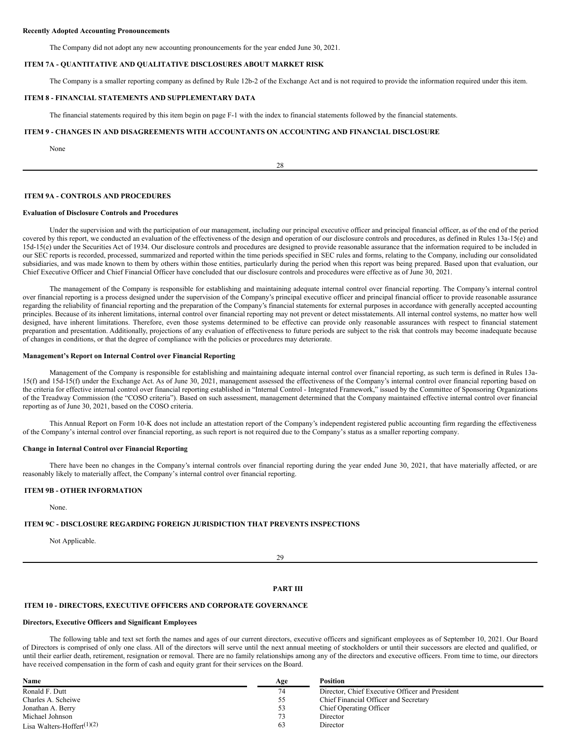#### **Recently Adopted Accounting Pronouncements**

The Company did not adopt any new accounting pronouncements for the year ended June 30, 2021.

### <span id="page-17-0"></span>**ITEM 7A - QUANTITATIVE AND QUALITATIVE DISCLOSURES ABOUT MARKET RISK**

The Company is a smaller reporting company as defined by Rule 12b-2 of the Exchange Act and is not required to provide the information required under this item.

### <span id="page-17-1"></span>**ITEM 8 - FINANCIAL STATEMENTS AND SUPPLEMENTARY DATA**

The financial statements required by this item begin on page F-1 with the index to financial statements followed by the financial statements.

#### <span id="page-17-2"></span>**ITEM 9 - CHANGES IN AND DISAGREEMENTS WITH ACCOUNTANTS ON ACCOUNTING AND FINANCIAL DISCLOSURE**

None

#### <span id="page-17-3"></span>**ITEM 9A - CONTROLS AND PROCEDURES**

#### **Evaluation of Disclosure Controls and Procedures**

Under the supervision and with the participation of our management, including our principal executive officer and principal financial officer, as of the end of the period covered by this report, we conducted an evaluation of the effectiveness of the design and operation of our disclosure controls and procedures, as defined in Rules 13a-15(e) and 15d-15(e) under the Securities Act of 1934. Our disclosure controls and procedures are designed to provide reasonable assurance that the information required to be included in our SEC reports is recorded, processed, summarized and reported within the time periods specified in SEC rules and forms, relating to the Company, including our consolidated subsidiaries, and was made known to them by others within those entities, particularly during the period when this report was being prepared. Based upon that evaluation, our Chief Executive Officer and Chief Financial Officer have concluded that our disclosure controls and procedures were effective as of June 30, 2021.

The management of the Company is responsible for establishing and maintaining adequate internal control over financial reporting. The Company's internal control over financial reporting is a process designed under the supervision of the Company's principal executive officer and principal financial officer to provide reasonable assurance regarding the reliability of financial reporting and the preparation of the Company's financial statements for external purposes in accordance with generally accepted accounting principles. Because of its inherent limitations, internal control over financial reporting may not prevent or detect misstatements. All internal control systems, no matter how well designed, have inherent limitations. Therefore, even those systems determined to be effective can provide only reasonable assurances with respect to financial statement preparation and presentation. Additionally, projections of any evaluation of effectiveness to future periods are subject to the risk that controls may become inadequate because of changes in conditions, or that the degree of compliance with the policies or procedures may deteriorate.

#### **Management's Report on Internal Control over Financial Reporting**

Management of the Company is responsible for establishing and maintaining adequate internal control over financial reporting, as such term is defined in Rules 13a-15(f) and 15d-15(f) under the Exchange Act. As of June 30, 2021, management assessed the effectiveness of the Company's internal control over financial reporting based on the criteria for effective internal control over financial reporting established in "Internal Control - Integrated Framework," issued by the Committee of Sponsoring Organizations of the Treadway Commission (the "COSO criteria"). Based on such assessment, management determined that the Company maintained effective internal control over financial reporting as of June 30, 2021, based on the COSO criteria.

This Annual Report on Form 10-K does not include an attestation report of the Company's independent registered public accounting firm regarding the effectiveness of the Company's internal control over financial reporting, as such report is not required due to the Company's status as a smaller reporting company.

### **Change in Internal Control over Financial Reporting**

There have been no changes in the Company's internal controls over financial reporting during the year ended June 30, 2021, that have materially affected, or are reasonably likely to materially affect, the Company's internal control over financial reporting.

### <span id="page-17-4"></span>**ITEM 9B - OTHER INFORMATION**

None.

### <span id="page-17-5"></span>**ITEM 9C - DISCLOSURE REGARDING FOREIGN JURISDICTION THAT PREVENTS INSPECTIONS**

Not Applicable.

29

### <span id="page-17-6"></span>**PART III**

### <span id="page-17-7"></span>**ITEM 10 - DIRECTORS, EXECUTIVE OFFICERS AND CORPORATE GOVERNANCE**

### **Directors, Executive Officers and Significant Employees**

The following table and text set forth the names and ages of our current directors, executive officers and significant employees as of September 10, 2021. Our Board of Directors is comprised of only one class. All of the directors will serve until the next annual meeting of stockholders or until their successors are elected and qualified, or until their earlier death, retirement, resignation or removal. There are no family relationships among any of the directors and executive officers. From time to time, our directors have received compensation in the form of cash and equity grant for their services on the Board.

| Name                                   | Age | <b>Position</b>                                 |
|----------------------------------------|-----|-------------------------------------------------|
| Ronald F. Dutt                         | 74  | Director, Chief Executive Officer and President |
| Charles A. Scheiwe                     | 55  | Chief Financial Officer and Secretary           |
| Jonathan A. Berry                      | 53  | Chief Operating Officer                         |
| Michael Johnson                        | 73  | Director                                        |
| Lisa Walters-Hoffert <sup>(1)(2)</sup> | 63  | Director                                        |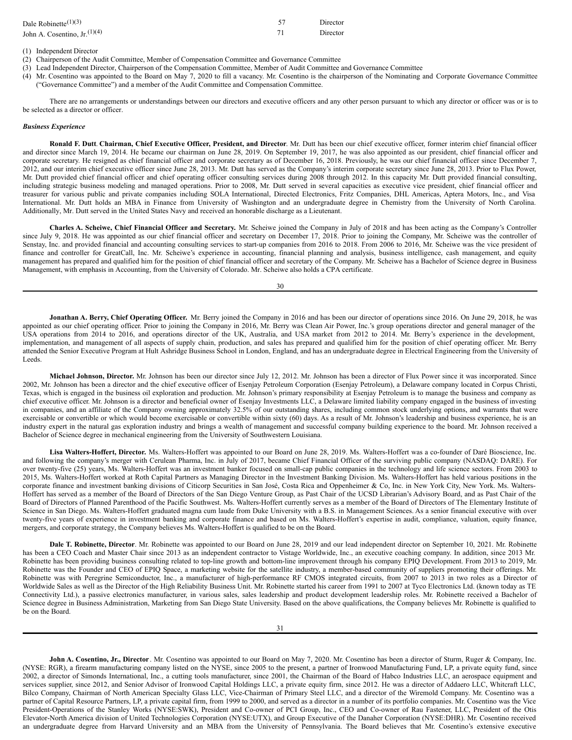| Dale Robinette <sup><math>(1)(3)</math></sup> | <b>Director</b> |
|-----------------------------------------------|-----------------|
| John A. Cosentino, $Jr^{(1)(4)}$              | Director        |

- (1) Independent Director
- (2) Chairperson of the Audit Committee, Member of Compensation Committee and Governance Committee
- (3) Lead Independent Director, Chairperson of the Compensation Committee, Member of Audit Committee and Governance Committee
- $(4)$  Mr. Cosentino was appointed to the Board on May 7, 2020 to fill a vacancy. Mr. Cosentino is the chairperson of the Nominating and Corporate Governance Committee ("Governance Committee") and a member of the Audit Committee and Compensation Committee.

There are no arrangements or understandings between our directors and executive officers and any other person pursuant to which any director or officer was or is to be selected as a director or officer.

### *Business Experience*

Ronald F. Dutt. Chairman, Chief Executive Officer, President, and Director. Mr. Dutt has been our chief executive officer, former interim chief financial officer and director since March 19, 2014. He became our chairman on June 28, 2019. On September 19, 2017, he was also appointed as our president, chief financial officer and corporate secretary. He resigned as chief financial officer and corporate secretary as of December 16, 2018. Previously, he was our chief financial officer since December 7, 2012, and our interim chief executive officer since June 28, 2013. Mr. Dutt has served as the Company's interim corporate secretary since June 28, 2013. Prior to Flux Power, Mr. Dutt provided chief financial officer and chief operating officer consulting services during 2008 through 2012. In this capacity Mr. Dutt provided financial consulting, including strategic business modeling and managed operations. Prior to 2008, Mr. Dutt served in several capacities as executive vice president, chief financial officer and treasurer for various public and private companies including SOLA International, Directed Electronics, Fritz Companies, DHL Americas, Aptera Motors, Inc., and Visa International. Mr. Dutt holds an MBA in Finance from University of Washington and an undergraduate degree in Chemistry from the University of North Carolina. Additionally, Mr. Dutt served in the United States Navy and received an honorable discharge as a Lieutenant.

**Charles A. Scheiwe, Chief Financial Officer and Secretary.** Mr. Scheiwe joined the Company in July of 2018 and has been acting as the Company's Controller since July 9, 2018. He was appointed as our chief financial officer and secretary on December 17, 2018. Prior to joining the Company, Mr. Scheiwe was the controller of Senstay, Inc. and provided financial and accounting consulting services to start-up companies from 2016 to 2018. From 2006 to 2016, Mr. Scheiwe was the vice president of finance and controller for GreatCall, Inc. Mr. Scheiwe's experience in accounting, financial planning and analysis, business intelligence, cash management, and equity management has prepared and qualified him for the position of chief financial officer and secretary of the Company. Mr. Scheiwe has a Bachelor of Science degree in Business Management, with emphasis in Accounting, from the University of Colorado. Mr. Scheiwe also holds a CPA certificate.

30

**Jonathan A. Berry, Chief Operating Officer.** Mr. Berry joined the Company in 2016 and has been our director of operations since 2016. On June 29, 2018, he was appointed as our chief operating officer. Prior to joining the Company in 2016, Mr. Berry was Clean Air Power, Inc.'s group operations director and general manager of the USA operations from 2014 to 2016, and operations director of the UK, Australia, and USA market from 2012 to 2014. Mr. Berry's experience in the development, implementation, and management of all aspects of supply chain, production, and sales has prepared and qualified him for the position of chief operating officer. Mr. Berry attended the Senior Executive Program at Hult Ashridge Business School in London, England, and has an undergraduate degree in Electrical Engineering from the University of Leeds.

**Michael Johnson, Director.** Mr. Johnson has been our director since July 12, 2012. Mr. Johnson has been a director of Flux Power since it was incorporated. Since 2002, Mr. Johnson has been a director and the chief executive officer of Esenjay Petroleum Corporation (Esenjay Petroleum), a Delaware company located in Corpus Christi, Texas, which is engaged in the business oil exploration and production. Mr. Johnson's primary responsibility at Esenjay Petroleum is to manage the business and company as chief executive officer. Mr. Johnson is a director and beneficial owner of Esenjay Investments LLC, a Delaware limited liability company engaged in the business of investing in companies, and an affiliate of the Company owning approximately 32.5% of our outstanding shares, including common stock underlying options, and warrants that were exercisable or convertible or which would become exercisable or convertible within sixty (60) days. As a result of Mr. Johnson's leadership and business experience, he is an industry expert in the natural gas exploration industry and brings a wealth of management and successful company building experience to the board. Mr. Johnson received a Bachelor of Science degree in mechanical engineering from the University of Southwestern Louisiana.

**Lisa Walters-Hoffert, Director.** Ms. Walters-Hoffert was appointed to our Board on June 28, 2019. Ms. Walters-Hoffert was a co-founder of Daré Bioscience, Inc. and following the company's merger with Cerulean Pharma, Inc. in July of 2017, became Chief Financial Officer of the surviving public company (NASDAQ: DARE). For over twenty-five (25) years, Ms. Walters-Hoffert was an investment banker focused on small-cap public companies in the technology and life science sectors. From 2003 to 2015, Ms. Walters-Hoffert worked at Roth Capital Partners as Managing Director in the Investment Banking Division. Ms. Walters-Hoffert has held various positions in the corporate finance and investment banking divisions of Citicorp Securities in San José, Costa Rica and Oppenheimer & Co, Inc. in New York City, New York. Ms. Walters-Hoffert has served as a member of the Board of Directors of the San Diego Venture Group, as Past Chair of the UCSD Librarian's Advisory Board, and as Past Chair of the Board of Directors of Planned Parenthood of the Pacific Southwest. Ms. Walters-Hoffert currently serves as a member of the Board of Directors of The Elementary Institute of Science in San Diego. Ms. Walters-Hoffert graduated magna cum laude from Duke University with a B.S. in Management Sciences. As a senior financial executive with over twenty-five years of experience in investment banking and corporate finance and based on Ms. Walters-Hoffert's expertise in audit, compliance, valuation, equity finance, mergers, and corporate strategy, the Company believes Ms. Walters-Hoffert is qualified to be on the Board.

**Dale T. Robinette, Director**. Mr. Robinette was appointed to our Board on June 28, 2019 and our lead independent director on September 10, 2021. Mr. Robinette has been a CEO Coach and Master Chair since 2013 as an independent contractor to Vistage Worldwide, Inc., an executive coaching company. In addition, since 2013 Mr. Robinette has been providing business consulting related to top-line growth and bottom-line improvement through his company EPIQ Development. From 2013 to 2019, Mr. Robinette was the Founder and CEO of EPIQ Space, a marketing website for the satellite industry, a member-based community of suppliers promoting their offerings. Mr. Robinette was with Peregrine Semiconductor, Inc., a manufacturer of high-performance RF CMOS integrated circuits, from 2007 to 2013 in two roles as a Director of Worldwide Sales as well as the Director of the High Reliability Business Unit. Mr. Robinette started his career from 1991 to 2007 at Tyco Electronics Ltd. (known today as TE Connectivity Ltd.), a passive electronics manufacturer, in various sales, sales leadership and product development leadership roles. Mr. Robinette received a Bachelor of Science degree in Business Administration, Marketing from San Diego State University. Based on the above qualifications, the Company believes Mr. Robinette is qualified to be on the Board.

**John A. Cosentino, Jr., Director** . Mr. Cosentino was appointed to our Board on May 7, 2020. Mr. Cosentino has been a director of Sturm, Ruger & Company, Inc. (NYSE: RGR), a firearm manufacturing company listed on the NYSE, since 2005 to the present, a partner of Ironwood Manufacturing Fund, LP, a private equity fund, since 2002, a director of Simonds International, Inc., a cutting tools manufacturer, since 2001, the Chairman of the Board of Habco Industries LLC, an aerospace equipment and services supplier, since 2012, and Senior Advisor of Ironwood Capital Holdings LLC, a private equity firm, since 2012. He was a director of Addaero LLC, Whitcraft LLC, Bilco Company, Chairman of North American Specialty Glass LLC, Vice-Chairman of Primary Steel LLC, and a director of the Wiremold Company. Mr. Cosentino was a partner of Capital Resource Partners, LP, a private capital firm, from 1999 to 2000, and served as a director in a number of its portfolio companies. Mr. Cosentino was the Vice President-Operations of the Stanley Works (NYSE:SWK), President and Co-owner of PCI Group, Inc., CEO and Co-owner of Rau Fastener, LLC, President of the Otis Elevator-North America division of United Technologies Corporation (NYSE:UTX), and Group Executive of the Danaher Corporation (NYSE:DHR). Mr. Cosentino received an undergraduate degree from Harvard University and an MBA from the University of Pennsylvania. The Board believes that Mr. Cosentino's extensive executive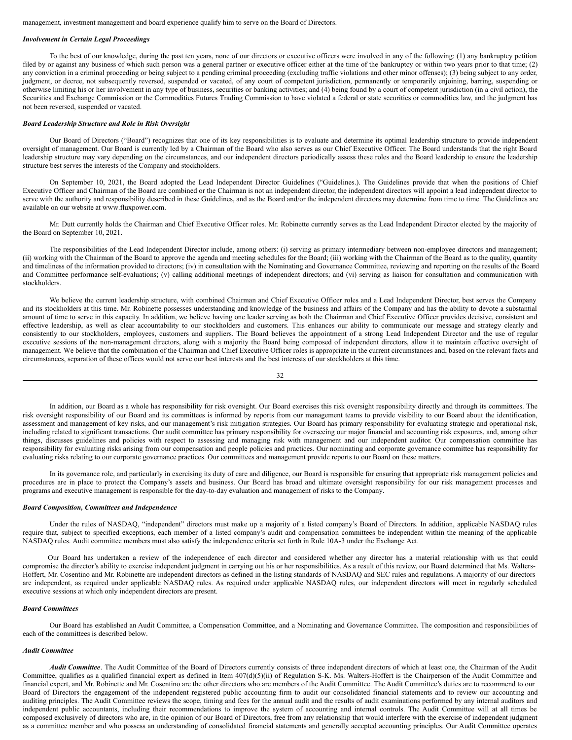management, investment management and board experience qualify him to serve on the Board of Directors.

### *Involvement in Certain Legal Proceedings*

To the best of our knowledge, during the past ten years, none of our directors or executive officers were involved in any of the following: (1) any bankruptcy petition filed by or against any business of which such person was a general partner or executive officer either at the time of the bankruptcy or within two years prior to that time; (2) any conviction in a criminal proceeding or being subject to a pending criminal proceeding (excluding traffic violations and other minor offenses); (3) being subject to any order, judgment, or decree, not subsequently reversed, suspended or vacated, of any court of competent jurisdiction, permanently or temporarily enjoining, barring, suspending or otherwise limiting his or her involvement in any type of business, securities or banking activities; and (4) being found by a court of competent jurisdiction (in a civil action), the Securities and Exchange Commission or the Commodities Futures Trading Commission to have violated a federal or state securities or commodities law, and the judgment has not been reversed, suspended or vacated.

### *Board Leadership Structure and Role in Risk Oversight*

Our Board of Directors ("Board") recognizes that one of its key responsibilities is to evaluate and determine its optimal leadership structure to provide independent oversight of management. Our Board is currently led by a Chairman of the Board who also serves as our Chief Executive Officer. The Board understands that the right Board leadership structure may vary depending on the circumstances, and our independent directors periodically assess these roles and the Board leadership to ensure the leadership structure best serves the interests of the Company and stockholders.

On September 10, 2021, the Board adopted the Lead Independent Director Guidelines ("Guidelines.). The Guidelines provide that when the positions of Chief Executive Officer and Chairman of the Board are combined or the Chairman is not an independent director, the independent directors will appoint a lead independent director to serve with the authority and responsibility described in these Guidelines, and as the Board and/or the independent directors may determine from time to time. The Guidelines are available on our website at www.fluxpower.com.

Mr. Dutt currently holds the Chairman and Chief Executive Officer roles. Mr. Robinette currently serves as the Lead Independent Director elected by the majority of the Board on September 10, 2021.

The responsibilities of the Lead Independent Director include, among others: (i) serving as primary intermediary between non-employee directors and management; (ii) working with the Chairman of the Board to approve the agenda and meeting schedules for the Board; (iii) working with the Chairman of the Board as to the quality, quantity and timeliness of the information provided to directors; (iv) in consultation with the Nominating and Governance Committee, reviewing and reporting on the results of the Board and Committee performance self-evaluations; (v) calling additional meetings of independent directors; and (vi) serving as liaison for consultation and communication with stockholders.

We believe the current leadership structure, with combined Chairman and Chief Executive Officer roles and a Lead Independent Director, best serves the Company and its stockholders at this time. Mr. Robinette possesses understanding and knowledge of the business and affairs of the Company and has the ability to devote a substantial amount of time to serve in this capacity. In addition, we believe having one leader serving as both the Chairman and Chief Executive Officer provides decisive, consistent and effective leadership, as well as clear accountability to our stockholders and customers. This enhances our ability to communicate our message and strategy clearly and consistently to our stockholders, employees, customers and suppliers. The Board believes the appointment of a strong Lead Independent Director and the use of regular executive sessions of the non-management directors, along with a majority the Board being composed of independent directors, allow it to maintain effective oversight of management. We believe that the combination of the Chairman and Chief Executive Officer roles is appropriate in the current circumstances and, based on the relevant facts and circumstances, separation of these offices would not serve our best interests and the best interests of our stockholders at this time.

#### 32

In addition, our Board as a whole has responsibility for risk oversight. Our Board exercises this risk oversight responsibility directly and through its committees. The risk oversight responsibility of our Board and its committees is informed by reports from our management teams to provide visibility to our Board about the identification, assessment and management of key risks, and our management's risk mitigation strategies. Our Board has primary responsibility for evaluating strategic and operational risk, including related to significant transactions. Our audit committee has primary responsibility for overseeing our major financial and accounting risk exposures, and, among other things, discusses guidelines and policies with respect to assessing and managing risk with management and our independent auditor. Our compensation committee has responsibility for evaluating risks arising from our compensation and people policies and practices. Our nominating and corporate governance committee has responsibility for evaluating risks relating to our corporate governance practices. Our committees and management provide reports to our Board on these matters.

In its governance role, and particularly in exercising its duty of care and diligence, our Board is responsible for ensuring that appropriate risk management policies and procedures are in place to protect the Company's assets and business. Our Board has broad and ultimate oversight responsibility for our risk management processes and programs and executive management is responsible for the day-to-day evaluation and management of risks to the Company.

### *Board Composition, Committees and Independence*

Under the rules of NASDAQ, "independent" directors must make up a majority of a listed company's Board of Directors. In addition, applicable NASDAQ rules require that, subject to specified exceptions, each member of a listed company's audit and compensation committees be independent within the meaning of the applicable NASDAQ rules. Audit committee members must also satisfy the independence criteria set forth in Rule 10A-3 under the Exchange Act.

Our Board has undertaken a review of the independence of each director and considered whether any director has a material relationship with us that could compromise the director's ability to exercise independent judgment in carrying out his or her responsibilities. As a result of this review, our Board determined that Ms. Walters-Hoffert, Mr. Cosentino and Mr. Robinette are independent directors as defined in the listing standards of NASDAQ and SEC rules and regulations. A majority of our directors are independent, as required under applicable NASDAQ rules. As required under applicable NASDAQ rules, our independent directors will meet in regularly scheduled executive sessions at which only independent directors are present.

#### *Board Committees*

Our Board has established an Audit Committee, a Compensation Committee, and a Nominating and Governance Committee. The composition and responsibilities of each of the committees is described below.

### *Audit Committee*

*Audit Committee*. The Audit Committee of the Board of Directors currently consists of three independent directors of which at least one, the Chairman of the Audit Committee, qualifies as a qualified financial expert as defined in Item 407(d)(5)(ii) of Regulation S-K. Ms. Walters-Hoffert is the Chairperson of the Audit Committee and financial expert, and Mr. Robinette and Mr. Cosentino are the other directors who are members of the Audit Committee. The Audit Committee's duties are to recommend to our Board of Directors the engagement of the independent registered public accounting firm to audit our consolidated financial statements and to review our accounting and auditing principles. The Audit Committee reviews the scope, timing and fees for the annual audit and the results of audit examinations performed by any internal auditors and independent public accountants, including their recommendations to improve the system of accounting and internal controls. The Audit Committee will at all times be composed exclusively of directors who are, in the opinion of our Board of Directors, free from any relationship that would interfere with the exercise of independent judgment as a committee member and who possess an understanding of consolidated financial statements and generally accepted accounting principles. Our Audit Committee operates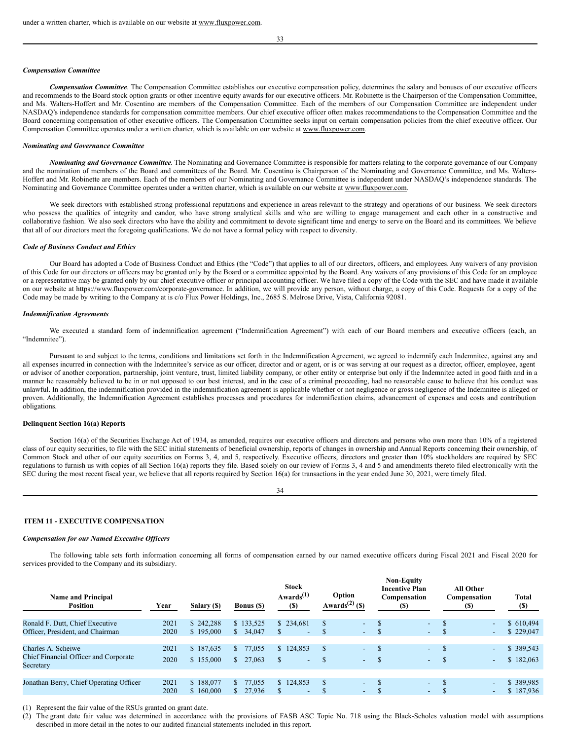#### *Compensation Committee*

*Compensation Committee*. The Compensation Committee establishes our executive compensation policy, determines the salary and bonuses of our executive officers and recommends to the Board stock option grants or other incentive equity awards for our executive officers. Mr. Robinette is the Chairperson of the Compensation Committee, and Ms. Walters-Hoffert and Mr. Cosentino are members of the Compensation Committee. Each of the members of our Compensation Committee are independent under NASDAQ's independence standards for compensation committee members. Our chief executive officer often makes recommendations to the Compensation Committee and the Board concerning compensation of other executive officers. The Compensation Committee seeks input on certain compensation policies from the chief executive officer. Our Compensation Committee operates under a written charter, which is available on our website at www.fluxpower.com.

#### *Nominating and Governance Committee*

*Nominating and Governance Committee*. The Nominating and Governance Committee is responsible for matters relating to the corporate governance of our Company and the nomination of members of the Board and committees of the Board. Mr. Cosentino is Chairperson of the Nominating and Governance Committee, and Ms. Walters-Hoffert and Mr. Robinette are members. Each of the members of our Nominating and Governance Committee is independent under NASDAQ's independence standards. The Nominating and Governance Committee operates under a written charter, which is available on our website at www.fluxpower.com.

We seek directors with established strong professional reputations and experience in areas relevant to the strategy and operations of our business. We seek directors who possess the qualities of integrity and candor, who have strong analytical skills and who are willing to engage management and each other in a constructive and collaborative fashion. We also seek directors who have the ability and commitment to devote significant time and energy to serve on the Board and its committees. We believe that all of our directors meet the foregoing qualifications. We do not have a formal policy with respect to diversity.

#### *Code of Business Conduct and Ethics*

Our Board has adopted a Code of Business Conduct and Ethics (the "Code") that applies to all of our directors, officers, and employees. Any waivers of any provision of this Code for our directors or officers may be granted only by the Board or a committee appointed by the Board. Any waivers of any provisions of this Code for an employee or a representative may be granted only by our chief executive officer or principal accounting officer. We have filed a copy of the Code with the SEC and have made it available on our website at https://www.fluxpower.com/corporate-governance. In addition, we will provide any person, without charge, a copy of this Code. Requests for a copy of the Code may be made by writing to the Company at is c/o Flux Power Holdings, Inc., 2685 S. Melrose Drive, Vista, California 92081.

#### *Indemnification Agreements*

We executed a standard form of indemnification agreement ("Indemnification Agreement") with each of our Board members and executive officers (each, an "Indemnitee").

Pursuant to and subject to the terms, conditions and limitations set forth in the Indemnification Agreement, we agreed to indemnify each Indemnitee, against any and all expenses incurred in connection with the Indemnitee's service as our officer, director and or agent, or is or was serving at our request as a director, officer, employee, agent or advisor of another corporation, partnership, joint venture, trust, limited liability company, or other entity or enterprise but only if the Indemnitee acted in good faith and in a manner he reasonably believed to be in or not opposed to our best interest, and in the case of a criminal proceeding, had no reasonable cause to believe that his conduct was unlawful. In addition, the indemnification provided in the indemnification agreement is applicable whether or not negligence or gross negligence of the Indemnitee is alleged or proven. Additionally, the Indemnification Agreement establishes processes and procedures for indemnification claims, advancement of expenses and costs and contribution obligations.

#### **Delinquent Section 16(a) Reports**

Section 16(a) of the Securities Exchange Act of 1934, as amended, requires our executive officers and directors and persons who own more than 10% of a registered class of our equity securities, to file with the SEC initial statements of beneficial ownership, reports of changes in ownership and Annual Reports concerning their ownership, of Common Stock and other of our equity securities on Forms 3, 4, and 5, respectively. Executive officers, directors and greater than 10% stockholders are required by SEC regulations to furnish us with copies of all Section 16(a) reports they file. Based solely on our review of Forms 3, 4 and 5 and amendments thereto filed electronically with the SEC during the most recent fiscal year, we believe that all reports required by Section 16(a) for transactions in the year ended June 30, 2021, were timely filed.

34

### <span id="page-20-0"></span>**ITEM 11 - EXECUTIVE COMPENSATION**

#### *Compensation for our Named Executive Of icers*

The following table sets forth information concerning all forms of compensation earned by our named executive officers during Fiscal 2021 and Fiscal 2020 for services provided to the Company and its subsidiary.

| <b>Name and Principal</b><br><b>Position</b>       | Year | Salary (\$) | <b>Bonus</b> (\$) | <b>Stock</b><br>Awards <sup>(1)</sup><br><b>(\$)</b> |     | Option<br>Awards <sup>(2)</sup> (\$) | <b>Non-Equity</b><br><b>Incentive Plan</b><br>Compensation<br>(S) |                          | <b>All Other</b><br>Compensation<br>(S) |        | <b>Total</b><br>(\$) |
|----------------------------------------------------|------|-------------|-------------------|------------------------------------------------------|-----|--------------------------------------|-------------------------------------------------------------------|--------------------------|-----------------------------------------|--------|----------------------|
| Ronald F. Dutt, Chief Executive                    | 2021 | \$242,288   | \$133,525         | \$234,681                                            | \$  | $\blacksquare$                       | <b>S</b>                                                          | ÷                        |                                         |        | \$610,494            |
| Officer, President, and Chairman                   | 2020 | \$195,000   | \$34,047          | S.<br>$\overline{\phantom{0}}$                       |     | $\sim$                               |                                                                   | $\sim$                   | D                                       | $\sim$ | \$229,047            |
|                                                    |      |             |                   |                                                      |     |                                      |                                                                   |                          |                                         |        |                      |
| Charles A. Scheiwe                                 | 2021 | \$187,635   | 77,055<br>S.      | \$124,853                                            | S   | $\blacksquare$                       | S                                                                 | ÷                        | <sup>\$</sup>                           |        | \$389,543            |
| Chief Financial Officer and Corporate<br>Secretary | 2020 | \$155,000   | \$27,063          | <sup>\$</sup><br>$\sim$                              |     | $\sim$                               | <b>S</b>                                                          | $\overline{\phantom{a}}$ | -S                                      | $\sim$ | \$182,063            |
|                                                    |      |             |                   |                                                      |     |                                      |                                                                   |                          |                                         |        |                      |
| Jonathan Berry, Chief Operating Officer            | 2021 | \$188,077   | 77,055            | \$124,853                                            | \$. | $\sim$                               |                                                                   | $\overline{\phantom{a}}$ |                                         | $\sim$ | \$389,985            |
|                                                    | 2020 | \$160,000   | 27,936            | S.<br>$\overline{\phantom{a}}$                       |     | $\overline{\phantom{a}}$             |                                                                   | $\overline{\phantom{a}}$ |                                         | $\sim$ | \$187,936            |

(1) Represent the fair value of the RSUs granted on grant date.

(2) The grant date fair value was determined in accordance with the provisions of FASB ASC Topic No. 718 using the Black-Scholes valuation model with assumptions described in more detail in the notes to our audited financial statements included in this report.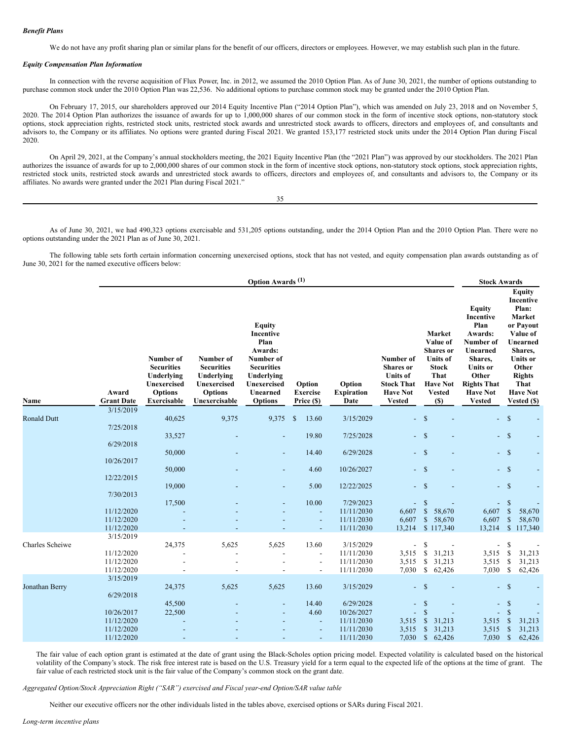#### *Benefit Plans*

We do not have any profit sharing plan or similar plans for the benefit of our officers, directors or employees. However, we may establish such plan in the future.

### *Equity Compensation Plan Information*

In connection with the reverse acquisition of Flux Power, Inc. in 2012, we assumed the 2010 Option Plan. As of June 30, 2021, the number of options outstanding to purchase common stock under the 2010 Option Plan was 22,536. No additional options to purchase common stock may be granted under the 2010 Option Plan.

On February 17, 2015, our shareholders approved our 2014 Equity Incentive Plan ("2014 Option Plan"), which was amended on July 23, 2018 and on November 5, 2020. The 2014 Option Plan authorizes the issuance of awards for up to 1,000,000 shares of our common stock in the form of incentive stock options, non-statutory stock options, stock appreciation rights, restricted stock units, restricted stock awards and unrestricted stock awards to officers, directors and employees of, and consultants and advisors to, the Company or its affiliates. No options were granted during Fiscal 2021. We granted 153,177 restricted stock units under the 2014 Option Plan during Fiscal 2020.

On April 29, 2021, at the Company's annual stockholders meeting, the 2021 Equity Incentive Plan (the "2021 Plan") was approved by our stockholders. The 2021 Plan authorizes the issuance of awards for up to 2,000,000 shares of our common stock in the form of incentive stock options, non-statutory stock options, stock appreciation rights, restricted stock units, restricted stock awards and unrestricted stock awards to officers, directors and employees of, and consultants and advisors to, the Company or its affiliates. No awards were granted under the 2021 Plan during Fiscal 2021."

35

As of June 30, 2021, we had 490,323 options exercisable and 531,205 options outstanding, under the 2014 Option Plan and the 2010 Option Plan. There were no options outstanding under the 2021 Plan as of June 30, 2021.

The following table sets forth certain information concerning unexercised options, stock that has not vested, and equity compensation plan awards outstanding as of June 30, 2021 for the named executive officers below:

|                    | Option Awards <sup>(1)</sup> |                                                                                                     |                                                                                                |                                                                                                                                            |                                            |                                     |                                                                                                           | <b>Stock Awards</b>                                                                                                   |                                                                                                                                                                         |                                                                                                                                                                               |
|--------------------|------------------------------|-----------------------------------------------------------------------------------------------------|------------------------------------------------------------------------------------------------|--------------------------------------------------------------------------------------------------------------------------------------------|--------------------------------------------|-------------------------------------|-----------------------------------------------------------------------------------------------------------|-----------------------------------------------------------------------------------------------------------------------|-------------------------------------------------------------------------------------------------------------------------------------------------------------------------|-------------------------------------------------------------------------------------------------------------------------------------------------------------------------------|
| Name               | Award<br><b>Grant Date</b>   | Number of<br><b>Securities</b><br>Underlying<br>Unexercised<br><b>Options</b><br><b>Exercisable</b> | Number of<br><b>Securities</b><br>Underlying<br>Unexercised<br><b>Options</b><br>Unexercisable | <b>Equity</b><br>Incentive<br>Plan<br>Awards:<br>Number of<br><b>Securities</b><br>Underlying<br>Unexercised<br>Unearned<br><b>Options</b> | Option<br><b>Exercise</b><br>Price (\$)    | Option<br><b>Expiration</b><br>Date | Number of<br><b>Shares</b> or<br><b>Units</b> of<br><b>Stock That</b><br><b>Have Not</b><br><b>Vested</b> | Market<br>Value of<br><b>Shares</b> or<br><b>Units</b> of<br>Stock<br>That<br><b>Have Not</b><br><b>Vested</b><br>(S) | <b>Equity</b><br>Incentive<br>Plan<br>Awards:<br>Number of<br>Unearned<br>Shares,<br><b>Units</b> or<br>Other<br><b>Rights That</b><br><b>Have Not</b><br><b>Vested</b> | Equity<br>Incentive<br>Plan:<br>Market<br>or Payout<br>Value of<br>Unearned<br>Shares,<br><b>Units</b> or<br>Other<br><b>Rights</b><br>That<br><b>Have Not</b><br>Vested (\$) |
|                    | 3/15/2019                    |                                                                                                     |                                                                                                |                                                                                                                                            |                                            |                                     |                                                                                                           |                                                                                                                       |                                                                                                                                                                         |                                                                                                                                                                               |
| <b>Ronald Dutt</b> | 7/25/2018                    | 40,625<br>33,527                                                                                    | 9,375                                                                                          | 9,375                                                                                                                                      | $\mathbb{S}$<br>13.60<br>19.80             | 3/15/2029<br>7/25/2028              |                                                                                                           | $- S$<br>$-$ \$                                                                                                       | $\blacksquare$                                                                                                                                                          | $\mathbf{s}$<br>$-$ \$                                                                                                                                                        |
|                    | 6/29/2018                    |                                                                                                     |                                                                                                |                                                                                                                                            |                                            |                                     |                                                                                                           |                                                                                                                       |                                                                                                                                                                         |                                                                                                                                                                               |
|                    | 10/26/2017                   | 50,000                                                                                              |                                                                                                | $\overline{a}$                                                                                                                             | 14.40                                      | 6/29/2028                           |                                                                                                           | $-$ \$                                                                                                                |                                                                                                                                                                         | $-$ \$                                                                                                                                                                        |
|                    | 12/22/2015                   | 50,000                                                                                              |                                                                                                |                                                                                                                                            | 4.60                                       | 10/26/2027                          |                                                                                                           | $-$ \$                                                                                                                |                                                                                                                                                                         | $-$ \$                                                                                                                                                                        |
|                    | 7/30/2013                    | 19,000                                                                                              |                                                                                                |                                                                                                                                            | 5.00                                       | 12/22/2025                          |                                                                                                           | $-$ \$                                                                                                                |                                                                                                                                                                         | $-$ \$                                                                                                                                                                        |
|                    | 11/12/2020                   | 17,500                                                                                              |                                                                                                |                                                                                                                                            | 10.00                                      | 7/29/2023<br>11/11/2030             | 6,607                                                                                                     | $\mathcal{S}$<br>$\mathbb{S}$<br>58,670                                                                               | $\blacksquare$<br>6,607                                                                                                                                                 | $\mathcal{S}$<br>$\mathbb{S}$<br>58,670                                                                                                                                       |
|                    | 11/12/2020<br>11/12/2020     |                                                                                                     |                                                                                                |                                                                                                                                            | ÷.<br>÷.                                   | 11/11/2030<br>11/11/2030            | 6,607<br>13,214                                                                                           | $\mathbb{S}$<br>58,670<br>\$117,340                                                                                   | 6,607<br>13,214                                                                                                                                                         | \$<br>58,670<br>$\mathbb{S}$<br>117,340                                                                                                                                       |
| Charles Scheiwe    | 3/15/2019                    | 24,375                                                                                              | 5,625                                                                                          | 5,625                                                                                                                                      | 13.60                                      | 3/15/2029                           |                                                                                                           | \$                                                                                                                    | $\overline{\phantom{a}}$                                                                                                                                                | -S                                                                                                                                                                            |
|                    | 11/12/2020<br>11/12/2020     |                                                                                                     |                                                                                                |                                                                                                                                            | $\overline{\phantom{a}}$<br>$\overline{a}$ | 11/11/2030<br>11/11/2030            | 3,515<br>3,515                                                                                            | $\mathbb{S}$<br>31,213<br>\$<br>31,213                                                                                | 3,515<br>3,515                                                                                                                                                          | $\boldsymbol{\mathsf{S}}$<br>31,213<br>\$<br>31,213                                                                                                                           |
|                    | 11/12/2020<br>3/15/2019      |                                                                                                     |                                                                                                |                                                                                                                                            | $\overline{\phantom{a}}$                   | 11/11/2030                          | 7,030                                                                                                     | \$<br>62,426                                                                                                          | 7,030                                                                                                                                                                   | \$<br>62,426                                                                                                                                                                  |
| Jonathan Berry     | 6/29/2018                    | 24,375                                                                                              | 5,625                                                                                          | 5,625                                                                                                                                      | 13.60                                      | 3/15/2029                           |                                                                                                           | $-$ \$                                                                                                                |                                                                                                                                                                         | $-$ \$                                                                                                                                                                        |
|                    | 10/26/2017                   | 45,500<br>22,500                                                                                    |                                                                                                |                                                                                                                                            | 14.40<br>4.60                              | 6/29/2028<br>10/26/2027             | $\overline{\phantom{a}}$                                                                                  | $\mathcal{S}$<br>$\mathsf{\$}$                                                                                        | $\overline{\phantom{a}}$<br>$\blacksquare$                                                                                                                              | $\mathbf{\hat{s}}$<br>\$                                                                                                                                                      |
|                    | 11/12/2020                   |                                                                                                     |                                                                                                |                                                                                                                                            | ÷,                                         | 11/11/2030                          | 3,515                                                                                                     | $\mathbb{S}$<br>31,213                                                                                                | 3,515                                                                                                                                                                   | $\boldsymbol{\mathsf{S}}$<br>31,213                                                                                                                                           |
|                    | 11/12/2020<br>11/12/2020     |                                                                                                     |                                                                                                |                                                                                                                                            | $\overline{\phantom{a}}$<br>÷.             | 11/11/2030<br>11/11/2030            | 3,515<br>7,030                                                                                            | 31,213<br>\$<br>$\mathbb{S}$<br>62,426                                                                                | 3,515<br>7,030                                                                                                                                                          | \$<br>31,213<br>\$<br>62,426                                                                                                                                                  |

The fair value of each option grant is estimated at the date of grant using the Black-Scholes option pricing model. Expected volatility is calculated based on the historical volatility of the Company's stock. The risk free interest rate is based on the U.S. Treasury yield for a term equal to the expected life of the options at the time of grant. The fair value of each restricted stock unit is the fair value of the Company's common stock on the grant date.

*Aggregated Option/Stock Appreciation Right ("SAR") exercised and Fiscal year-end Option/SAR value table*

Neither our executive officers nor the other individuals listed in the tables above, exercised options or SARs during Fiscal 2021.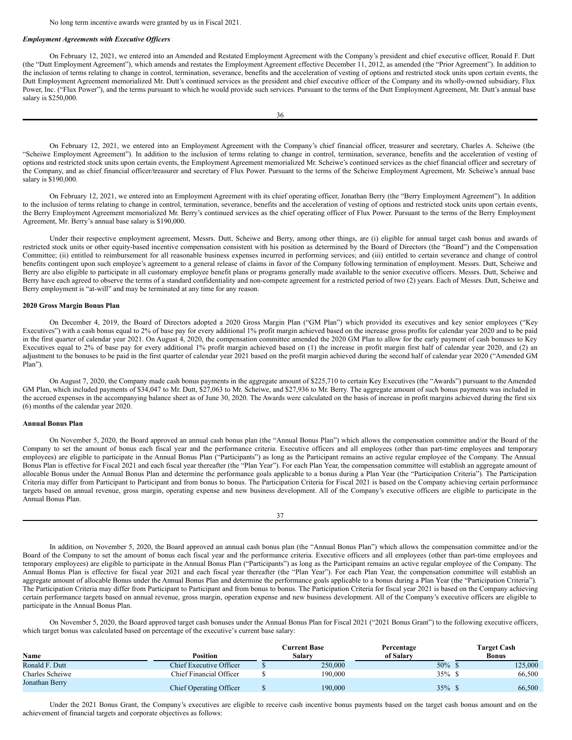### *Employment Agreements with Executive Of icers*

On February 12, 2021, we entered into an Amended and Restated Employment Agreement with the Company's president and chief executive officer, Ronald F. Dutt (the "Dutt Employment Agreement"), which amends and restates the Employment Agreement effective December 11, 2012, as amended (the "Prior Agreement"). In addition to the inclusion of terms relating to change in control, termination, severance, benefits and the acceleration of vesting of options and restricted stock units upon certain events, the Dutt Employment Agreement memorialized Mr. Dutt's continued services as the president and chief executive officer of the Company and its wholly-owned subsidiary, Flux Power, Inc. ("Flux Power"), and the terms pursuant to which he would provide such services. Pursuant to the terms of the Dutt Employment Agreement, Mr. Dutt's annual base salary is \$250,000.

On February 12, 2021, we entered into an Employment Agreement with the Company's chief financial officer, treasurer and secretary, Charles A. Scheiwe (the "Scheiwe Employment Agreement"). In addition to the inclusion of terms relating to change in control, termination, severance, benefits and the acceleration of vesting of options and restricted stock units upon certain events, the Employment Agreement memorialized Mr. Scheiwe's continued services as the chief financial officer and secretary of the Company, and as chief financial officer/treasurer and secretary of Flux Power. Pursuant to the terms of the Scheiwe Employment Agreement, Mr. Scheiwe's annual base salary is \$190,000.

On February 12, 2021, we entered into an Employment Agreement with its chief operating officer, Jonathan Berry (the "Berry Employment Agreement"). In addition to the inclusion of terms relating to change in control, termination, severance, benefits and the acceleration of vesting of options and restricted stock units upon certain events, the Berry Employment Agreement memorialized Mr. Berry's continued services as the chief operating officer of Flux Power. Pursuant to the terms of the Berry Employment Agreement, Mr. Berry's annual base salary is \$190,000.

Under their respective employment agreement, Messrs. Dutt, Scheiwe and Berry, among other things, are (i) eligible for annual target cash bonus and awards of restricted stock units or other equity-based incentive compensation consistent with his position as determined by the Board of Directors (the "Board") and the Compensation Committee; (ii) entitled to reimbursement for all reasonable business expenses incurred in performing services; and (iii) entitled to certain severance and change of control benefits contingent upon such employee's agreement to a general release of claims in favor of the Company following termination of employment. Messrs. Dutt, Scheiwe and Berry are also eligible to participate in all customary employee benefit plans or programs generally made available to the senior executive officers. Messrs. Dutt, Scheiwe and Berry have each agreed to observe the terms of a standard confidentiality and non-compete agreement for a restricted period of two (2) years. Each of Messrs. Dutt, Scheiwe and Berry employment is "at-will" and may be terminated at any time for any reason.

### **2020 Gross Margin Bonus Plan**

On December 4, 2019, the Board of Directors adopted a 2020 Gross Margin Plan ("GM Plan") which provided its executives and key senior employees ("Key Executives") with a cash bonus equal to 2% of base pay for every additional 1% profit margin achieved based on the increase gross profits for calendar year 2020 and to be paid in the first quarter of calendar year 2021. On August 4, 2020, the compensation committee amended the 2020 GM Plan to allow for the early payment of cash bonuses to Key Executives equal to 2% of base pay for every additional 1% profit margin achieved based on (1) the increase in profit margin first half of calendar year 2020, and (2) an adjustment to the bonuses to be paid in the first quarter of calendar year 2021 based on the profit margin achieved during the second half of calendar year 2020 ("Amended GM Plan").

On August 7, 2020, the Company made cash bonus payments in the aggregate amount of \$225,710 to certain Key Executives (the "Awards") pursuant to the Amended GM Plan, which included payments of \$34,047 to Mr. Dutt, \$27,063 to Mr. Scheiwe, and \$27,936 to Mr. Berry. The aggregate amount of such bonus payments was included in the accrued expenses in the accompanying balance sheet as of June 30, 2020. The Awards were calculated on the basis of increase in profit margins achieved during the first six (6) months of the calendar year 2020.

#### **Annual Bonus Plan**

On November 5, 2020, the Board approved an annual cash bonus plan (the "Annual Bonus Plan") which allows the compensation committee and/or the Board of the Company to set the amount of bonus each fiscal year and the performance criteria. Executive officers and all employees (other than part-time employees and temporary employees) are eligible to participate in the Annual Bonus Plan ("Participants") as long as the Participant remains an active regular employee of the Company. The Annual Bonus Plan is effective for Fiscal 2021 and each fiscal year thereafter (the "Plan Year"). For each Plan Year, the compensation committee will establish an aggregate amount of allocable Bonus under the Annual Bonus Plan and determine the performance goals applicable to a bonus during a Plan Year (the "Participation Criteria"). The Participation Criteria may differ from Participant to Participant and from bonus to bonus. The Participation Criteria for Fiscal 2021 is based on the Company achieving certain performance targets based on annual revenue, gross margin, operating expense and new business development. All of the Company's executive officers are eligible to participate in the Annual Bonus Plan.

In addition, on November 5, 2020, the Board approved an annual cash bonus plan (the "Annual Bonus Plan") which allows the compensation committee and/or the Board of the Company to set the amount of bonus each fiscal year and the performance criteria. Executive officers and all employees (other than part-time employees and temporary employees) are eligible to participate in the Annual Bonus Plan ("Participants") as long as the Participant remains an active regular employee of the Company. The Annual Bonus Plan is effective for fiscal year 2021 and each fiscal year thereafter (the "Plan Year"). For each Plan Year, the compensation committee will establish an aggregate amount of allocable Bonus under the Annual Bonus Plan and determine the performance goals applicable to a bonus during a Plan Year (the "Participation Criteria"). The Participation Criteria may differ from Participant to Participant and from bonus to bonus. The Participation Criteria for fiscal year 2021 is based on the Company achieving certain performance targets based on annual revenue, gross margin, operation expense and new business development. All of the Company's executive officers are eligible to participate in the Annual Bonus Plan.

On November 5, 2020, the Board approved target cash bonuses under the Annual Bonus Plan for Fiscal 2021 ("2021 Bonus Grant") to the following executive officers, which target bonus was calculated based on percentage of the executive's current base salary:

|                 |                         | <b>Current Base</b> | Percentage | Target Cash  |
|-----------------|-------------------------|---------------------|------------|--------------|
| Name            | Position                | <b>Salary</b>       | of Salary  | <b>Bonus</b> |
| Ronald F. Dutt  | Chief Executive Officer | 250,000             | $50\%$ \$  | 125,000      |
| Charles Scheiwe | Chief Financial Officer | 190.000             | $35\%$ \$  | 66,500       |
| Jonathan Berry  | Chief Operating Officer | 190,000             | $35\%$ \$  | 66,500       |

Under the 2021 Bonus Grant, the Company's executives are eligible to receive cash incentive bonus payments based on the target cash bonus amount and on the achievement of financial targets and corporate objectives as follows: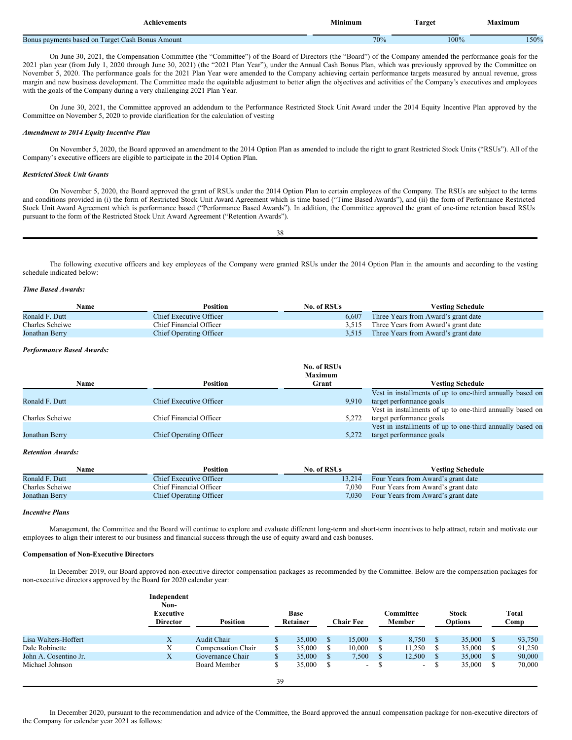| :chɪevement                                                                            | .<br>nımum | m<br>`arget<br>лаг | aximum<br>the contract of the contract of the contract of the contract of the contract of |
|----------------------------------------------------------------------------------------|------------|--------------------|-------------------------------------------------------------------------------------------|
| $\mathbf{\mathbf{r}}$<br>Bonus<br>payments based on the<br>Target Cash Bonus<br>Amount | 70%        | 100%               | 150%                                                                                      |

On June 30, 2021, the Compensation Committee (the "Committee") of the Board of Directors (the "Board") of the Company amended the performance goals for the 2021 plan year (from July 1, 2020 through June 30, 2021) (the "2021 Plan Year"), under the Annual Cash Bonus Plan, which was previously approved by the Committee on November 5, 2020. The performance goals for the 2021 Plan Year were amended to the Company achieving certain performance targets measured by annual revenue, gross margin and new business development. The Committee made the equitable adjustment to better align the objectives and activities of the Company's executives and employees with the goals of the Company during a very challenging 2021 Plan Year.

On June 30, 2021, the Committee approved an addendum to the Performance Restricted Stock Unit Award under the 2014 Equity Incentive Plan approved by the Committee on November 5, 2020 to provide clarification for the calculation of vesting

### *Amendment to 2014 Equity Incentive Plan*

On November 5, 2020, the Board approved an amendment to the 2014 Option Plan as amended to include the right to grant Restricted Stock Units ("RSUs"). All of the Company's executive officers are eligible to participate in the 2014 Option Plan.

#### *Restricted Stock Unit Grants*

On November 5, 2020, the Board approved the grant of RSUs under the 2014 Option Plan to certain employees of the Company. The RSUs are subject to the terms and conditions provided in (i) the form of Restricted Stock Unit Award Agreement which is time based ("Time Based Awards"), and (ii) the form of Performance Restricted Stock Unit Award Agreement which is performance based ("Performance Based Awards"). In addition, the Committee approved the grant of one-time retention based RSUs pursuant to the form of the Restricted Stock Unit Award Agreement ("Retention Awards").

The following executive officers and key employees of the Company were granted RSUs under the 2014 Option Plan in the amounts and according to the vesting schedule indicated below:

### *Time Based Awards:*

| Name            | Position                       | No. of RSUs | Vesting Schedule                    |
|-----------------|--------------------------------|-------------|-------------------------------------|
| Ronald F. Dutt  | Chief Executive Officer        | 6.607       | Three Years from Award's grant date |
| Charles Scheiwe | Chief Financial Officer        | 3.515       | Three Years from Award's grant date |
| Jonathan Berry  | <b>Chief Operating Officer</b> | 3.515       | Three Years from Award's grant date |

### *Performance Based Awards:*

|                 |                                | No. of RSUs<br><b>Maximum</b> |                                                           |
|-----------------|--------------------------------|-------------------------------|-----------------------------------------------------------|
| Name            | Position                       | Grant                         | <b>Vesting Schedule</b>                                   |
|                 |                                |                               | Vest in installments of up to one-third annually based on |
| Ronald F. Dutt  | Chief Executive Officer        | 9.910                         | target performance goals                                  |
|                 |                                |                               | Vest in installments of up to one-third annually based on |
| Charles Scheiwe | Chief Financial Officer        | 5.272                         | target performance goals                                  |
|                 |                                |                               | Vest in installments of up to one-third annually based on |
| Jonathan Berry  | <b>Chief Operating Officer</b> | 5.272                         | target performance goals                                  |
|                 |                                |                               |                                                           |

### *Retention Awards:*

| Name            | Position                | <b>No. of RSUs</b> | <b>Vesting Schedule</b>            |
|-----------------|-------------------------|--------------------|------------------------------------|
| Ronald F. Dutt  | Chief Executive Officer | 13.214             | Four Years from Award's grant date |
| Charles Scheiwe | Chief Financial Officer | 7.030              | Four Years from Award's grant date |
| Jonathan Berry  | Chief Operating Officer | 7.030              | Four Years from Award's grant date |

#### *Incentive Plans*

Management, the Committee and the Board will continue to explore and evaluate different long-term and short-term incentives to help attract, retain and motivate our employees to align their interest to our business and financial success through the use of equity award and cash bonuses.

### **Compensation of Non-Executive Directors**

In December 2019, our Board approved non-executive director compensation packages as recommended by the Committee. Below are the compensation packages for non-executive directors approved by the Board for 2020 calendar year:

|                       | Independent<br>Non-<br><b>Executive</b><br><b>Director</b> | <b>Position</b>    |        | <b>Base</b><br>Retainer |              | <b>Chair Fee</b>         |              | Committee<br><b>Member</b> |              | <b>Stock</b><br><b>Options</b> |      | Total<br>Comp |
|-----------------------|------------------------------------------------------------|--------------------|--------|-------------------------|--------------|--------------------------|--------------|----------------------------|--------------|--------------------------------|------|---------------|
| Lisa Walters-Hoffert  | X                                                          | Audit Chair        | \$     | 35,000                  | <sup>S</sup> | 15,000                   | <sup>3</sup> | 8,750                      | <sup>S</sup> | 35,000                         | - \$ | 93,750        |
| Dale Robinette        | Χ                                                          | Compensation Chair | \$     | 35,000                  |              | 10,000                   | S            | 11.250                     |              | 35,000                         | -S   | 91,250        |
| John A. Cosentino Jr. | X                                                          | Governance Chair   | \$     | 35,000                  | <sup>S</sup> | 7,500                    | -S           | 12,500                     | <sup>S</sup> | 35,000                         | - S  | 90,000        |
| Michael Johnson       |                                                            | Board Member       | œ<br>Φ | 35,000                  |              | $\overline{\phantom{a}}$ |              | $\overline{\phantom{a}}$   |              | 35,000                         | -S   | 70,000        |
|                       |                                                            |                    | 39     |                         |              |                          |              |                            |              |                                |      |               |

In December 2020, pursuant to the recommendation and advice of the Committee, the Board approved the annual compensation package for non-executive directors of the Company for calendar year 2021 as follows: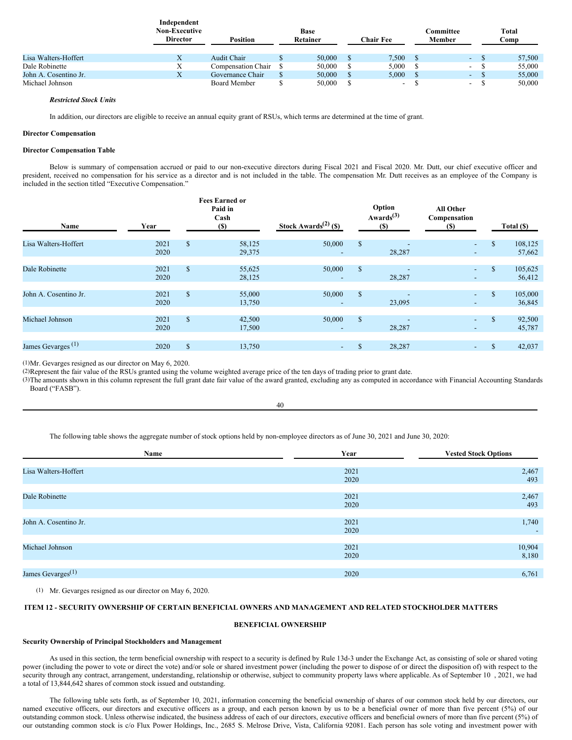|                       | ппаеренаент<br><b>Non-Executive</b><br><b>Director</b> | Position            | <b>Base</b><br>Retainer | <b>Chair Fee</b>         | Committee<br><b>Member</b> | Total<br>Comp |
|-----------------------|--------------------------------------------------------|---------------------|-------------------------|--------------------------|----------------------------|---------------|
| Lisa Walters-Hoffert  | $\Lambda$                                              | Audit Chair         | 50,000                  | 7.500                    | $\overline{\phantom{a}}$   | 57,500        |
| Dale Robinette        | A                                                      | Compensation Chair  | 50,000                  | 5,000                    | $\overline{\phantom{0}}$   | 55,000        |
| John A. Cosentino Jr. | л                                                      | Governance Chair    | 50,000                  | 5,000                    | $\overline{\phantom{0}}$   | 55,000        |
| Michael Johnson       |                                                        | <b>Board Member</b> | 50,000                  | $\overline{\phantom{a}}$ | $\overline{\phantom{a}}$   | 50,000        |

### *Restricted Stock Units*

In addition, our directors are eligible to receive an annual equity grant of RSUs, which terms are determined at the time of grant.

**Independent**

### **Director Compensation**

### **Director Compensation Table**

Below is summary of compensation accrued or paid to our non-executive directors during Fiscal 2021 and Fiscal 2020. Mr. Dutt, our chief executive officer and president, received no compensation for his service as a director and is not included in the table. The compensation Mr. Dutt receives as an employee of the Company is included in the section titled "Executive Compensation."

| Name                          | Year         |              | <b>Fees Earned or</b><br>Paid in<br>Cash<br>$(\$)$ | Stock Awards <sup>(2)</sup> (\$)   |               | Option<br>Awards $^{(3)}$<br>(S)   | <b>All Other</b><br>Compensation<br>(S) |             | Total (\$)        |
|-------------------------------|--------------|--------------|----------------------------------------------------|------------------------------------|---------------|------------------------------------|-----------------------------------------|-------------|-------------------|
| Lisa Walters-Hoffert          | 2021<br>2020 | $\mathbb{S}$ | 58,125<br>29,375                                   | 50,000<br>$\overline{\phantom{a}}$ | $\mathbb{S}$  | $\overline{\phantom{a}}$<br>28,287 | $\sim$<br>$\overline{\phantom{a}}$      | S           | 108,125<br>57,662 |
| Dale Robinette                | 2021<br>2020 | $\mathbb{S}$ | 55,625<br>28,125                                   | 50,000<br>$\overline{\phantom{a}}$ | $\mathbb{S}$  | $\overline{\phantom{0}}$<br>28,287 | $\sim$<br>$\overline{\phantom{a}}$      | $\mathbf S$ | 105,625<br>56,412 |
| John A. Cosentino Jr.         | 2021<br>2020 | \$           | 55,000<br>13,750                                   | 50,000<br>٠                        | <sup>\$</sup> | 23,095                             | $\sim$<br>$\sim$                        | $\mathbf S$ | 105,000<br>36,845 |
| Michael Johnson               | 2021<br>2020 | \$           | 42,500<br>17,500                                   | 50,000<br>٠                        | $\mathbb{S}$  | 28,287                             | $\sim$<br>$\sim$                        | $\mathbf S$ | 92,500<br>45,787  |
| James Gevarges <sup>(1)</sup> | 2020         | \$           | 13,750                                             | $\sim$                             | S             | 28,287                             | $\sim$                                  | \$          | 42,037            |

(1)Mr. Gevarges resigned as our director on May 6, 2020.

(2)Represent the fair value of the RSUs granted using the volume weighted average price of the ten days of trading prior to grant date.

(3)The amounts shown in this column represent the full grant date fair value of the award granted, excluding any as computed in accordance with Financial Accounting Standards Board ("FASB").

40

The following table shows the aggregate number of stock options held by non-employee directors as of June 30, 2021 and June 30, 2020:

| Name                  | Year         | <b>Vested Stock Options</b>       |
|-----------------------|--------------|-----------------------------------|
| Lisa Walters-Hoffert  | 2021<br>2020 | 2,467<br>493                      |
| Dale Robinette        | 2021<br>2020 | 2,467<br>493                      |
| John A. Cosentino Jr. | 2021<br>2020 | 1,740<br>$\overline{\phantom{a}}$ |
| Michael Johnson       | 2021<br>2020 | 10,904<br>8,180                   |
| James Gevarges $(1)$  | 2020         | 6,761                             |

(1) Mr. Gevarges resigned as our director on May 6, 2020.

### <span id="page-24-0"></span>**ITEM 12 - SECURITY OWNERSHIP OF CERTAIN BENEFICIAL OWNERS AND MANAGEMENT AND RELATED STOCKHOLDER MATTERS**

### **BENEFICIAL OWNERSHIP**

### **Security Ownership of Principal Stockholders and Management**

As used in this section, the term beneficial ownership with respect to a security is defined by Rule 13d-3 under the Exchange Act, as consisting of sole or shared voting power (including the power to vote or direct the vote) and/or sole or shared investment power (including the power to dispose of or direct the disposition of) with respect to the security through any contract, arrangement, understanding, relationship or otherwise, subject to community property laws where applicable. As of September 10 , 2021, we had a total of 13,844,642 shares of common stock issued and outstanding.

The following table sets forth, as of September 10, 2021, information concerning the beneficial ownership of shares of our common stock held by our directors, our named executive officers, our directors and executive officers as a group, and each person known by us to be a beneficial owner of more than five percent (5%) of our outstanding common stock. Unless otherwise indicated, the business address of each of our directors, executive officers and beneficial owners of more than five percent (5%) of our outstanding common stock is c/o Flux Power Holdings, Inc., 2685 S. Melrose Drive, Vista, California 92081. Each person has sole voting and investment power with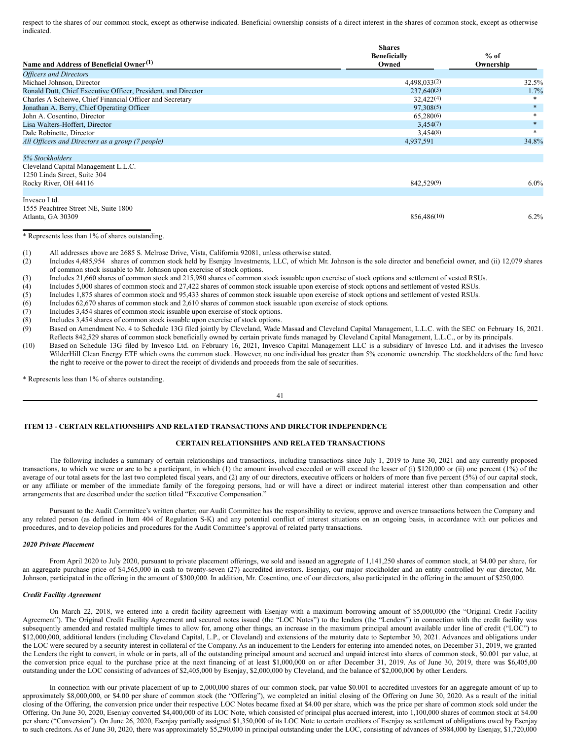respect to the shares of our common stock, except as otherwise indicated. Beneficial ownership consists of a direct interest in the shares of common stock, except as otherwise indicated.

|                                                                           | <b>Shares</b><br><b>Beneficially</b> | $%$ of    |  |  |
|---------------------------------------------------------------------------|--------------------------------------|-----------|--|--|
| Name and Address of Beneficial Owner <sup>(1)</sup>                       | Owned                                | Ownership |  |  |
| <b>Officers and Directors</b>                                             |                                      |           |  |  |
| Michael Johnson, Director                                                 | 4,498,033(2)                         | 32.5%     |  |  |
| Ronald Dutt, Chief Executive Officer, President, and Director             | 237,640(3)                           | 1.7%      |  |  |
| Charles A Scheiwe, Chief Financial Officer and Secretary                  | 32,422(4)                            | $\ast$    |  |  |
| Jonathan A. Berry, Chief Operating Officer                                | 97,308(5)                            | $\ast$    |  |  |
| John A. Cosentino, Director                                               | 65,280(6)                            |           |  |  |
| Lisa Walters-Hoffert, Director                                            | 3,454(7)                             | $\ast$    |  |  |
| Dale Robinette, Director                                                  | 3,454(8)                             |           |  |  |
| All Officers and Directors as a group (7 people)                          | 4,937,591                            | 34.8%     |  |  |
| 5% Stockholders                                                           |                                      |           |  |  |
| Cleveland Capital Management L.L.C.<br>1250 Linda Street, Suite 304       |                                      |           |  |  |
| Rocky River, OH 44116                                                     | 842,529(9)                           | $6.0\%$   |  |  |
| Invesco Ltd.<br>1555 Peachtree Street NE, Suite 1800<br>Atlanta, GA 30309 | 856,486(10)                          | $6.2\%$   |  |  |
|                                                                           |                                      |           |  |  |

\* Represents less than 1% of shares outstanding.

- (1) All addresses above are 2685 S. Melrose Drive, Vista, California 92081, unless otherwise stated. Includes 4,485,954 shares of common stock held by Esenjay Investments, LLC, of which Mr. Johnson is the sole director and beneficial owner, and (ii) 12,079 shares of common stock issuable to Mr. Johnson upon exercise of stock options.
- 
- (3) Includes 21,660 shares of common stock and 215,980 shares of common stock issuable upon exercise of stock options and settlement of vested RSUs.<br>(4) Includes 5,000 shares of common stock and 27.422 shares of common sto Includes 5,000 shares of common stock and 27,422 shares of common stock issuable upon exercise of stock options and settlement of vested RSUs.
- (5) Includes 1,875 shares of common stock and 95,433 shares of common stock issuable upon exercise of stock options and settlement of vested RSUs.
- (6) Includes 62,670 shares of common stock and 2,610 shares of common stock issuable upon exercise of stock options.
- (7) Includes 3,454 shares of common stock issuable upon exercise of stock options.
- 
- (8) Includes 3,454 shares of common stock issuable upon exercise of stock options.<br>(9) Based on Amendment No. 4 to Schedule 13G filed jointly by Cleveland, Wade I Based on Amendment No. 4 to Schedule 13G filed jointly by Cleveland, Wade Massad and Cleveland Capital Management, L.L.C. with the SEC on February 16, 2021. Reflects 842,529 shares of common stock beneficially owned by certain private funds managed by Cleveland Capital Management, L.L.C., or by its principals.
- (10) Based on Schedule 13G filed by Invesco Ltd. on February 16, 2021, Invesco Capital Management LLC is a subsidiary of Invesco Ltd. and it advises the Invesco WilderHill Clean Energy ETF which owns the common stock. However, no one individual has greater than 5% economic ownership. The stockholders of the fund have the right to receive or the power to direct the receipt of dividends and proceeds from the sale of securities.

\* Represents less than 1% of shares outstanding.

41

### <span id="page-25-0"></span>**ITEM 13 - CERTAIN RELATIONSHIPS AND RELATED TRANSACTIONS AND DIRECTOR INDEPENDENCE**

### **CERTAIN RELATIONSHIPS AND RELATED TRANSACTIONS**

The following includes a summary of certain relationships and transactions, including transactions since July 1, 2019 to June 30, 2021 and any currently proposed transactions, to which we were or are to be a participant, in which (1) the amount involved exceeded or will exceed the lesser of (i) \$120,000 or (ii) one percent (1%) of the average of our total assets for the last two completed fiscal years, and (2) any of our directors, executive officers or holders of more than five percent (5%) of our capital stock, or any affiliate or member of the immediate family of the foregoing persons, had or will have a direct or indirect material interest other than compensation and other arrangements that are described under the section titled "Executive Compensation."

Pursuant to the Audit Committee's written charter, our Audit Committee has the responsibility to review, approve and oversee transactions between the Company and any related person (as defined in Item 404 of Regulation S-K) and any potential conflict of interest situations on an ongoing basis, in accordance with our policies and procedures, and to develop policies and procedures for the Audit Committee's approval of related party transactions.

#### *2020 Private Placement*

From April 2020 to July 2020, pursuant to private placement offerings, we sold and issued an aggregate of 1,141,250 shares of common stock, at \$4.00 per share, for an aggregate purchase price of \$4,565,000 in cash to twenty-seven (27) accredited investors. Esenjay, our major stockholder and an entity controlled by our director, Mr. Johnson, participated in the offering in the amount of \$300,000. In addition, Mr. Cosentino, one of our directors, also participated in the offering in the amount of \$250,000.

### *Credit Facility Agreement*

On March 22, 2018, we entered into a credit facility agreement with Esenjay with a maximum borrowing amount of \$5,000,000 (the "Original Credit Facility Agreement"). The Original Credit Facility Agreement and secured notes issued (the "LOC Notes") to the lenders (the "Lenders") in connection with the credit facility was subsequently amended and restated multiple times to allow for, among other things, an increase in the maximum principal amount available under line of credit ("LOC") to \$12,000,000, additional lenders (including Cleveland Capital, L.P., or Cleveland) and extensions of the maturity date to September 30, 2021. Advances and obligations under the LOC were secured by a security interest in collateral of the Company. As an inducement to the Lenders for entering into amended notes, on December 31, 2019, we granted the Lenders the right to convert, in whole or in parts, all of the outstanding principal amount and accrued and unpaid interest into shares of common stock, \$0.001 par value, at the conversion price equal to the purchase price at the next financing of at least \$1,000,000 on or after December 31, 2019. As of June 30, 2019, there was \$6,405,00 outstanding under the LOC consisting of advances of \$2,405,000 by Esenjay, \$2,000,000 by Cleveland, and the balance of \$2,000,000 by other Lenders.

In connection with our private placement of up to 2,000,000 shares of our common stock, par value \$0.001 to accredited investors for an aggregate amount of up to approximately \$8,000,000, or \$4.00 per share of common stock (the "Offering"), we completed an initial closing of the Offering on June 30, 2020. As a result of the initial closing of the Offering, the conversion price under their respective LOC Notes became fixed at \$4.00 per share, which was the price per share of common stock sold under the Offering. On June 30, 2020, Esenjay converted \$4,400,000 of its LOC Note, which consisted of principal plus accrued interest, into 1,100,000 shares of common stock at \$4.00 per share ("Conversion"). On June 26, 2020, Esenjay partially assigned \$1,350,000 of its LOC Note to certain creditors of Esenjay as settlement of obligations owed by Esenjay to such creditors. As of June 30, 2020, there was approximately \$5,290,000 in principal outstanding under the LOC, consisting of advances of \$984,000 by Esenjay, \$1,720,000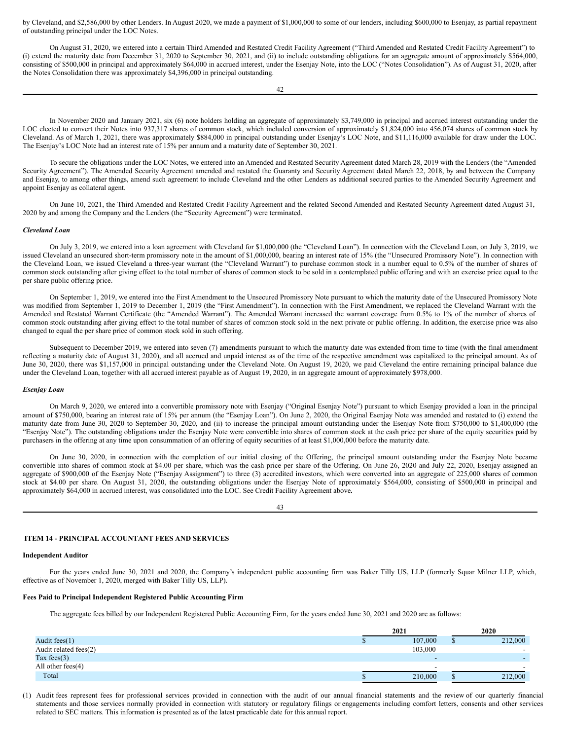by Cleveland, and \$2,586,000 by other Lenders. In August 2020, we made a payment of \$1,000,000 to some of our lenders, including \$600,000 to Esenjay, as partial repayment of outstanding principal under the LOC Notes.

On August 31, 2020, we entered into a certain Third Amended and Restated Credit Facility Agreement ("Third Amended and Restated Credit Facility Agreement") to (i) extend the maturity date from December 31, 2020 to September 30, 2021, and (ii) to include outstanding obligations for an aggregate amount of approximately \$564,000, consisting of \$500,000 in principal and approximately \$64,000 in accrued interest, under the Esenjay Note, into the LOC ("Notes Consolidation"). As of August 31, 2020, after the Notes Consolidation there was approximately \$4,396,000 in principal outstanding.

42

In November 2020 and January 2021, six (6) note holders holding an aggregate of approximately \$3,749,000 in principal and accrued interest outstanding under the LOC elected to convert their Notes into 937,317 shares of common stock, which included conversion of approximately \$1,824,000 into 456,074 shares of common stock by Cleveland. As of March 1, 2021, there was approximately \$884,000 in principal outstanding under Esenjay's LOC Note, and \$11,116,000 available for draw under the LOC. The Esenjay's LOC Note had an interest rate of 15% per annum and a maturity date of September 30, 2021.

To secure the obligations under the LOC Notes, we entered into an Amended and Restated Security Agreement dated March 28, 2019 with the Lenders (the "Amended Security Agreement"). The Amended Security Agreement amended and restated the Guaranty and Security Agreement dated March 22, 2018, by and between the Company and Esenjay, to among other things, amend such agreement to include Cleveland and the other Lenders as additional secured parties to the Amended Security Agreement and appoint Esenjay as collateral agent.

On June 10, 2021, the Third Amended and Restated Credit Facility Agreement and the related Second Amended and Restated Security Agreement dated August 31, 2020 by and among the Company and the Lenders (the "Security Agreement") were terminated.

### *Cleveland Loan*

On July 3, 2019, we entered into a loan agreement with Cleveland for \$1,000,000 (the "Cleveland Loan"). In connection with the Cleveland Loan, on July 3, 2019, we issued Cleveland an unsecured short-term promissory note in the amount of \$1,000,000, bearing an interest rate of 15% (the "Unsecured Promissory Note"). In connection with the Cleveland Loan, we issued Cleveland a three-year warrant (the "Cleveland Warrant") to purchase common stock in a number equal to 0.5% of the number of shares of common stock outstanding after giving effect to the total number of shares of common stock to be sold in a contemplated public offering and with an exercise price equal to the per share public offering price.

On September 1, 2019, we entered into the First Amendment to the Unsecured Promissory Note pursuant to which the maturity date of the Unsecured Promissory Note was modified from September 1, 2019 to December 1, 2019 (the "First Amendment"). In connection with the First Amendment, we replaced the Cleveland Warrant with the Amended and Restated Warrant Certificate (the "Amended Warrant"). The Amended Warrant increased the warrant coverage from 0.5% to 1% of the number of shares of common stock outstanding after giving effect to the total number of shares of common stock sold in the next private or public offering. In addition, the exercise price was also changed to equal the per share price of common stock sold in such offering.

Subsequent to December 2019, we entered into seven (7) amendments pursuant to which the maturity date was extended from time to time (with the final amendment reflecting a maturity date of August 31, 2020), and all accrued and unpaid interest as of the time of the respective amendment was capitalized to the principal amount. As of June 30, 2020, there was \$1,157,000 in principal outstanding under the Cleveland Note. On August 19, 2020, we paid Cleveland the entire remaining principal balance due under the Cleveland Loan, together with all accrued interest payable as of August 19, 2020, in an aggregate amount of approximately \$978,000.

### *Esenjay Loan*

On March 9, 2020, we entered into a convertible promissory note with Esenjay ("Original Esenjay Note") pursuant to which Esenjay provided a loan in the principal amount of \$750,000, bearing an interest rate of 15% per annum (the "Esenjay Loan"). On June 2, 2020, the Original Esenjay Note was amended and restated to (i) extend the maturity date from June 30, 2020 to September 30, 2020, and (ii) to increase the principal amount outstanding under the Esenjay Note from \$750,000 to \$1,400,000 (the "Esenjay Note"). The outstanding obligations under the Esenjay Note were convertible into shares of common stock at the cash price per share of the equity securities paid by purchasers in the offering at any time upon consummation of an offering of equity securities of at least \$1,000,000 before the maturity date.

On June 30, 2020, in connection with the completion of our initial closing of the Offering, the principal amount outstanding under the Esenjay Note became convertible into shares of common stock at \$4.00 per share, which was the cash price per share of the Offering. On June 26, 2020 and July 22, 2020, Esenjay assigned an aggregate of \$900,000 of the Esenjay Note ("Esenjay Assignment") to three (3) accredited investors, which were converted into an aggregate of 225,000 shares of common stock at \$4.00 per share. On August 31, 2020, the outstanding obligations under the Esenjay Note of approximately \$564,000, consisting of \$500,000 in principal and approximately \$64,000 in accrued interest, was consolidated into the LOC. See Credit Facility Agreement above*.*

| I<br>I<br>×<br>۰, |
|-------------------|
|-------------------|

### <span id="page-26-0"></span>**ITEM 14 - PRINCIPAL ACCOUNTANT FEES AND SERVICES**

### **Independent Auditor**

For the years ended June 30, 2021 and 2020, the Company's independent public accounting firm was Baker Tilly US, LLP (formerly Squar Milner LLP, which, effective as of November 1, 2020, merged with Baker Tilly US, LLP).

### **Fees Paid to Principal Independent Registered Public Accounting Firm**

The aggregate fees billed by our Independent Registered Public Accounting Firm, for the years ended June 30, 2021 and 2020 are as follows:

|                       | 2021                     |    | 2020    |
|-----------------------|--------------------------|----|---------|
| Audit fees $(1)$      | 107,000                  | кĐ | 212,000 |
| Audit related fees(2) | 103,000                  |    |         |
| Tax fees $(3)$        | $\overline{\phantom{a}}$ |    |         |
| All other fees $(4)$  | -                        |    |         |
| Total                 | 210,000                  |    | 212,000 |

(1) Audit fees represent fees for professional services provided in connection with the audit of our annual financial statements and the review of our quarterly financial statements and those services normally provided in connection with statutory or regulatory filings or engagements including comfort letters, consents and other services related to SEC matters. This information is presented as of the latest practicable date for this annual report.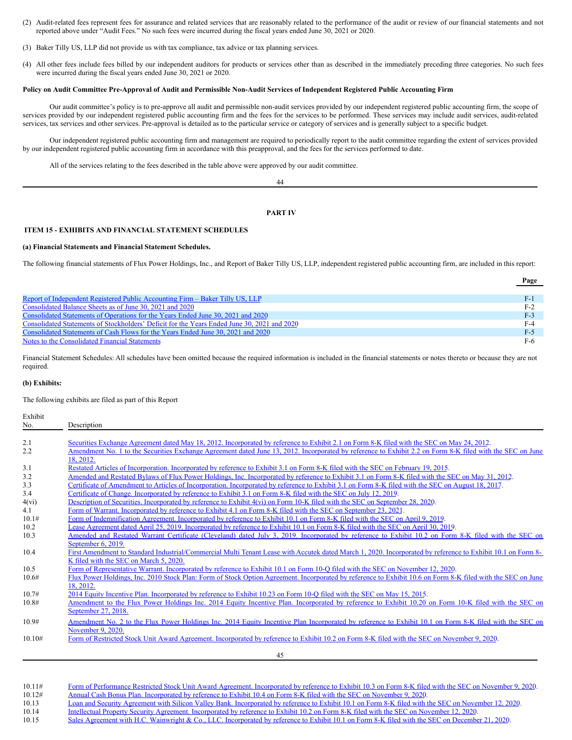- (2) Audit-related fees represent fees for assurance and related services that are reasonably related to the performance of the audit or review of our financial statements and not reported above under "Audit Fees." No such fees were incurred during the fiscal years ended June 30, 2021 or 2020.
- (3) Baker Tilly US, LLP did not provide us with tax compliance, tax advice or tax planning services.
- (4) All other fees include fees billed by our independent auditors for products or services other than as described in the immediately preceding three categories. No such fees were incurred during the fiscal years ended June 30, 2021 or 2020.

#### Policy on Audit Committee Pre-Approval of Audit and Permissible Non-Audit Services of Independent Registered Public Accounting Firm

Our audit committee's policy is to pre-approve all audit and permissible non-audit services provided by our independent registered public accounting firm, the scope of services provided by our independent registered public accounting firm and the fees for the services to be performed. These services may include audit services, audit-related services, tax services and other services. Pre-approval is detailed as to the particular service or category of services and is generally subject to a specific budget.

Our independent registered public accounting firm and management are required to periodically report to the audit committee regarding the extent of services provided by our independent registered public accounting firm in accordance with this preapproval, and the fees for the services performed to date.

<span id="page-27-0"></span>All of the services relating to the fees described in the table above were approved by our audit committee.

| 44           |
|--------------|
|              |
| A DT IV<br>. |

### <span id="page-27-1"></span>**ITEM 15 - EXHIBITS AND FINANCIAL STATEMENT SCHEDULES**

### **(a) Financial Statements and Financial Statement Schedules.**

The following financial statements of Flux Power Holdings, Inc., and Report of Baker Tilly US, LLP, independent registered public accounting firm, are included in this report:

**Page**

|                                                                                             | $\frac{1}{2}$ |
|---------------------------------------------------------------------------------------------|---------------|
|                                                                                             |               |
| Report of Independent Registered Public Accounting Firm – Baker Tilly US, LLP               | $F-$          |
| Consolidated Balance Sheets as of June 30, 2021 and 2020                                    | $F-2$         |
| Consolidated Statements of Operations for the Years Ended June 30, 2021 and 2020            | $F-3$         |
| Consolidated Statements of Stockholders' Deficit for the Years Ended June 30, 2021 and 2020 | $F-4$         |
| Consolidated Statements of Cash Flows for the Years Ended June 30, 2021 and 2020            | $F-5$         |
| Notes to the Consolidated Financial Statements                                              | F-6           |
|                                                                                             |               |

Financial Statement Schedules: All schedules have been omitted because the required information is included in the financial statements or notes thereto or because they are not required.

#### **(b) Exhibits:**

The following exhibits are filed as part of this Report

| Exhibit |                                                                                                                                                             |
|---------|-------------------------------------------------------------------------------------------------------------------------------------------------------------|
| No.     | Description                                                                                                                                                 |
|         |                                                                                                                                                             |
| 2.1     | Securities Exchange Agreement dated May 18, 2012. Incorporated by reference to Exhibit 2.1 on Form 8-K filed with the SEC on May 24, 2012.                  |
| 2.2     | Amendment No. 1 to the Securities Exchange Agreement dated June 13, 2012. Incorporated by reference to Exhibit 2.2 on Form 8-K filed with the SEC on June   |
|         | 18, 2012.                                                                                                                                                   |
| 3.1     | Restated Articles of Incorporation. Incorporated by reference to Exhibit 3.1 on Form 8-K filed with the SEC on February 19, 2015.                           |
| 3.2     | Amended and Restated Bylaws of Flux Power Holdings, Inc. Incorporated by reference to Exhibit 3.1 on Form 8-K filed with the SEC on May 31, 2012.           |
| 3.3     | Certificate of Amendment to Articles of Incorporation. Incorporated by reference to Exhibit 3.1 on Form 8-K filed with the SEC on August 18, 2017.          |
| 3.4     | Certificate of Change. Incorporated by reference to Exhibit 3.1 on Form 8-K filed with the SEC on July 12, 2019.                                            |
| 4(vi)   | Description of Securities. Incorporated by reference to Exhibit 4(vi) on Form 10-K filed with the SEC on September 28, 2020.                                |
| 4.1     | Form of Warrant. Incorporated by reference to Exhibit 4.1 on Form 8-K filed with the SEC on September 23, 2021.                                             |
| 10.1#   | Form of Indemnification Agreement. Incorporated by reference to Exhibit 10.1 on Form 8-K filed with the SEC on April 9, 2019.                               |
| 10.2    | Lease Agreement dated April 25, 2019. Incorporated by reference to Exhibit 10.1 on Form 8-K filed with the SEC on April 30, 2019.                           |
| 10.3    | Amended and Restated Warrant Certificate (Cleveland) dated July 3, 2019. Incorporated by reference to Exhibit 10.2 on Form 8-K filed with the SEC on        |
|         | September 6, 2019.                                                                                                                                          |
| 10.4    | First Amendment to Standard Industrial/Commercial Multi Tenant Lease with Accutek dated March 1, 2020. Incorporated by reference to Exhibit 10.1 on Form 8- |
|         | K filed with the SEC on March 5, 2020.                                                                                                                      |
| 10.5    | Form of Representative Warrant. Incorporated by reference to Exhibit 10.1 on Form 10-Q filed with the SEC on November 12, 2020.                             |
| 10.6#   | Flux Power Holdings, Inc. 2010 Stock Plan: Form of Stock Option Agreement. Incorporated by reference to Exhibit 10.6 on Form 8-K filed with the SEC on June |
|         | 18.2012.                                                                                                                                                    |
| 10.7#   | 2014 Equity Incentive Plan. Incorporated by reference to Exhibit 10.23 on Form 10-O filed with the SEC on May 15, 2015.                                     |
| 10.8#   | Amendment to the Flux Power Holdings Inc. 2014 Equity Incentive Plan. Incorporated by reference to Exhibit 10.20 on Form 10-K filed with the SEC on         |
|         | September 27, 2018.                                                                                                                                         |
| 10.9#   | Amendment No. 2 to the Flux Power Holdings Inc. 2014 Equity Incentive Plan Incorporated by reference to Exhibit 10.1 on Form 8-K filed with the SEC on      |
|         | November 9, 2020.                                                                                                                                           |
| 10.10#  | Form of Restricted Stock Unit Award Agreement. Incorporated by reference to Exhibit 10.2 on Form 8-K filed with the SEC on November 9, 2020.                |
|         |                                                                                                                                                             |
|         | 45                                                                                                                                                          |

10.12# Annual Cash Bonus Plan. [Incorporated](https://www.sec.gov/Archives/edgar/data/1083743/000149315220020810/ex10-4.htm) by reference to Exhibit 10.4 on Form 8-K filed with the SEC on November 9, 2020.

10.15 Sales Agreement with H.C. Wainwright & Co., LLC. [Incorporated](https://www.sec.gov/Archives/edgar/data/1083743/000149315220023977/ex10-1.htm) by reference to Exhibit 10.1 on Form 8-K filed with the SEC on December 21, 2020.

<sup>10.11#</sup> Form of Performance Restricted Stock Unit Award Agreement. [Incorporated](https://www.sec.gov/Archives/edgar/data/1083743/000149315220020810/ex10-3.htm) by reference to Exhibit 10.3 on Form 8-K filed with the SEC on November 9, 2020.

<sup>10.13</sup> Loan and Security Agreement with Silicon Valley Bank. [Incorporated](https://www.sec.gov/Archives/edgar/data/1083743/000149315220020954/ex10-1.htm) by reference to Exhibit 10.1 on Form 8-K filed with the SEC on November 12, 2020.

<sup>10.14</sup> Intellectual Property Security Agreement. [Incorporated](https://www.sec.gov/Archives/edgar/data/1083743/000149315220020954/ex10-2.htm) by reference to Exhibit 10.2 on Form 8-K filed with the SEC on November 12, 2020.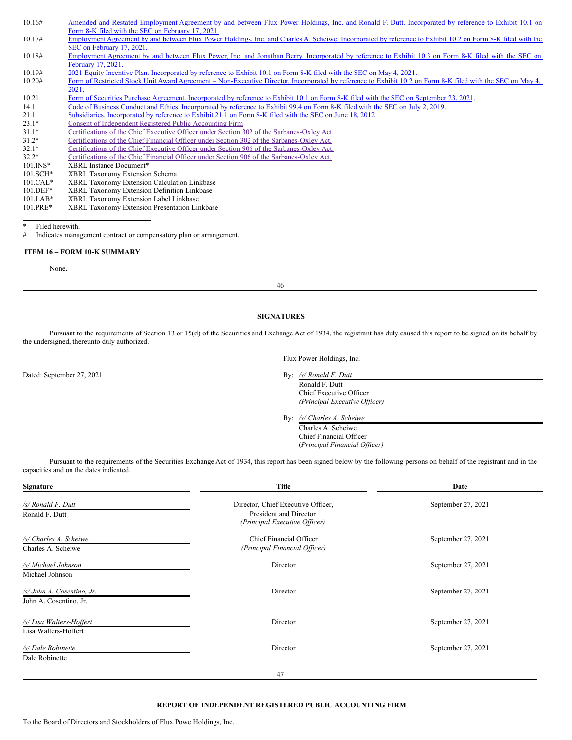| 10.16#      | Amended and Restated Employment Agreement by and between Flux Power Holdings, Inc. and Ronald F. Dutt. Incorporated by reference to Exhibit 10.1 on        |
|-------------|------------------------------------------------------------------------------------------------------------------------------------------------------------|
|             | Form 8-K filed with the SEC on February 17, 2021.                                                                                                          |
| 10.17#      | Employment Agreement by and between Flux Power Holdings, Inc. and Charles A. Scheiwe. Incorporated by reference to Exhibit 10.2 on Form 8-K filed with the |
|             | SEC on February 17, 2021.                                                                                                                                  |
| 10.18#      | Employment Agreement by and between Flux Power, Inc. and Jonathan Berry. Incorporated by reference to Exhibit 10.3 on Form 8-K filed with the SEC on       |
|             | February 17, 2021.                                                                                                                                         |
| 10.19#      | 2021 Equity Incentive Plan. Incorporated by reference to Exhibit 10.1 on Form 8-K filed with the SEC on May 4, 2021.                                       |
| 10.20#      | Form of Restricted Stock Unit Award Agreement – Non-Executive Director. Incorporated by reference to Exhibit 10.2 on Form 8-K filed with the SEC on May 4, |
|             | 2021.                                                                                                                                                      |
| 10.21       | Form of Securities Purchase Agreement. Incorporated by reference to Exhibit 10.1 on Form 8-K filed with the SEC on September 23, 2021.                     |
| 14.1        | Code of Business Conduct and Ethics. Incorporated by reference to Exhibit 99.4 on Form 8-K filed with the SEC on July 2, 2019.                             |
| 21.1        | Subsidiaries. Incorporated by reference to Exhibit 21.1 on Form 8-K filed with the SEC on June 18, 2012                                                    |
| $23.1*$     | Consent of Independent Registered Public Accounting Firm                                                                                                   |
| 31.1*       | Certifications of the Chief Executive Officer under Section 302 of the Sarbanes-Oxley Act.                                                                 |
| $31.2*$     | Certifications of the Chief Financial Officer under Section 302 of the Sarbanes-Oxley Act.                                                                 |
| $32.1*$     | Certifications of the Chief Executive Officer under Section 906 of the Sarbanes-Oxley Act.                                                                 |
| $32.2*$     | Certifications of the Chief Financial Officer under Section 906 of the Sarbanes-Oxley Act.                                                                 |
| $101.$ INS* | XBRL Instance Document*                                                                                                                                    |
| 101.SCH*    | XBRL Taxonomy Extension Schema                                                                                                                             |
| $101.CAL*$  | XBRL Taxonomy Extension Calculation Linkbase                                                                                                               |
| 101.DEF*    | XBRL Taxonomy Extension Definition Linkbase                                                                                                                |
| $101.LAB*$  | XBRL Taxonomy Extension Label Linkbase                                                                                                                     |
| 101.PRE*    | <b>XBRL Taxonomy Extension Presentation Linkbase</b>                                                                                                       |
|             |                                                                                                                                                            |

\* Filed herewith.

# Indicates management contract or compensatory plan or arrangement.

### <span id="page-28-0"></span>**ITEM 16 – FORM 10-K SUMMARY**

None**.**

46

### <span id="page-28-1"></span>**SIGNATURES**

Pursuant to the requirements of Section 13 or 15(d) of the Securities and Exchange Act of 1934, the registrant has duly caused this report to be signed on its behalf by the undersigned, thereunto duly authorized.

Flux Power Holdings, Inc.

Dated: September 27, 2021 By: */s/ Ronald F. Dutt* 

Ronald F. Dutt Chief Executive Officer *(Principal Executive Of icer)*

By: */s/ Charles A. Scheiwe* Charles A. Scheiwe Chief Financial Officer (*Principal Financial Of icer)*

Pursuant to the requirements of the Securities Exchange Act of 1934, this report has been signed below by the following persons on behalf of the registrant and in the capacities and on the dates indicated.

| <b>Signature</b>                                     | <b>Title</b>                                                                                  | Date               |
|------------------------------------------------------|-----------------------------------------------------------------------------------------------|--------------------|
| /s/ Ronald F. Dutt<br>Ronald F. Dutt                 | Director, Chief Executive Officer,<br>President and Director<br>(Principal Executive Officer) | September 27, 2021 |
| /s/ Charles A. Scheiwe<br>Charles A. Scheiwe         | Chief Financial Officer<br>(Principal Financial Officer)                                      | September 27, 2021 |
| /s/ Michael Johnson<br>Michael Johnson               | Director                                                                                      | September 27, 2021 |
| /s/ John A. Cosentino, Jr.<br>John A. Cosentino, Jr. | Director                                                                                      | September 27, 2021 |
| /s/ Lisa Walters-Hoffert<br>Lisa Walters-Hoffert     | Director                                                                                      | September 27, 2021 |
| /s/ Dale Robinette<br>Dale Robinette                 | Director                                                                                      | September 27, 2021 |
|                                                      | 47                                                                                            |                    |

### <span id="page-28-2"></span>**REPORT OF INDEPENDENT REGISTERED PUBLIC ACCOUNTING FIRM**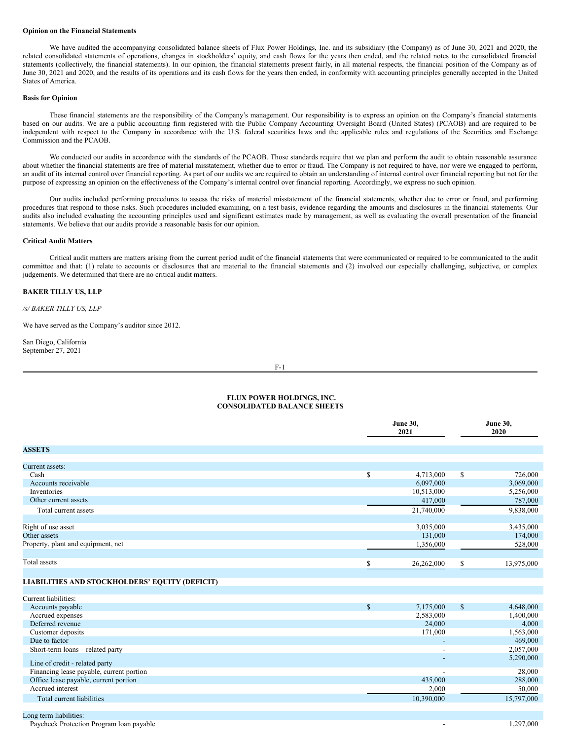#### **Opinion on the Financial Statements**

We have audited the accompanying consolidated balance sheets of Flux Power Holdings, Inc. and its subsidiary (the Company) as of June 30, 2021 and 2020, the related consolidated statements of operations, changes in stockholders' equity, and cash flows for the years then ended, and the related notes to the consolidated financial statements (collectively, the financial statements). In our opinion, the financial statements present fairly, in all material respects, the financial position of the Company as of June 30, 2021 and 2020, and the results of its operations and its cash flows for the years then ended, in conformity with accounting principles generally accepted in the United States of America.

### **Basis for Opinion**

These financial statements are the responsibility of the Company's management. Our responsibility is to express an opinion on the Company's financial statements based on our audits. We are a public accounting firm registered with the Public Company Accounting Oversight Board (United States) (PCAOB) and are required to be independent with respect to the Company in accordance with the U.S. federal securities laws and the applicable rules and regulations of the Securities and Exchange Commission and the PCAOB.

We conducted our audits in accordance with the standards of the PCAOB. Those standards require that we plan and perform the audit to obtain reasonable assurance about whether the financial statements are free of material misstatement, whether due to error or fraud. The Company is not required to have, nor were we engaged to perform, an audit of its internal control over financial reporting. As part of our audits we are required to obtain an understanding of internal control over financial reporting but not for the purpose of expressing an opinion on the effectiveness of the Company's internal control over financial reporting. Accordingly, we express no such opinion.

Our audits included performing procedures to assess the risks of material misstatement of the financial statements, whether due to error or fraud, and performing procedures that respond to those risks. Such procedures included examining, on a test basis, evidence regarding the amounts and disclosures in the financial statements. Our audits also included evaluating the accounting principles used and significant estimates made by management, as well as evaluating the overall presentation of the financial statements. We believe that our audits provide a reasonable basis for our opinion.

### **Critical Audit Matters**

Critical audit matters are matters arising from the current period audit of the financial statements that were communicated or required to be communicated to the audit committee and that: (1) relate to accounts or disclosures that are material to the financial statements and (2) involved our especially challenging, subjective, or complex judgements. We determined that there are no critical audit matters.

### **BAKER TILLY US, LLP**

*/s/ BAKER TILLY US, LLP*

We have served as the Company's auditor since 2012.

San Diego, California September 27, 2021

F-1

### <span id="page-29-0"></span>**FLUX POWER HOLDINGS, INC. CONSOLIDATED BALANCE SHEETS**

|                                                       | <b>June 30,</b><br>2021 |    | <b>June 30,</b><br>2020 |
|-------------------------------------------------------|-------------------------|----|-------------------------|
| <b>ASSETS</b>                                         |                         |    |                         |
| Current assets:                                       |                         |    |                         |
| Cash                                                  | \$<br>4,713,000         | \$ | 726,000                 |
| Accounts receivable                                   | 6,097,000               |    | 3,069,000               |
| Inventories                                           | 10,513,000              |    | 5,256,000               |
| Other current assets                                  | 417,000                 |    | 787,000                 |
| Total current assets                                  | 21,740,000              |    | 9,838,000               |
|                                                       |                         |    |                         |
| Right of use asset                                    | 3,035,000               |    | 3,435,000               |
| Other assets                                          | 131,000                 |    | 174,000                 |
| Property, plant and equipment, net                    | 1,356,000               |    | 528,000                 |
|                                                       |                         |    |                         |
| Total assets                                          | 26,262,000              |    | 13,975,000              |
|                                                       |                         |    |                         |
| <b>LIABILITIES AND STOCKHOLDERS' EQUITY (DEFICIT)</b> |                         |    |                         |

| Current liabilities:                     |          |                          |               |            |
|------------------------------------------|----------|--------------------------|---------------|------------|
| Accounts payable                         | <b>S</b> | 7,175,000                | <sup>\$</sup> | 4,648,000  |
| Accrued expenses                         |          | 2,583,000                |               | 1,400,000  |
| Deferred revenue                         |          | 24,000                   |               | 4,000      |
| Customer deposits                        |          | 171,000                  |               | 1,563,000  |
| Due to factor                            |          | $\overline{\phantom{a}}$ |               | 469,000    |
| Short-term loans – related party         |          | $\overline{\phantom{a}}$ |               | 2,057,000  |
|                                          |          | $\overline{\phantom{a}}$ |               | 5,290,000  |
| Line of credit - related party           |          |                          |               |            |
| Financing lease payable, current portion |          | $\overline{\phantom{a}}$ |               | 28,000     |
| Office lease payable, current portion    |          | 435,000                  |               | 288,000    |
| Accrued interest                         |          | 2,000                    |               | 50,000     |
| Total current liabilities                |          | 10,390,000               |               | 15,797,000 |
|                                          |          |                          |               |            |

Paycheck Protection Program loan payable  $1,297,000$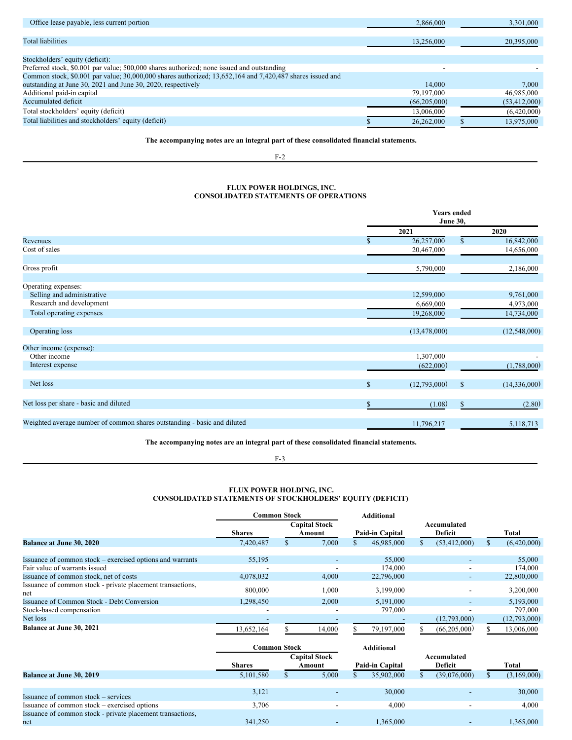| Office lease payable, less current portion                                                                | 2,866,000    | 3,301,000      |
|-----------------------------------------------------------------------------------------------------------|--------------|----------------|
|                                                                                                           |              |                |
| <b>Total liabilities</b>                                                                                  | 13,256,000   | 20,395,000     |
|                                                                                                           |              |                |
| Stockholders' equity (deficit):                                                                           |              |                |
| Preferred stock, \$0.001 par value; 500,000 shares authorized; none issued and outstanding                |              |                |
| Common stock, \$0.001 par value; 30,000,000 shares authorized; 13,652,164 and 7,420,487 shares issued and |              |                |
| outstanding at June 30, 2021 and June 30, 2020, respectively                                              | 14,000       | 7.000          |
| Additional paid-in capital                                                                                | 79,197,000   | 46,985,000     |
| Accumulated deficit                                                                                       | (66,205,000) | (53, 412, 000) |
| Total stockholders' equity (deficit)                                                                      | 13,006,000   | (6,420,000)    |
| Total liabilities and stockholders' equity (deficit)                                                      | 26,262,000   | 13,975,000     |

**The accompanying notes are an integral part of these consolidated financial statements.**

F-2

## <span id="page-30-0"></span>**FLUX POWER HOLDINGS, INC. CONSOLIDATED STATEMENTS OF OPERATIONS**

|                                                                          | <b>Years ended</b><br><b>June 30,</b> |               |                |  |  |
|--------------------------------------------------------------------------|---------------------------------------|---------------|----------------|--|--|
|                                                                          | 2021                                  |               | 2020           |  |  |
| Revenues                                                                 | 26,257,000                            | <sup>\$</sup> | 16,842,000     |  |  |
| Cost of sales                                                            | 20,467,000                            |               | 14,656,000     |  |  |
| Gross profit                                                             | 5,790,000                             |               | 2,186,000      |  |  |
| Operating expenses:                                                      |                                       |               |                |  |  |
| Selling and administrative                                               | 12,599,000                            |               | 9,761,000      |  |  |
| Research and development                                                 | 6,669,000                             |               | 4,973,000      |  |  |
| Total operating expenses                                                 | 19,268,000                            |               | 14,734,000     |  |  |
| Operating loss                                                           | (13, 478, 000)                        |               | (12,548,000)   |  |  |
| Other income (expense):                                                  |                                       |               |                |  |  |
| Other income                                                             | 1,307,000                             |               |                |  |  |
| Interest expense                                                         | (622,000)                             |               | (1,788,000)    |  |  |
| Net loss                                                                 | (12,793,000)                          |               | (14, 336, 000) |  |  |
| Net loss per share - basic and diluted                                   | (1.08)                                |               | (2.80)         |  |  |
| Weighted average number of common shares outstanding - basic and diluted | 11,796,217                            |               | 5,118,713      |  |  |

**The accompanying notes are an integral part of these consolidated financial statements.**

<span id="page-30-1"></span>F-3

## **FLUX POWER HOLDING, INC. CONSOLIDATED STATEMENTS OF STOCKHOLDERS' EQUITY (DEFICIT)**

|                                                                   | <b>Common Stock</b> |                                | <b>Additional</b>      |                          |              |
|-------------------------------------------------------------------|---------------------|--------------------------------|------------------------|--------------------------|--------------|
|                                                                   | <b>Shares</b>       | <b>Capital Stock</b><br>Amount | <b>Paid-in Capital</b> | Accumulated<br>Deficit   | Total        |
| <b>Balance at June 30, 2020</b>                                   | 7,420,487           | 7,000                          | 46,985,000             | (53, 412, 000)           | (6,420,000)  |
| Issuance of common stock – exercised options and warrants         | 55,195              | $\overline{\phantom{0}}$       | 55,000                 | $\overline{\phantom{a}}$ | 55,000       |
| Fair value of warrants issued                                     |                     |                                | 174,000                |                          | 174,000      |
| Issuance of common stock, net of costs                            | 4,078,032           | 4,000                          | 22,796,000             | $\overline{\phantom{a}}$ | 22,800,000   |
| Issuance of common stock - private placement transactions,<br>net | 800,000             | 1,000                          | 3.199.000              |                          | 3,200,000    |
| Issuance of Common Stock - Debt Conversion                        | 1.298.450           | 2.000                          | 5.191.000              | $\overline{\phantom{a}}$ | 5,193,000    |
| Stock-based compensation                                          |                     |                                | 797,000                |                          | 797,000      |
| Net loss                                                          |                     |                                |                        | (12,793,000)             | (12,793,000) |
| Balance at June 30, 2021                                          | 13.652.164          | 14.000                         | 79,197,000             | (66, 205, 000)           | 13,006,000   |

|                                                                   |               | Common Stock |                                | <b>Additional</b> |                          |             |
|-------------------------------------------------------------------|---------------|--------------|--------------------------------|-------------------|--------------------------|-------------|
|                                                                   | <b>Shares</b> |              | <b>Capital Stock</b><br>Amount | Paid-in Capital   | Accumulated<br>Deficit   | Total       |
| <b>Balance at June 30, 2019</b>                                   | 5.101.580     |              | 5.000                          | 35,902,000        | (39,076,000)             | (3,169,000) |
| Issuance of common stock – services                               | 3,121         |              |                                | 30,000            |                          | 30,000      |
| Issuance of common stock – exercised options                      | 3.706         |              |                                | 4.000             |                          | 4,000       |
| Issuance of common stock - private placement transactions,<br>net | 341,250       |              |                                | 1.365.000         | $\overline{\phantom{0}}$ | 1,365,000   |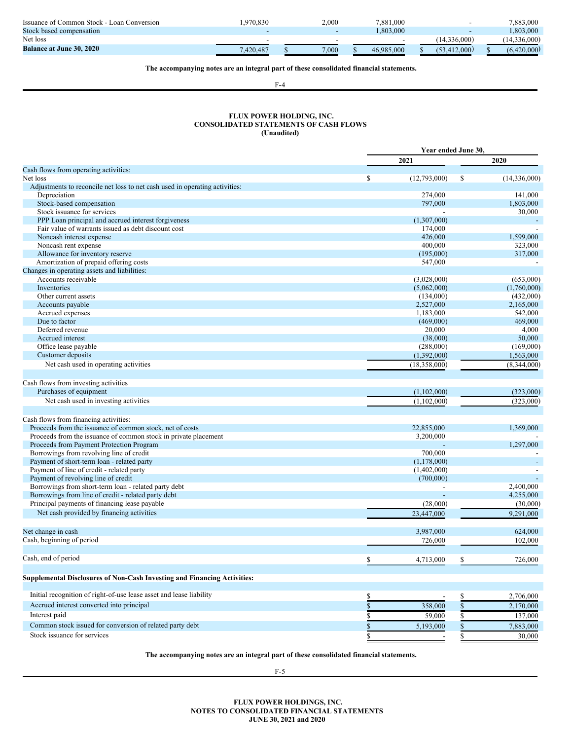| Issuance of Common Stock - Loan Conversion | .970.830  | 2.000 | 7.881.000  | -            | 7.883.000    |
|--------------------------------------------|-----------|-------|------------|--------------|--------------|
| Stock based compensation                   |           |       | .803.000   |              | .803.000     |
| Net loss                                   |           |       | -          | (14.336.000) | (14.336.000) |
| <b>Balance at June 30, 2020</b>            | 7,420,487 | 7.000 | 46.985,000 | 53,412,000)  | 420,000      |

**The accompanying notes are an integral part of these consolidated financial statements.**

F-4

### <span id="page-31-0"></span>**FLUX POWER HOLDING, INC. CONSOLIDATED STATEMENTS OF CASH FLOWS (Unaudited)**

|                                                                             |    | Year ended June 30, |                           |  |  |
|-----------------------------------------------------------------------------|----|---------------------|---------------------------|--|--|
|                                                                             |    | 2021                | 2020                      |  |  |
| Cash flows from operating activities:                                       |    |                     |                           |  |  |
| Net loss                                                                    | \$ | (12,793,000)        | \$<br>(14,336,000)        |  |  |
| Adjustments to reconcile net loss to net cash used in operating activities: |    |                     |                           |  |  |
| Depreciation                                                                |    | 274,000             | 141,000                   |  |  |
| Stock-based compensation                                                    |    | 797,000             | 1,803,000                 |  |  |
| Stock issuance for services                                                 |    |                     | 30,000                    |  |  |
| PPP Loan principal and accrued interest forgiveness                         |    | (1,307,000)         |                           |  |  |
| Fair value of warrants issued as debt discount cost                         |    | 174,000             |                           |  |  |
| Noncash interest expense                                                    |    | 426,000             | 1,599,000                 |  |  |
| Noncash rent expense                                                        |    | 400,000             | 323,000                   |  |  |
| Allowance for inventory reserve                                             |    | (195,000)           | 317,000                   |  |  |
| Amortization of prepaid offering costs                                      |    | 547,000             |                           |  |  |
| Changes in operating assets and liabilities:                                |    |                     |                           |  |  |
| Accounts receivable                                                         |    | (3,028,000)         | (653,000)                 |  |  |
| Inventories                                                                 |    | (5,062,000)         | (1,760,000)               |  |  |
| Other current assets                                                        |    | (134,000)           | (432,000)                 |  |  |
| Accounts payable                                                            |    | 2,527,000           | 2,165,000                 |  |  |
| Accrued expenses                                                            |    | 1,183,000           | 542,000                   |  |  |
| Due to factor                                                               |    | (469,000)           | 469,000                   |  |  |
| Deferred revenue                                                            |    | 20,000              | 4,000                     |  |  |
| Accrued interest                                                            |    | (38,000)            | 50,000                    |  |  |
| Office lease payable                                                        |    | (288,000)           | (169,000)                 |  |  |
| Customer deposits                                                           |    | (1,392,000)         | 1,563,000                 |  |  |
| Net cash used in operating activities                                       |    | (18,358,000)        | (8,344,000)               |  |  |
|                                                                             |    |                     |                           |  |  |
| Cash flows from investing activities                                        |    |                     |                           |  |  |
| Purchases of equipment                                                      |    | (1,102,000)         | (323,000)                 |  |  |
| Net cash used in investing activities                                       |    | (1,102,000)         | (323,000)                 |  |  |
|                                                                             |    |                     |                           |  |  |
| Cash flows from financing activities:                                       |    |                     |                           |  |  |
| Proceeds from the issuance of common stock, net of costs                    |    | 22,855,000          | 1,369,000                 |  |  |
| Proceeds from the issuance of common stock in private placement             |    | 3,200,000           |                           |  |  |
| Proceeds from Payment Protection Program                                    |    |                     | 1,297,000                 |  |  |
| Borrowings from revolving line of credit                                    |    | 700,000             |                           |  |  |
| Payment of short-term loan - related party                                  |    | (1,178,000)         |                           |  |  |
| Payment of line of credit - related party                                   |    | (1,402,000)         |                           |  |  |
| Payment of revolving line of credit                                         |    | (700,000)           |                           |  |  |
| Borrowings from short-term loan - related party debt                        |    |                     | 2,400,000                 |  |  |
| Borrowings from line of credit - related party debt                         |    |                     | 4,255,000                 |  |  |
| Principal payments of financing lease payable                               |    | (28,000)            | (30,000)                  |  |  |
| Net cash provided by financing activities                                   |    | 23,447,000          | 9,291,000                 |  |  |
|                                                                             |    |                     |                           |  |  |
| Net change in cash                                                          |    | 3,987,000           | 624,000                   |  |  |
| Cash, beginning of period                                                   |    | 726,000             | 102,000                   |  |  |
|                                                                             |    |                     |                           |  |  |
| Cash, end of period                                                         | \$ | 4,713,000           | \$<br>726,000             |  |  |
|                                                                             |    |                     |                           |  |  |
| Supplemental Disclosures of Non-Cash Investing and Financing Activities:    |    |                     |                           |  |  |
| Initial recognition of right-of-use lease asset and lease liability         | \$ |                     | \$<br>2,706,000           |  |  |
| Accrued interest converted into principal                                   | \$ | 358,000             | $\mathbb{S}$<br>2,170,000 |  |  |
| Interest paid                                                               |    |                     |                           |  |  |
|                                                                             | S  | 59,000              | \$<br>137,000             |  |  |
| Common stock issued for conversion of related party debt                    | \$ | 5,193,000           | \$<br>7,883,000           |  |  |
| Stock issuance for services                                                 | \$ |                     | \$<br>30,000              |  |  |
|                                                                             |    |                     |                           |  |  |

<span id="page-31-1"></span>**The accompanying notes are an integral part of these consolidated financial statements.**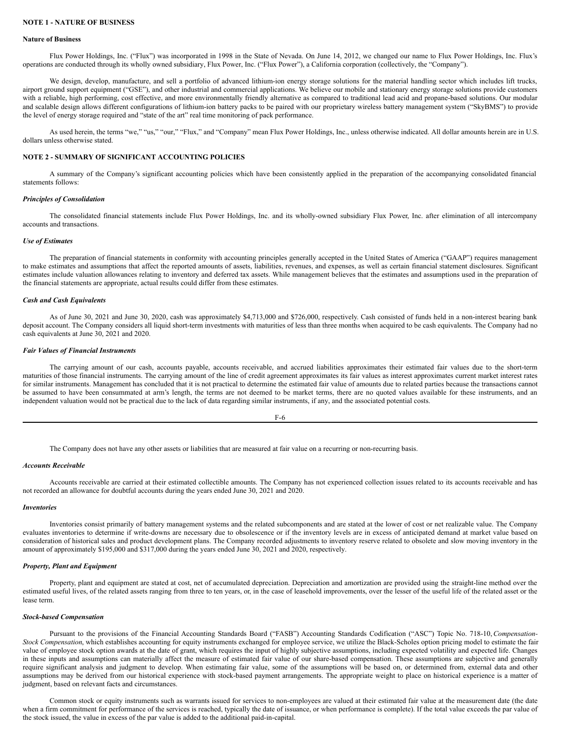#### **NOTE 1 - NATURE OF BUSINESS**

### **Nature of Business**

Flux Power Holdings, Inc. ("Flux") was incorporated in 1998 in the State of Nevada. On June 14, 2012, we changed our name to Flux Power Holdings, Inc. Flux's operations are conducted through its wholly owned subsidiary, Flux Power, Inc. ("Flux Power"), a California corporation (collectively, the "Company").

We design, develop, manufacture, and sell a portfolio of advanced lithium-ion energy storage solutions for the material handling sector which includes lift trucks, airport ground support equipment ("GSE"), and other industrial and commercial applications. We believe our mobile and stationary energy storage solutions provide customers with a reliable, high performing, cost effective, and more environmentally friendly alternative as compared to traditional lead acid and propane-based solutions. Our modular and scalable design allows different configurations of lithium-ion battery packs to be paired with our proprietary wireless battery management system ("SkyBMS") to provide the level of energy storage required and "state of the art" real time monitoring of pack performance.

As used herein, the terms "we," "us," "our," "Flux," and "Company" mean Flux Power Holdings, Inc., unless otherwise indicated. All dollar amounts herein are in U.S. dollars unless otherwise stated.

#### **NOTE 2 - SUMMARY OF SIGNIFICANT ACCOUNTING POLICIES**

A summary of the Company's significant accounting policies which have been consistently applied in the preparation of the accompanying consolidated financial statements follows:

### *Principles of Consolidation*

The consolidated financial statements include Flux Power Holdings, Inc. and its wholly-owned subsidiary Flux Power, Inc. after elimination of all intercompany accounts and transactions.

### *Use of Estimates*

The preparation of financial statements in conformity with accounting principles generally accepted in the United States of America ("GAAP") requires management to make estimates and assumptions that affect the reported amounts of assets, liabilities, revenues, and expenses, as well as certain financial statement disclosures. Significant estimates include valuation allowances relating to inventory and deferred tax assets. While management believes that the estimates and assumptions used in the preparation of the financial statements are appropriate, actual results could differ from these estimates.

#### *Cash and Cash Equivalents*

As of June 30, 2021 and June 30, 2020, cash was approximately \$4,713,000 and \$726,000, respectively. Cash consisted of funds held in a non-interest bearing bank deposit account. The Company considers all liquid short-term investments with maturities of less than three months when acquired to be cash equivalents. The Company had no cash equivalents at June 30, 2021 and 2020.

### *Fair Values of Financial Instruments*

The carrying amount of our cash, accounts payable, accounts receivable, and accrued liabilities approximates their estimated fair values due to the short-term maturities of those financial instruments. The carrying amount of the line of credit agreement approximates its fair values as interest approximates current market interest rates for similar instruments. Management has concluded that it is not practical to determine the estimated fair value of amounts due to related parties because the transactions cannot be assumed to have been consummated at arm's length, the terms are not deemed to be market terms, there are no quoted values available for these instruments, and an independent valuation would not be practical due to the lack of data regarding similar instruments, if any, and the associated potential costs.

F-6

The Company does not have any other assets or liabilities that are measured at fair value on a recurring or non-recurring basis.

### *Accounts Receivable*

Accounts receivable are carried at their estimated collectible amounts. The Company has not experienced collection issues related to its accounts receivable and has not recorded an allowance for doubtful accounts during the years ended June 30, 2021 and 2020.

#### *Inventories*

Inventories consist primarily of battery management systems and the related subcomponents and are stated at the lower of cost or net realizable value. The Company evaluates inventories to determine if write-downs are necessary due to obsolescence or if the inventory levels are in excess of anticipated demand at market value based on consideration of historical sales and product development plans. The Company recorded adjustments to inventory reserve related to obsolete and slow moving inventory in the amount of approximately \$195,000 and \$317,000 during the years ended June 30, 2021 and 2020, respectively.

#### *Property, Plant and Equipment*

Property, plant and equipment are stated at cost, net of accumulated depreciation. Depreciation and amortization are provided using the straight-line method over the estimated useful lives, of the related assets ranging from three to ten years, or, in the case of leasehold improvements, over the lesser of the useful life of the related asset or the lease term.

### *Stock-based Compensation*

Pursuant to the provisions of the Financial Accounting Standards Board ("FASB") Accounting Standards Codification ("ASC") Topic No. 718-10,*Compensation-Stock Compensation*, which establishes accounting for equity instruments exchanged for employee service, we utilize the Black-Scholes option pricing model to estimate the fair value of employee stock option awards at the date of grant, which requires the input of highly subjective assumptions, including expected volatility and expected life. Changes in these inputs and assumptions can materially affect the measure of estimated fair value of our share-based compensation. These assumptions are subjective and generally require significant analysis and judgment to develop. When estimating fair value, some of the assumptions will be based on, or determined from, external data and other assumptions may be derived from our historical experience with stock-based payment arrangements. The appropriate weight to place on historical experience is a matter of judgment, based on relevant facts and circumstances.

Common stock or equity instruments such as warrants issued for services to non-employees are valued at their estimated fair value at the measurement date (the date when a firm commitment for performance of the services is reached, typically the date of issuance, or when performance is complete). If the total value exceeds the par value of the stock issued, the value in excess of the par value is added to the additional paid-in-capital.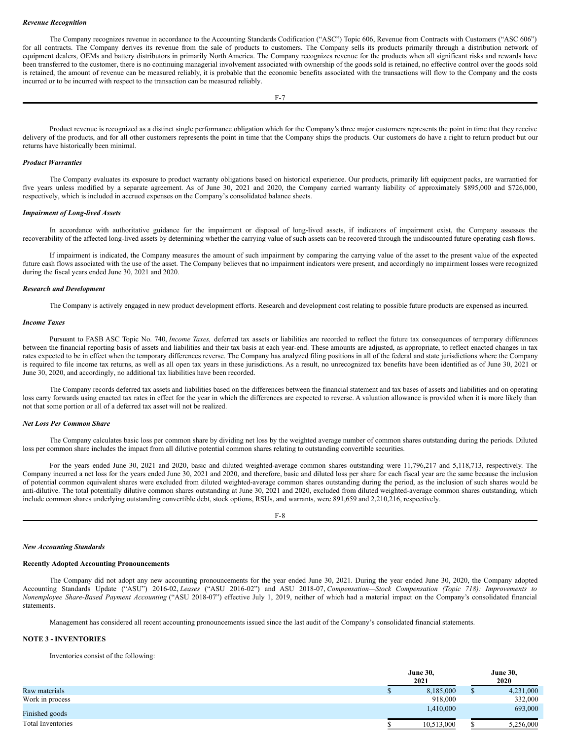#### *Revenue Recognition*

The Company recognizes revenue in accordance to the Accounting Standards Codification ("ASC") Topic 606, Revenue from Contracts with Customers ("ASC 606") for all contracts. The Company derives its revenue from the sale of products to customers. The Company sells its products primarily through a distribution network of equipment dealers, OEMs and battery distributors in primarily North America. The Company recognizes revenue for the products when all significant risks and rewards have been transferred to the customer, there is no continuing managerial involvement associated with ownership of the goods sold is retained, no effective control over the goods sold is retained, the amount of revenue can be measured reliably, it is probable that the economic benefits associated with the transactions will flow to the Company and the costs incurred or to be incurred with respect to the transaction can be measured reliably.

Product revenue is recognized as a distinct single performance obligation which for the Company's three major customers represents the point in time that they receive delivery of the products, and for all other customers represents the point in time that the Company ships the products. Our customers do have a right to return product but our returns have historically been minimal.

### *Product Warranties*

The Company evaluates its exposure to product warranty obligations based on historical experience. Our products, primarily lift equipment packs, are warrantied for five years unless modified by a separate agreement. As of June 30, 2021 and 2020, the Company carried warranty liability of approximately \$895,000 and \$726,000, respectively, which is included in accrued expenses on the Company's consolidated balance sheets.

#### *Impairment of Long-lived Assets*

In accordance with authoritative guidance for the impairment or disposal of long-lived assets, if indicators of impairment exist, the Company assesses the recoverability of the affected long-lived assets by determining whether the carrying value of such assets can be recovered through the undiscounted future operating cash flows.

If impairment is indicated, the Company measures the amount of such impairment by comparing the carrying value of the asset to the present value of the expected future cash flows associated with the use of the asset. The Company believes that no impairment indicators were present, and accordingly no impairment losses were recognized during the fiscal years ended June 30, 2021 and 2020.

### *Research and Development*

The Company is actively engaged in new product development efforts. Research and development cost relating to possible future products are expensed as incurred.

### *Income Taxes*

Pursuant to FASB ASC Topic No. 740, *Income Taxes,* deferred tax assets or liabilities are recorded to reflect the future tax consequences of temporary differences between the financial reporting basis of assets and liabilities and their tax basis at each year-end. These amounts are adjusted, as appropriate, to reflect enacted changes in tax rates expected to be in effect when the temporary differences reverse. The Company has analyzed filing positions in all of the federal and state jurisdictions where the Company is required to file income tax returns, as well as all open tax years in these jurisdictions. As a result, no unrecognized tax benefits have been identified as of June 30, 2021 or June 30, 2020, and accordingly, no additional tax liabilities have been recorded.

The Company records deferred tax assets and liabilities based on the differences between the financial statement and tax bases of assets and liabilities and on operating loss carry forwards using enacted tax rates in effect for the year in which the differences are expected to reverse. A valuation allowance is provided when it is more likely than not that some portion or all of a deferred tax asset will not be realized.

#### *Net Loss Per Common Share*

The Company calculates basic loss per common share by dividing net loss by the weighted average number of common shares outstanding during the periods. Diluted loss per common share includes the impact from all dilutive potential common shares relating to outstanding convertible securities.

For the years ended June 30, 2021 and 2020, basic and diluted weighted-average common shares outstanding were 11,796,217 and 5,118,713, respectively. The Company incurred a net loss for the years ended June 30, 2021 and 2020, and therefore, basic and diluted loss per share for each fiscal year are the same because the inclusion of potential common equivalent shares were excluded from diluted weighted-average common shares outstanding during the period, as the inclusion of such shares would be anti-dilutive. The total potentially dilutive common shares outstanding at June 30, 2021 and 2020, excluded from diluted weighted-average common shares outstanding, which include common shares underlying outstanding convertible debt, stock options, RSUs, and warrants, were 891,659 and 2,210,216, respectively.

#### F-8

#### *New Accounting Standards*

### **Recently Adopted Accounting Pronouncements**

The Company did not adopt any new accounting pronouncements for the year ended June 30, 2021. During the year ended June 30, 2020, the Company adopted Accounting Standards Update ("ASU") 2016-02, *Leases* ("ASU 2016-02") and ASU 2018-07, *Compensation—Stock Compensation (Topic 718): Improvements to Nonemployee Share-Based Payment Accounting* ("ASU 2018-07") effective July 1, 2019, neither of which had a material impact on the Company's consolidated financial statements.

Management has considered all recent accounting pronouncements issued since the last audit of the Company's consolidated financial statements.

### **NOTE 3 - INVENTORIES**

Inventories consist of the following:

|                          | <b>June 30,</b><br>2021 | <b>June 30,</b><br>2020 |           |  |
|--------------------------|-------------------------|-------------------------|-----------|--|
| Raw materials            | 8,185,000               |                         | 4,231,000 |  |
| Work in process          | 918,000                 |                         | 332,000   |  |
| Finished goods           | 1,410,000               |                         | 693,000   |  |
| <b>Total Inventories</b> | 10,513,000              |                         | 5,256,000 |  |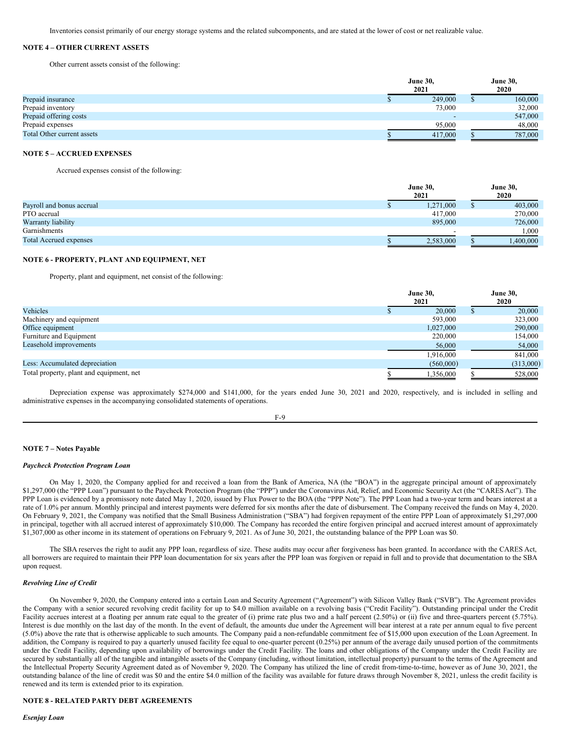Inventories consist primarily of our energy storage systems and the related subcomponents, and are stated at the lower of cost or net realizable value.

### **NOTE 4 – OTHER CURRENT ASSETS**

Other current assets consist of the following:

|                            | <b>June 30,</b><br>2021 | <b>June 30,</b><br>2020 |
|----------------------------|-------------------------|-------------------------|
| Prepaid insurance          | 249,000                 | 160,000                 |
| Prepaid inventory          | 73,000                  | 32,000                  |
| Prepaid offering costs     | -                       | 547,000                 |
| Prepaid expenses           | 95,000                  | 48,000                  |
| Total Other current assets | 417,000                 | 787,000                 |

## **NOTE 5 – ACCRUED EXPENSES**

Accrued expenses consist of the following:

|                               | <b>June 30,</b><br>2021 | <b>June 30,</b><br>2020 |
|-------------------------------|-------------------------|-------------------------|
| Payroll and bonus accrual     | 1,271,000               | 403,000                 |
| PTO accrual                   | 417,000                 | 270,000                 |
| Warranty liability            | 895,000                 | 726,000                 |
| Garnishments                  |                         | 000.                    |
| <b>Total Accrued expenses</b> | 2,583,000               | ,400,000                |

### **NOTE 6 - PROPERTY, PLANT AND EQUIPMENT, NET**

Property, plant and equipment, net consist of the following:

|                                          | <b>June 30,</b><br>2021 |  |           |
|------------------------------------------|-------------------------|--|-----------|
| Vehicles                                 | 20,000                  |  | 20,000    |
| Machinery and equipment                  | 593,000                 |  | 323,000   |
| Office equipment                         | 1.027.000               |  | 290,000   |
| Furniture and Equipment                  | 220,000                 |  | 154,000   |
| Leasehold improvements                   | 56,000                  |  | 54,000    |
|                                          | 1,916,000               |  | 841,000   |
| Less: Accumulated depreciation           | (560,000)               |  | (313,000) |
| Total property, plant and equipment, net | 1,356,000               |  | 528,000   |

Depreciation expense was approximately \$274,000 and \$141,000, for the years ended June 30, 2021 and 2020, respectively, and is included in selling and administrative expenses in the accompanying consolidated statements of operations.

#### **NOTE 7 – Notes Payable**

#### *Paycheck Protection Program Loan*

On May 1, 2020, the Company applied for and received a loan from the Bank of America, NA (the "BOA") in the aggregate principal amount of approximately \$1,297,000 (the "PPP Loan") pursuant to the Paycheck Protection Program (the "PPP") under the Coronavirus Aid, Relief, and Economic Security Act (the "CARES Act"). The PPP Loan is evidenced by a promissory note dated May 1, 2020, issued by Flux Power to the BOA (the "PPP Note"). The PPP Loan had a two-year term and bears interest at a rate of 1.0% per annum. Monthly principal and interest payments were deferred for six months after the date of disbursement. The Company received the funds on May 4, 2020. On February 9, 2021, the Company was notified that the Small Business Administration ("SBA") had forgiven repayment of the entire PPP Loan of approximately \$1,297,000 in principal, together with all accrued interest of approximately \$10,000. The Company has recorded the entire forgiven principal and accrued interest amount of approximately \$1,307,000 as other income in its statement of operations on February 9, 2021. As of June 30, 2021, the outstanding balance of the PPP Loan was \$0.

The SBA reserves the right to audit any PPP loan, regardless of size. These audits may occur after forgiveness has been granted. In accordance with the CARES Act, all borrowers are required to maintain their PPP loan documentation for six years after the PPP loan was forgiven or repaid in full and to provide that documentation to the SBA upon request.

#### *Revolving Line of Credit*

On November 9, 2020, the Company entered into a certain Loan and Security Agreement ("Agreement") with Silicon Valley Bank ("SVB"). The Agreement provides the Company with a senior secured revolving credit facility for up to \$4.0 million available on a revolving basis ("Credit Facility"). Outstanding principal under the Credit Facility accrues interest at a floating per annum rate equal to the greater of (i) prime rate plus two and a half percent (2.50%) or (ii) five and three-quarters percent (5.75%). Interest is due monthly on the last day of the month. In the event of default, the amounts due under the Agreement will bear interest at a rate per annum equal to five percent (5.0%) above the rate that is otherwise applicable to such amounts. The Company paid a non-refundable commitment fee of \$15,000 upon execution of the Loan Agreement. In addition, the Company is required to pay a quarterly unused facility fee equal to one-quarter percent (0.25%) per annum of the average daily unused portion of the commitments under the Credit Facility, depending upon availability of borrowings under the Credit Facility. The loans and other obligations of the Company under the Credit Facility are secured by substantially all of the tangible and intangible assets of the Company (including, without limitation, intellectual property) pursuant to the terms of the Agreement and the Intellectual Property Security Agreement dated as of November 9, 2020. The Company has utilized the line of credit from-time-to-time, however as of June 30, 2021, the outstanding balance of the line of credit was \$0 and the entire \$4.0 million of the facility was available for future draws through November 8, 2021, unless the credit facility is renewed and its term is extended prior to its expiration.

### **NOTE 8 - RELATED PARTY DEBT AGREEMENTS**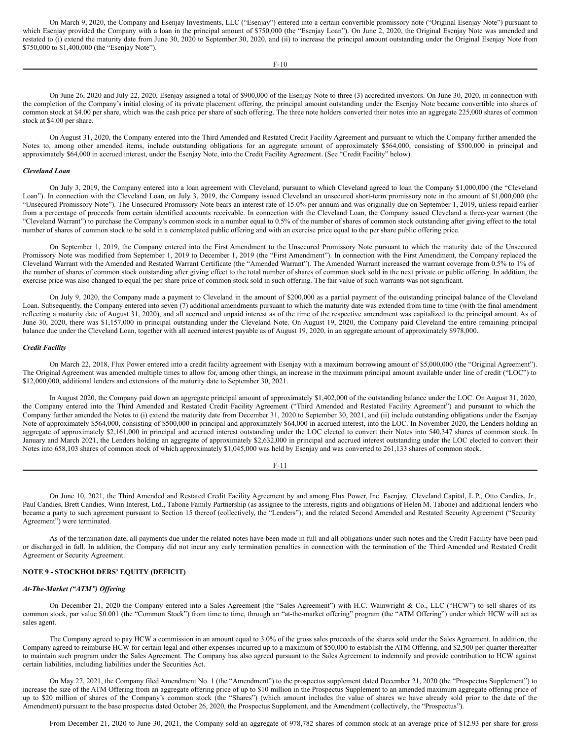On March 9, 2020, the Company and Esenjay Investments, LLC ("Esenjay") entered into a certain convertible promissory note ("Original Esenjay Note") pursuant to which Esenjay provided the Company with a loan in the principal amount of \$750,000 (the "Esenjay Loan"). On June 2, 2020, the Original Esenjay Note was amended and restated to (i) extend the maturity date from June 30, 2020 to September 30, 2020, and (ii) to increase the principal amount outstanding under the Original Esenjay Note from \$750,000 to \$1,400,000 (the "Esenjay Note").

F-10

On June 26, 2020 and July 22, 2020, Esenjay assigned a total of \$900,000 of the Esenjay Note to three (3) accredited investors. On June 30, 2020, in connection with the completion of the Company's initial closing of its private placement offering, the principal amount outstanding under the Esenjay Note became convertible into shares of common stock at \$4.00 per share, which was the cash price per share of such offering. The three note holders converted their notes into an aggregate 225,000 shares of common stock at \$4.00 per share.

On August 31, 2020, the Company entered into the Third Amended and Restated Credit Facility Agreement and pursuant to which the Company further amended the Notes to, among other amended items, include outstanding obligations for an aggregate amount of approximately \$564,000, consisting of \$500,000 in principal and approximately \$64,000 in accrued interest, under the Esenjay Note, into the Credit Facility Agreement. (See "Credit Facility" below).

#### *Cleveland Loan*

On July 3, 2019, the Company entered into a loan agreement with Cleveland, pursuant to which Cleveland agreed to loan the Company \$1,000,000 (the "Cleveland Loan"). In connection with the Cleveland Loan, on July 3, 2019, the Company issued Cleveland an unsecured short-term promissory note in the amount of \$1,000,000 (the "Unsecured Promissory Note"). The Unsecured Promissory Note bears an interest rate of 15.0% per annum and was originally due on September 1, 2019, unless repaid earlier from a percentage of proceeds from certain identified accounts receivable. In connection with the Cleveland Loan, the Company issued Cleveland a three-year warrant (the "Cleveland Warrant") to purchase the Company's common stock in a number equal to 0.5% of the number of shares of common stock outstanding after giving effect to the total number of shares of common stock to be sold in a contemplated public offering and with an exercise price equal to the per share public offering price.

On September 1, 2019, the Company entered into the First Amendment to the Unsecured Promissory Note pursuant to which the maturity date of the Unsecured Promissory Note was modified from September 1, 2019 to December 1, 2019 (the "First Amendment"). In connection with the First Amendment, the Company replaced the Cleveland Warrant with the Amended and Restated Warrant Certificate (the "Amended Warrant"). The Amended Warrant increased the warrant coverage from 0.5% to 1% of the number of shares of common stock outstanding after giving effect to the total number of shares of common stock sold in the next private or public offering. In addition, the exercise price was also changed to equal the per share price of common stock sold in such offering. The fair value of such warrants was not significant.

On July 9, 2020, the Company made a payment to Cleveland in the amount of \$200,000 as a partial payment of the outstanding principal balance of the Cleveland Loan. Subsequently, the Company entered into seven (7) additional amendments pursuant to which the maturity date was extended from time to time (with the final amendment reflecting a maturity date of August 31, 2020), and all accrued and unpaid interest as of the time of the respective amendment was capitalized to the principal amount. As of June 30, 2020, there was \$1,157,000 in principal outstanding under the Cleveland Note. On August 19, 2020, the Company paid Cleveland the entire remaining principal balance due under the Cleveland Loan, together with all accrued interest payable as of August 19, 2020, in an aggregate amount of approximately \$978,000.

#### *Credit Facility*

On March 22, 2018, Flux Power entered into a credit facility agreement with Esenjay with a maximum borrowing amount of \$5,000,000 (the "Original Agreement"). The Original Agreement was amended multiple times to allow for, among other things, an increase in the maximum principal amount available under line of credit ("LOC") to \$12,000,000, additional lenders and extensions of the maturity date to September 30, 2021.

In August 2020, the Company paid down an aggregate principal amount of approximately \$1,402,000 of the outstanding balance under the LOC. On August 31, 2020, the Company entered into the Third Amended and Restated Credit Facility Agreement ("Third Amended and Restated Facility Agreement") and pursuant to which the Company further amended the Notes to (i) extend the maturity date from December 31, 2020 to September 30, 2021, and (ii) include outstanding obligations under the Esenjay Note of approximately \$564,000, consisting of \$500,000 in principal and approximately \$64,000 in accrued interest, into the LOC. In November 2020, the Lenders holding an aggregate of approximately \$2,161,000 in principal and accrued interest outstanding under the LOC elected to convert their Notes into 540,347 shares of common stock. In January and March 2021, the Lenders holding an aggregate of approximately \$2,632,000 in principal and accrued interest outstanding under the LOC elected to convert their Notes into 658,103 shares of common stock of which approximately \$1,045,000 was held by Esenjay and was converted to 261,133 shares of common stock.

F-11

On June 10, 2021, the Third Amended and Restated Credit Facility Agreement by and among Flux Power, Inc. Esenjay, Cleveland Capital, L.P., Otto Candies, Jr., Paul Candies, Brett Candies, Winn Interest, Ltd., Tabone Family Partnership (as assignee to the interests, rights and obligations of Helen M. Tabone) and additional lenders who became a party to such agreement pursuant to Section 15 thereof (collectively, the "Lenders"); and the related Second Amended and Restated Security Agreement ("Security Agreement") were terminated.

As of the termination date, all payments due under the related notes have been made in full and all obligations under such notes and the Credit Facility have been paid or discharged in full. In addition, the Company did not incur any early termination penalties in connection with the termination of the Third Amended and Restated Credit Agreement or Security Agreement.

## **NOTE 9 - STOCKHOLDERS' EQUITY (DEFICIT)**

### *At-The-Market ("ATM") Of ering*

On December 21, 2020 the Company entered into a Sales Agreement (the "Sales Agreement") with H.C. Wainwright & Co., LLC ("HCW") to sell shares of its common stock, par value \$0.001 (the "Common Stock") from time to time, through an "at-the-market offering" program (the "ATM Offering") under which HCW will act as sales agent.

The Company agreed to pay HCW a commission in an amount equal to 3.0% of the gross sales proceeds of the shares sold under the Sales Agreement. In addition, the Company agreed to reimburse HCW for certain legal and other expenses incurred up to a maximum of \$50,000 to establish the ATM Offering, and \$2,500 per quarter thereafter to maintain such program under the Sales Agreement. The Company has also agreed pursuant to the Sales Agreement to indemnify and provide contribution to HCW against certain liabilities, including liabilities under the Securities Act.

On May 27, 2021, the Company filed Amendment No. 1 (the "Amendment") to the prospectus supplement dated December 21, 2020 (the "Prospectus Supplement") to increase the size of the ATM Offering from an aggregate offering price of up to \$10 million in the Prospectus Supplement to an amended maximum aggregate offering price of up to \$20 million of shares of the Company's common stock (the "Shares") (which amount includes the value of shares we have already sold prior to the date of the Amendment) pursuant to the base prospectus dated October 26, 2020, the Prospectus Supplement, and the Amendment (collectively, the "Prospectus").

From December 21, 2020 to June 30, 2021, the Company sold an aggregate of 978,782 shares of common stock at an average price of \$12.93 per share for gross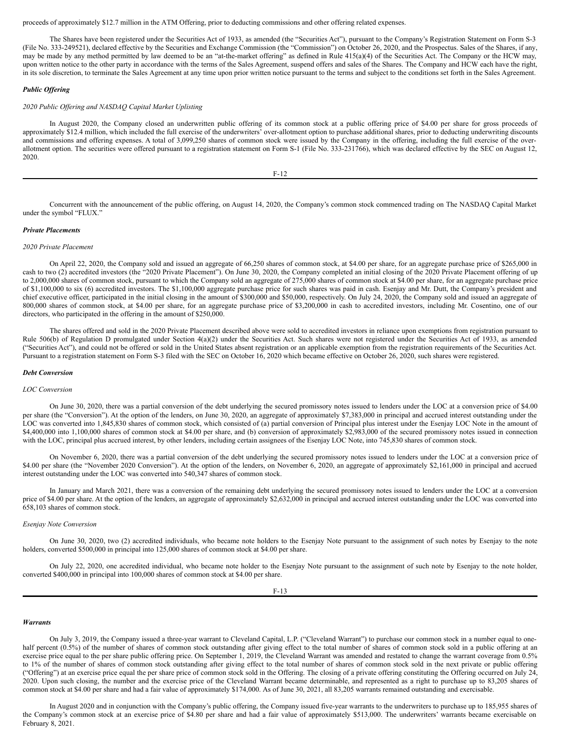proceeds of approximately \$12.7 million in the ATM Offering, prior to deducting commissions and other offering related expenses.

The Shares have been registered under the Securities Act of 1933, as amended (the "Securities Act"), pursuant to the Company's Registration Statement on Form S-3 (File No. 333-249521), declared effective by the Securities and Exchange Commission (the "Commission") on October 26, 2020, and the Prospectus. Sales of the Shares, if any, may be made by any method permitted by law deemed to be an "at-the-market offering" as defined in Rule 415(a)(4) of the Securities Act. The Company or the HCW may, upon written notice to the other party in accordance with the terms of the Sales Agreement, suspend offers and sales of the Shares. The Company and HCW each have the right, in its sole discretion, to terminate the Sales Agreement at any time upon prior written notice pursuant to the terms and subject to the conditions set forth in the Sales Agreement.

#### *Public Of ering*

### *2020 Public Of ering and NASDAQ Capital Market Uplisting*

In August 2020, the Company closed an underwritten public offering of its common stock at a public offering price of \$4.00 per share for gross proceeds of approximately \$12.4 million, which included the full exercise of the underwriters' over-allotment option to purchase additional shares, prior to deducting underwriting discounts and commissions and offering expenses. A total of 3,099,250 shares of common stock were issued by the Company in the offering, including the full exercise of the overallotment option. The securities were offered pursuant to a registration statement on Form S-1 (File No. 333-231766), which was declared effective by the SEC on August 12, 2020.

Concurrent with the announcement of the public offering, on August 14, 2020, the Company's common stock commenced trading on The NASDAQ Capital Market under the symbol "FLUX."

#### *Private Placements*

#### *2020 Private Placement*

On April 22, 2020, the Company sold and issued an aggregate of 66,250 shares of common stock, at \$4.00 per share, for an aggregate purchase price of \$265,000 in cash to two (2) accredited investors (the "2020 Private Placement"). On June 30, 2020, the Company completed an initial closing of the 2020 Private Placement offering of up to 2,000,000 shares of common stock, pursuant to which the Company sold an aggregate of 275,000 shares of common stock at \$4.00 per share, for an aggregate purchase price of \$1,100,000 to six (6) accredited investors. The \$1,100,000 aggregate purchase price for such shares was paid in cash. Esenjay and Mr. Dutt, the Company's president and chief executive officer, participated in the initial closing in the amount of \$300,000 and \$50,000, respectively. On July 24, 2020, the Company sold and issued an aggregate of 800,000 shares of common stock, at \$4.00 per share, for an aggregate purchase price of \$3,200,000 in cash to accredited investors, including Mr. Cosentino, one of our directors, who participated in the offering in the amount of \$250,000.

The shares offered and sold in the 2020 Private Placement described above were sold to accredited investors in reliance upon exemptions from registration pursuant to Rule 506(b) of Regulation D promulgated under Section 4(a)(2) under the Securities Act. Such shares were not registered under the Securities Act of 1933, as amended ("Securities Act"), and could not be offered or sold in the United States absent registration or an applicable exemption from the registration requirements of the Securities Act. Pursuant to a registration statement on Form S-3 filed with the SEC on October 16, 2020 which became effective on October 26, 2020, such shares were registered.

### *Debt Conversion*

### *LOC Conversion*

On June 30, 2020, there was a partial conversion of the debt underlying the secured promissory notes issued to lenders under the LOC at a conversion price of \$4.00 per share (the "Conversion"). At the option of the lenders, on June 30, 2020, an aggregate of approximately \$7,383,000 in principal and accrued interest outstanding under the LOC was converted into 1,845,830 shares of common stock, which consisted of (a) partial conversion of Principal plus interest under the Esenjay LOC Note in the amount of \$4,400,000 into 1,100,000 shares of common stock at \$4.00 per share, and (b) conversion of approximately \$2,983,000 of the secured promissory notes issued in connection with the LOC, principal plus accrued interest, by other lenders, including certain assignees of the Esenjay LOC Note, into 745,830 shares of common stock.

On November 6, 2020, there was a partial conversion of the debt underlying the secured promissory notes issued to lenders under the LOC at a conversion price of \$4.00 per share (the "November 2020 Conversion"). At the option of the lenders, on November 6, 2020, an aggregate of approximately \$2,161,000 in principal and accrued interest outstanding under the LOC was converted into 540,347 shares of common stock.

In January and March 2021, there was a conversion of the remaining debt underlying the secured promissory notes issued to lenders under the LOC at a conversion price of \$4.00 per share. At the option of the lenders, an aggregate of approximately \$2,632,000 in principal and accrued interest outstanding under the LOC was converted into 658,103 shares of common stock.

### *Esenjay Note Conversion*

On June 30, 2020, two (2) accredited individuals, who became note holders to the Esenjay Note pursuant to the assignment of such notes by Esenjay to the note holders, converted \$500,000 in principal into 125,000 shares of common stock at \$4.00 per share.

On July 22, 2020, one accredited individual, who became note holder to the Esenjay Note pursuant to the assignment of such note by Esenjay to the note holder, converted \$400,000 in principal into 100,000 shares of common stock at \$4.00 per share.

F-13

#### *Warrants*

On July 3, 2019, the Company issued a three-year warrant to Cleveland Capital, L.P. ("Cleveland Warrant") to purchase our common stock in a number equal to onehalf percent (0.5%) of the number of shares of common stock outstanding after giving effect to the total number of shares of common stock sold in a public offering at an exercise price equal to the per share public offering price. On September 1, 2019, the Cleveland Warrant was amended and restated to change the warrant coverage from 0.5% to 1% of the number of shares of common stock outstanding after giving effect to the total number of shares of common stock sold in the next private or public offering ("Offering") at an exercise price equal the per share price of common stock sold in the Offering. The closing of a private offering constituting the Offering occurred on July 24, 2020. Upon such closing, the number and the exercise price of the Cleveland Warrant became determinable, and represented as a right to purchase up to 83,205 shares of common stock at \$4.00 per share and had a fair value of approximately \$174,000. As of June 30, 2021, all 83,205 warrants remained outstanding and exercisable.

In August 2020 and in conjunction with the Company's public offering, the Company issued five-year warrants to the underwriters to purchase up to 185,955 shares of the Company's common stock at an exercise price of \$4.80 per share and had a fair value of approximately \$513,000. The underwriters' warrants became exercisable on February 8, 2021.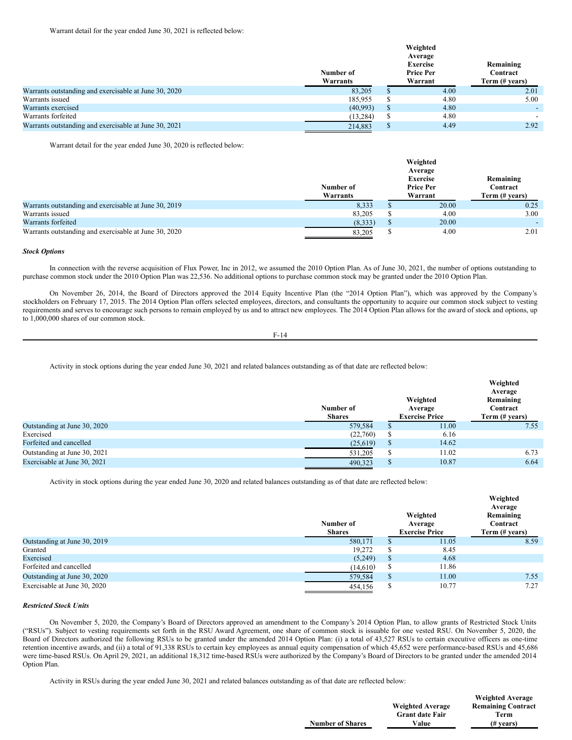|                                                       | Number of<br>Warrants | weighted<br>Average<br><b>Exercise</b><br><b>Price Per</b><br>Warrant | Remaining<br>Contract<br>Term (# years) |
|-------------------------------------------------------|-----------------------|-----------------------------------------------------------------------|-----------------------------------------|
| Warrants outstanding and exercisable at June 30, 2020 | 83,205                | 4.00                                                                  | 2.01                                    |
| Warrants issued                                       | 185,955               | 4.80                                                                  | 5.00                                    |
| Warrants exercised                                    | (40,993)              | 4.80                                                                  |                                         |
| Warrants forfeited                                    | (13, 284)             | 4.80                                                                  |                                         |
| Warrants outstanding and exercisable at June 30, 2021 | 214,883               | 4.49                                                                  | 2.92                                    |

**Weighted**

Warrant detail for the year ended June 30, 2020 is reflected below:

|                                                       | Number of<br>Warrants | Weighted<br>Average<br><b>Exercise</b><br><b>Price Per</b><br>Warrant | Remaining<br>Contract<br>Term (# years) |
|-------------------------------------------------------|-----------------------|-----------------------------------------------------------------------|-----------------------------------------|
| Warrants outstanding and exercisable at June 30, 2019 | 8,333                 | 20.00                                                                 | 0.25                                    |
| Warrants issued                                       | 83,205                | 4.00                                                                  | 3.00                                    |
| Warrants forfeited                                    | (8,333)               | 20.00                                                                 |                                         |
| Warrants outstanding and exercisable at June 30, 2020 | 83,205                | 4.00                                                                  | 2.01                                    |

### *Stock Options*

In connection with the reverse acquisition of Flux Power, Inc in 2012, we assumed the 2010 Option Plan. As of June 30, 2021, the number of options outstanding to purchase common stock under the 2010 Option Plan was 22,536. No additional options to purchase common stock may be granted under the 2010 Option Plan.

On November 26, 2014, the Board of Directors approved the 2014 Equity Incentive Plan (the "2014 Option Plan"), which was approved by the Company's stockholders on February 17, 2015. The 2014 Option Plan offers selected employees, directors, and consultants the opportunity to acquire our common stock subject to vesting requirements and serves to encourage such persons to remain employed by us and to attract new employees. The 2014 Option Plan allows for the award of stock and options, up to 1,000,000 shares of our common stock.

F-14

Activity in stock options during the year ended June 30, 2021 and related balances outstanding as of that date are reflected below:

|                              | Number of<br><b>Shares</b> | Weighted<br>Average<br><b>Exercise Price</b> | Weighted<br>Average<br>Remaining<br>Contract<br>Term (# years) |
|------------------------------|----------------------------|----------------------------------------------|----------------------------------------------------------------|
|                              |                            |                                              |                                                                |
| Outstanding at June 30, 2020 | 579,584                    | 11.00                                        | 7.55                                                           |
| Exercised                    | (22,760)                   | 6.16                                         |                                                                |
| Forfeited and cancelled      | (25,619)                   | 14.62                                        |                                                                |
| Outstanding at June 30, 2021 | 531,205                    | 11.02                                        | 6.73                                                           |
| Exercisable at June 30, 2021 | 490.323                    | 10.87                                        | 6.64                                                           |

Activity in stock options during the year ended June 30, 2020 and related balances outstanding as of that date are reflected below:

|                              | Number of<br><b>Shares</b> |   | Weighted<br>Average<br><b>Exercise Price</b> | Weighted<br>Average<br>Remaining<br>Contract<br>Term (# years) |
|------------------------------|----------------------------|---|----------------------------------------------|----------------------------------------------------------------|
| Outstanding at June 30, 2019 | 580,171                    |   | 11.05                                        | 8.59                                                           |
| Granted                      | 19.272                     |   | 8.45                                         |                                                                |
| Exercised                    | (5,249)                    | S | 4.68                                         |                                                                |
| Forfeited and cancelled      | (14,610)                   | S | 11.86                                        |                                                                |
| Outstanding at June 30, 2020 | 579,584                    | Ф | 11.00                                        | 7.55                                                           |
| Exercisable at June 30, 2020 | 454,156                    |   | 10.77                                        | 7.27                                                           |

### *Restricted Stock Units*

On November 5, 2020, the Company's Board of Directors approved an amendment to the Company's 2014 Option Plan, to allow grants of Restricted Stock Units ("RSUs"). Subject to vesting requirements set forth in the RSU Award Agreement, one share of common stock is issuable for one vested RSU. On November 5, 2020, the Board of Directors authorized the following RSUs to be granted under the amended 2014 Option Plan: (i) a total of 43,527 RSUs to certain executive officers as one-time retention incentive awards, and (ii) a total of 91,338 RSUs to certain key employees as annual equity compensation of which 45,652 were performance-based RSUs and 45,686 were time-based RSUs. On April 29, 2021, an additional 18,312 time-based RSUs were authorized by the Company's Board of Directors to be granted under the amended 2014 Option Plan.

Activity in RSUs during the year ended June 30, 2021 and related balances outstanding as of that date are reflected below:

|                         | <b>Weighted Average</b> | <b>Weighted Average</b><br><b>Remaining Contract</b> |
|-------------------------|-------------------------|------------------------------------------------------|
|                         | <b>Grant date Fair</b>  | Term                                                 |
| <b>Number of Shares</b> | Value                   | $# \, \text{years}$                                  |
|                         |                         |                                                      |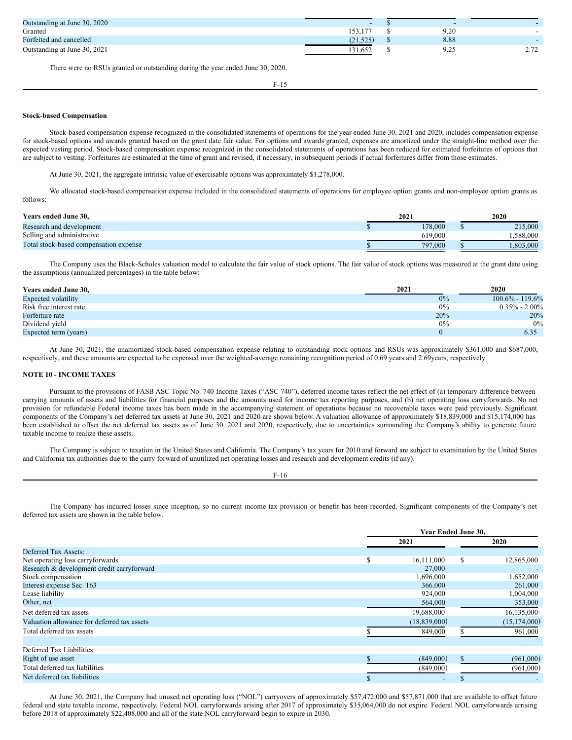| Outstanding at June 30, 2020 | $\overline{\phantom{a}}$ |                   |                    |
|------------------------------|--------------------------|-------------------|--------------------|
| Granted                      |                          | 9.20              |                    |
| Forfeited and cancelled      | (21.525)                 | 8.88              |                    |
| Outstanding at June 30, 2021 | 131.652                  | <b>UD</b><br>ر ے. | $\sim$ $\sim$<br>. |

There were no RSUs granted or outstanding during the year ended June 30, 2020.

F-15

#### **Stock-based Compensation**

Stock-based compensation expense recognized in the consolidated statements of operations for the year ended June 30, 2021 and 2020, includes compensation expense for stock-based options and awards granted based on the grant date fair value. For options and awards granted, expenses are amortized under the straight-line method over the expected vesting period. Stock-based compensation expense recognized in the consolidated statements of operations has been reduced for estimated forfeitures of options that are subject to vesting. Forfeitures are estimated at the time of grant and revised, if necessary, in subsequent periods if actual forfeitures differ from those estimates.

At June 30, 2021, the aggregate intrinsic value of exercisable options was approximately \$1,278,000.

We allocated stock-based compensation expense included in the consolidated statements of operations for employee option grants and non-employee option grants as follows:

| Years ended June 30.                   | 2021    | 2020     |
|----------------------------------------|---------|----------|
| Research and development               | 178,000 | 215,000  |
| Selling and administrative             | 619,000 | 588.000  |
| Total stock-based compensation expense | 797,000 | .803.000 |

The Company uses the Black-Scholes valuation model to calculate the fair value of stock options. The fair value of stock options was measured at the grant date using the assumptions (annualized percentages) in the table below:

| Years ended June 30,       | 2021 | 2020                |
|----------------------------|------|---------------------|
| <b>Expected volatility</b> | 0%   | $100.6\% - 119.6\%$ |
| Risk free interest rate    | 0%   | $0.35\% - 2.00\%$   |
| Forfeiture rate            | 20%  | 20%                 |
| Dividend yield             | 0%   | $0\%$               |
| Expected term (years)      |      | 6.35                |

At June 30, 2021, the unamortized stock-based compensation expense relating to outstanding stock options and RSUs was approximately \$361,000 and \$687,000, respectively, and these amounts are expected to be expensed over the weighted-average remaining recognition period of 0.69 years and 2.69years, respectively.

### **NOTE 10 - INCOME TAXES**

Pursuant to the provisions of FASB ASC Topic No. 740 Income Taxes ("ASC 740"), deferred income taxes reflect the net effect of (a) temporary difference between carrying amounts of assets and liabilities for financial purposes and the amounts used for income tax reporting purposes, and (b) net operating loss carryforwards. No net provision for refundable Federal income taxes has been made in the accompanying statement of operations because no recoverable taxes were paid previously. Significant components of the Company's net deferred tax assets at June 30, 2021 and 2020 are shown below. A valuation allowance of approximately \$18,839,000 and \$15,174,000 has been established to offset the net deferred tax assets as of June 30, 2021 and 2020, respectively, due to uncertainties surrounding the Company's ability to generate future taxable income to realize these assets.

The Company is subject to taxation in the United States and California. The Company's tax years for 2010 and forward are subject to examination by the United States and California tax authorities due to the carry forward of unutilized net operating losses and research and development credits (if any).

F-16

The Company has incurred losses since inception, so no current income tax provision or benefit has been recorded. Significant components of the Company's net deferred tax assets are shown in the table below.

|                                             |    | Year Ended June 30, |    |                |  |
|---------------------------------------------|----|---------------------|----|----------------|--|
|                                             |    | 2021                |    | 2020           |  |
| Deferred Tax Assets:                        |    |                     |    |                |  |
| Net operating loss carryforwards            | ъ. | 16,111,000          | S  | 12,865,000     |  |
| Research & development credit carryforward  |    | 27,000              |    |                |  |
| Stock compensation                          |    | 1,696,000           |    | 1,652,000      |  |
| Interest expense Sec. 163                   |    | 366,000             |    | 261,000        |  |
| Lease liability                             |    | 924,000             |    | 1,004,000      |  |
| Other, net                                  |    | 564,000             |    | 353,000        |  |
| Net deferred tax assets                     |    | 19,688,000          |    | 16,135,000     |  |
| Valuation allowance for deferred tax assets |    | (18,839,000)        |    | (15, 174, 000) |  |
| Total deferred tax assets                   |    | 849,000             |    | 961,000        |  |
|                                             |    |                     |    |                |  |
| Deferred Tax Liabilities:                   |    |                     |    |                |  |
| Right of use asset                          |    | (849,000)           | \$ | (961,000)      |  |
| Total deferred tax liabilities              |    | (849,000)           |    | (961,000)      |  |
| Net deferred tax liabilities                |    | ٠                   |    |                |  |

At June 30, 2021, the Company had unused net operating loss ("NOL") carryovers of approximately \$57,472,000 and \$57,871,000 that are available to offset future federal and state taxable income, respectively. Federal NOL carryforwards arising after 2017 of approximately \$35,064,000 do not expire. Federal NOL carryforwards arrising before 2018 of approximately \$22,408,000 and all of the state NOL carryforward begin to expire in 2030.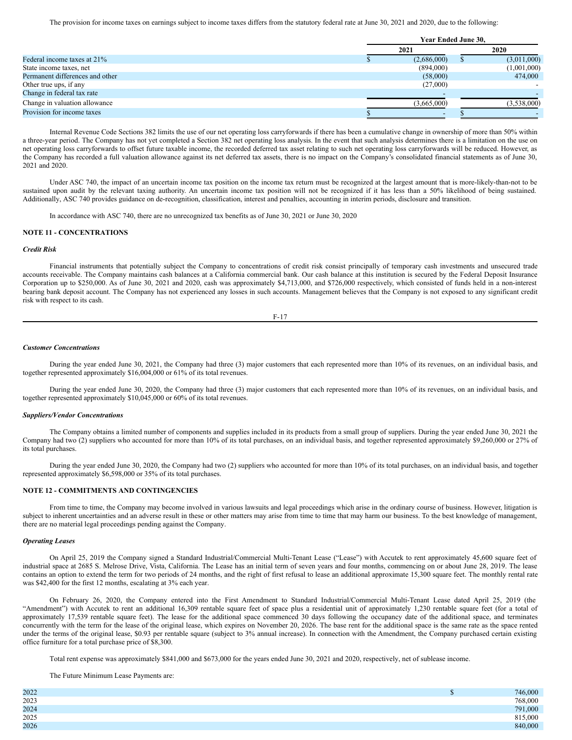The provision for income taxes on earnings subject to income taxes differs from the statutory federal rate at June 30, 2021 and 2020, due to the following:

|                                 | Year Ended June 30. |  |             |  |
|---------------------------------|---------------------|--|-------------|--|
|                                 | 2021                |  | 2020        |  |
| Federal income taxes at 21%     | (2,686,000)         |  | (3,011,000) |  |
| State income taxes, net         | (894,000)           |  | (1,001,000) |  |
| Permanent differences and other | (58,000)            |  | 474,000     |  |
| Other true ups, if any          | (27,000)            |  |             |  |
| Change in federal tax rate      |                     |  |             |  |
| Change in valuation allowance   | (3,665,000)         |  | (3,538,000) |  |
| Provision for income taxes      | . .                 |  |             |  |

Internal Revenue Code Sections 382 limits the use of our net operating loss carryforwards if there has been a cumulative change in ownership of more than 50% within a three-year period. The Company has not yet completed a Section 382 net operating loss analysis. In the event that such analysis determines there is a limitation on the use on net operating loss carryforwards to offset future taxable income, the recorded deferred tax asset relating to such net operating loss carryforwards will be reduced. However, as the Company has recorded a full valuation allowance against its net deferred tax assets, there is no impact on the Company's consolidated financial statements as of June 30, 2021 and 2020.

Under ASC 740, the impact of an uncertain income tax position on the income tax return must be recognized at the largest amount that is more-likely-than-not to be sustained upon audit by the relevant taxing authority. An uncertain income tax position will not be recognized if it has less than a 50% likelihood of being sustained. Additionally, ASC 740 provides guidance on de-recognition, classification, interest and penalties, accounting in interim periods, disclosure and transition.

In accordance with ASC 740, there are no unrecognized tax benefits as of June 30, 2021 or June 30, 2020

### **NOTE 11 - CONCENTRATIONS**

#### *Credit Risk*

Financial instruments that potentially subject the Company to concentrations of credit risk consist principally of temporary cash investments and unsecured trade accounts receivable. The Company maintains cash balances at a California commercial bank. Our cash balance at this institution is secured by the Federal Deposit Insurance Corporation up to \$250,000. As of June 30, 2021 and 2020, cash was approximately \$4,713,000, and \$726,000 respectively, which consisted of funds held in a non-interest bearing bank deposit account. The Company has not experienced any losses in such accounts. Management believes that the Company is not exposed to any significant credit risk with respect to its cash.

#### F-17

#### *Customer Concentrations*

During the year ended June 30, 2021, the Company had three (3) major customers that each represented more than 10% of its revenues, on an individual basis, and together represented approximately \$16,004,000 or 61% of its total revenues.

During the year ended June 30, 2020, the Company had three (3) major customers that each represented more than 10% of its revenues, on an individual basis, and together represented approximately \$10,045,000 or 60% of its total revenues.

### *Suppliers/Vendor Concentrations*

The Company obtains a limited number of components and supplies included in its products from a small group of suppliers. During the year ended June 30, 2021 the Company had two (2) suppliers who accounted for more than 10% of its total purchases, on an individual basis, and together represented approximately \$9,260,000 or 27% of its total purchases.

During the year ended June 30, 2020, the Company had two (2) suppliers who accounted for more than 10% of its total purchases, on an individual basis, and together represented approximately \$6,598,000 or 35% of its total purchases.

### **NOTE 12 - COMMITMENTS AND CONTINGENCIES**

From time to time, the Company may become involved in various lawsuits and legal proceedings which arise in the ordinary course of business. However, litigation is subject to inherent uncertainties and an adverse result in these or other matters may arise from time to time that may harm our business. To the best knowledge of management, there are no material legal proceedings pending against the Company.

#### *Operating Leases*

On April 25, 2019 the Company signed a Standard Industrial/Commercial Multi-Tenant Lease ("Lease") with Accutek to rent approximately 45,600 square feet of industrial space at 2685 S. Melrose Drive, Vista, California. The Lease has an initial term of seven years and four months, commencing on or about June 28, 2019. The lease contains an option to extend the term for two periods of 24 months, and the right of first refusal to lease an additional approximate 15,300 square feet. The monthly rental rate was \$42,400 for the first 12 months, escalating at 3% each year.

On February 26, 2020, the Company entered into the First Amendment to Standard Industrial/Commercial Multi-Tenant Lease dated April 25, 2019 (the "Amendment") with Accutek to rent an additional 16,309 rentable square feet of space plus a residential unit of approximately 1,230 rentable square feet (for a total of approximately 17,539 rentable square feet). The lease for the additional space commenced 30 days following the occupancy date of the additional space, and terminates concurrently with the term for the lease of the original lease, which expires on November 20, 2026. The base rent for the additional space is the same rate as the space rented under the terms of the original lease, \$0.93 per rentable square (subject to 3% annual increase). In connection with the Amendment, the Company purchased certain existing office furniture for a total purchase price of \$8,300.

Total rent expense was approximately \$841,000 and \$673,000 for the years ended June 30, 2021 and 2020, respectively, net of sublease income.

The Future Minimum Lease Payments are:

| 2022 | 746,000 |
|------|---------|
| 2023 | 768,000 |
| 2024 | 791,000 |
| 2025 | 815,000 |
| 2026 | 840,000 |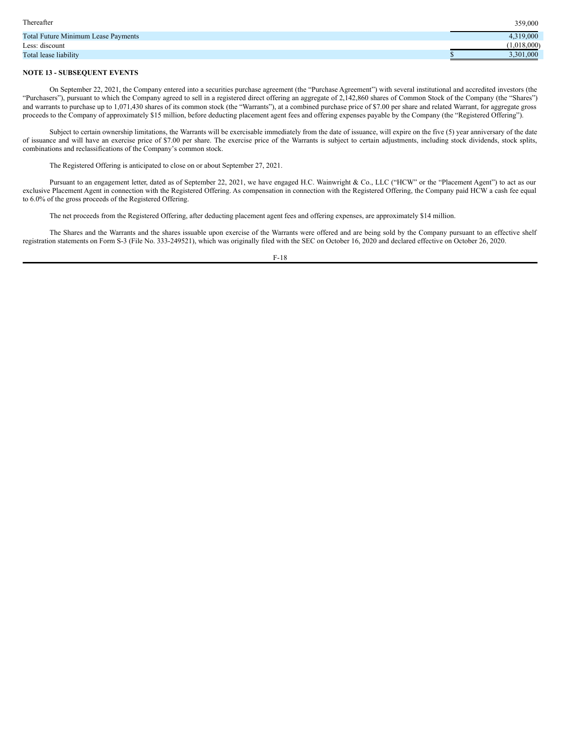| Thereafter                                 | 359,000     |
|--------------------------------------------|-------------|
| <b>Total Future Minimum Lease Payments</b> | 4,319,000   |
| Less: discount                             | (1.018,000) |
| Total lease liability                      | 3,301,000   |

### **NOTE 13 - SUBSEQUENT EVENTS**

On September 22, 2021, the Company entered into a securities purchase agreement (the "Purchase Agreement") with several institutional and accredited investors (the "Purchasers"), pursuant to which the Company agreed to sell in a registered direct offering an aggregate of 2,142,860 shares of Common Stock of the Company (the "Shares") and warrants to purchase up to 1,071,430 shares of its common stock (the "Warrants"), at a combined purchase price of \$7.00 per share and related Warrant, for aggregate gross proceeds to the Company of approximately \$15 million, before deducting placement agent fees and offering expenses payable by the Company (the "Registered Offering").

Subject to certain ownership limitations, the Warrants will be exercisable immediately from the date of issuance, will expire on the five (5) year anniversary of the date of issuance and will have an exercise price of \$7.00 per share. The exercise price of the Warrants is subject to certain adjustments, including stock dividends, stock splits, combinations and reclassifications of the Company's common stock.

The Registered Offering is anticipated to close on or about September 27, 2021.

Pursuant to an engagement letter, dated as of September 22, 2021, we have engaged H.C. Wainwright & Co., LLC ("HCW" or the "Placement Agent") to act as our exclusive Placement Agent in connection with the Registered Offering. As compensation in connection with the Registered Offering, the Company paid HCW a cash fee equal to 6.0% of the gross proceeds of the Registered Offering.

The net proceeds from the Registered Offering, after deducting placement agent fees and offering expenses, are approximately \$14 million.

The Shares and the Warrants and the shares issuable upon exercise of the Warrants were offered and are being sold by the Company pursuant to an effective shelf registration statements on Form S-3 (File No. 333-249521), which was originally filed with the SEC on October 16, 2020 and declared effective on October 26, 2020.

F-18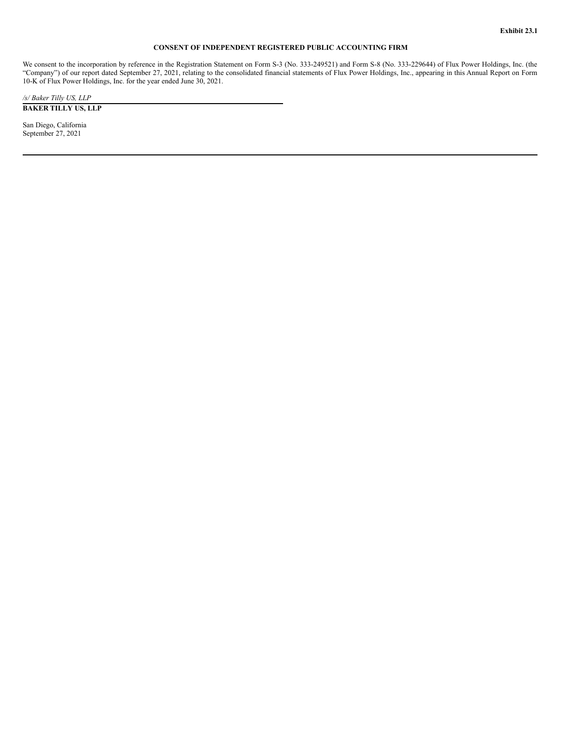### **CONSENT OF INDEPENDENT REGISTERED PUBLIC ACCOUNTING FIRM**

<span id="page-41-0"></span>We consent to the incorporation by reference in the Registration Statement on Form S-3 (No. 333-249521) and Form S-8 (No. 333-229644) of Flux Power Holdings, Inc. (the "Company") of our report dated September 27, 2021, relating to the consolidated financial statements of Flux Power Holdings, Inc., appearing in this Annual Report on Form 10-K of Flux Power Holdings, Inc. for the year ended June 30, 2021.

*/s/ Baker Tilly US, LLP* **BAKER TILLY US, LLP**

San Diego, California September 27, 2021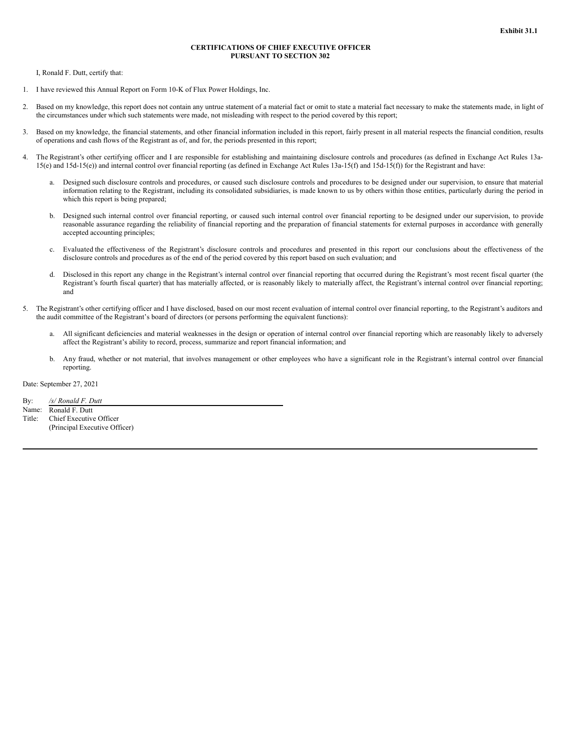### **CERTIFICATIONS OF CHIEF EXECUTIVE OFFICER PURSUANT TO SECTION 302**

<span id="page-42-0"></span>I, Ronald F. Dutt, certify that:

- 1. I have reviewed this Annual Report on Form 10-K of Flux Power Holdings, Inc.
- 2. Based on my knowledge, this report does not contain any untrue statement of a material fact or omit to state a material fact necessary to make the statements made, in light of the circumstances under which such statements were made, not misleading with respect to the period covered by this report;
- 3. Based on my knowledge, the financial statements, and other financial information included in this report, fairly present in all material respects the financial condition, results of operations and cash flows of the Registrant as of, and for, the periods presented in this report;
- 4. The Registrant's other certifying officer and I are responsible for establishing and maintaining disclosure controls and procedures (as defined in Exchange Act Rules 13a-15(e) and 15d-15(e)) and internal control over financial reporting (as defined in Exchange Act Rules 13a-15(f) and 15d-15(f)) for the Registrant and have:
	- a. Designed such disclosure controls and procedures, or caused such disclosure controls and procedures to be designed under our supervision, to ensure that material information relating to the Registrant, including its consolidated subsidiaries, is made known to us by others within those entities, particularly during the period in which this report is being prepared;
	- b. Designed such internal control over financial reporting, or caused such internal control over financial reporting to be designed under our supervision, to provide reasonable assurance regarding the reliability of financial reporting and the preparation of financial statements for external purposes in accordance with generally accepted accounting principles;
	- c. Evaluated the effectiveness of the Registrant's disclosure controls and procedures and presented in this report our conclusions about the effectiveness of the disclosure controls and procedures as of the end of the period covered by this report based on such evaluation; and
	- d. Disclosed in this report any change in the Registrant's internal control over financial reporting that occurred during the Registrant's most recent fiscal quarter (the Registrant's fourth fiscal quarter) that has materially affected, or is reasonably likely to materially affect, the Registrant's internal control over financial reporting; and
- 5. The Registrant's other certifying officer and I have disclosed, based on our most recent evaluation of internal control over financial reporting, to the Registrant's auditors and the audit committee of the Registrant's board of directors (or persons performing the equivalent functions):
	- All significant deficiencies and material weaknesses in the design or operation of internal control over financial reporting which are reasonably likely to adversely affect the Registrant's ability to record, process, summarize and report financial information; and
	- b. Any fraud, whether or not material, that involves management or other employees who have a significant role in the Registrant's internal control over financial reporting.

Date: September 27, 2021

| By:    | /s/ Ronald F. Dutt            |
|--------|-------------------------------|
|        | Name: Ronald F. Dutt          |
| Title: | Chief Executive Officer       |
|        | (Principal Executive Officer) |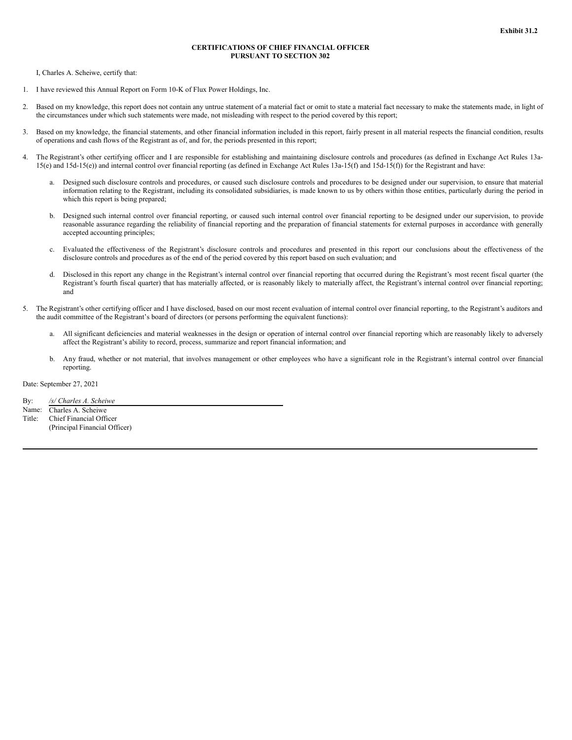### **CERTIFICATIONS OF CHIEF FINANCIAL OFFICER PURSUANT TO SECTION 302**

<span id="page-43-0"></span>I, Charles A. Scheiwe, certify that:

- 1. I have reviewed this Annual Report on Form 10-K of Flux Power Holdings, Inc.
- 2. Based on my knowledge, this report does not contain any untrue statement of a material fact or omit to state a material fact necessary to make the statements made, in light of the circumstances under which such statements were made, not misleading with respect to the period covered by this report;
- 3. Based on my knowledge, the financial statements, and other financial information included in this report, fairly present in all material respects the financial condition, results of operations and cash flows of the Registrant as of, and for, the periods presented in this report;
- 4. The Registrant's other certifying officer and I are responsible for establishing and maintaining disclosure controls and procedures (as defined in Exchange Act Rules 13a-15(e) and 15d-15(e)) and internal control over financial reporting (as defined in Exchange Act Rules 13a-15(f) and 15d-15(f)) for the Registrant and have:
	- a. Designed such disclosure controls and procedures, or caused such disclosure controls and procedures to be designed under our supervision, to ensure that material information relating to the Registrant, including its consolidated subsidiaries, is made known to us by others within those entities, particularly during the period in which this report is being prepared;
	- b. Designed such internal control over financial reporting, or caused such internal control over financial reporting to be designed under our supervision, to provide reasonable assurance regarding the reliability of financial reporting and the preparation of financial statements for external purposes in accordance with generally accepted accounting principles;
	- c. Evaluated the effectiveness of the Registrant's disclosure controls and procedures and presented in this report our conclusions about the effectiveness of the disclosure controls and procedures as of the end of the period covered by this report based on such evaluation; and
	- d. Disclosed in this report any change in the Registrant's internal control over financial reporting that occurred during the Registrant's most recent fiscal quarter (the Registrant's fourth fiscal quarter) that has materially affected, or is reasonably likely to materially affect, the Registrant's internal control over financial reporting; and
- 5. The Registrant's other certifying officer and I have disclosed, based on our most recent evaluation of internal control over financial reporting, to the Registrant's auditors and the audit committee of the Registrant's board of directors (or persons performing the equivalent functions):
	- All significant deficiencies and material weaknesses in the design or operation of internal control over financial reporting which are reasonably likely to adversely affect the Registrant's ability to record, process, summarize and report financial information; and
	- b. Any fraud, whether or not material, that involves management or other employees who have a significant role in the Registrant's internal control over financial reporting.

Date: September 27, 2021

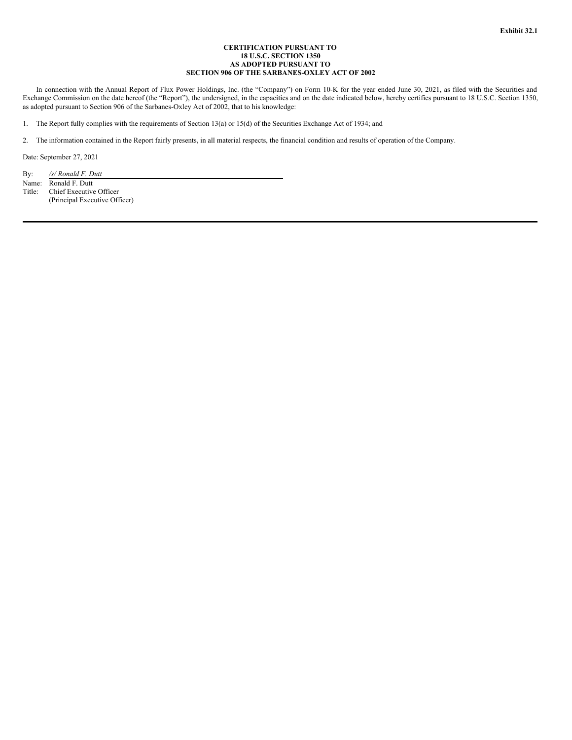### **CERTIFICATION PURSUANT TO 18 U.S.C. SECTION 1350 AS ADOPTED PURSUANT TO SECTION 906 OF THE SARBANES-OXLEY ACT OF 2002**

<span id="page-44-0"></span>In connection with the Annual Report of Flux Power Holdings, Inc. (the "Company") on Form 10-K for the year ended June 30, 2021, as filed with the Securities and Exchange Commission on the date hereof (the "Report"), the undersigned, in the capacities and on the date indicated below, hereby certifies pursuant to 18 U.S.C. Section 1350, as adopted pursuant to Section 906 of the Sarbanes-Oxley Act of 2002, that to his knowledge:

1. The Report fully complies with the requirements of Section 13(a) or 15(d) of the Securities Exchange Act of 1934; and

2. The information contained in the Report fairly presents, in all material respects, the financial condition and results of operation of the Company.

Date: September 27, 2021

By: */s/ Ronald F. Dutt*

Name: Ronald F. Dutt Title: Chief Executive Officer (Principal Executive Officer)